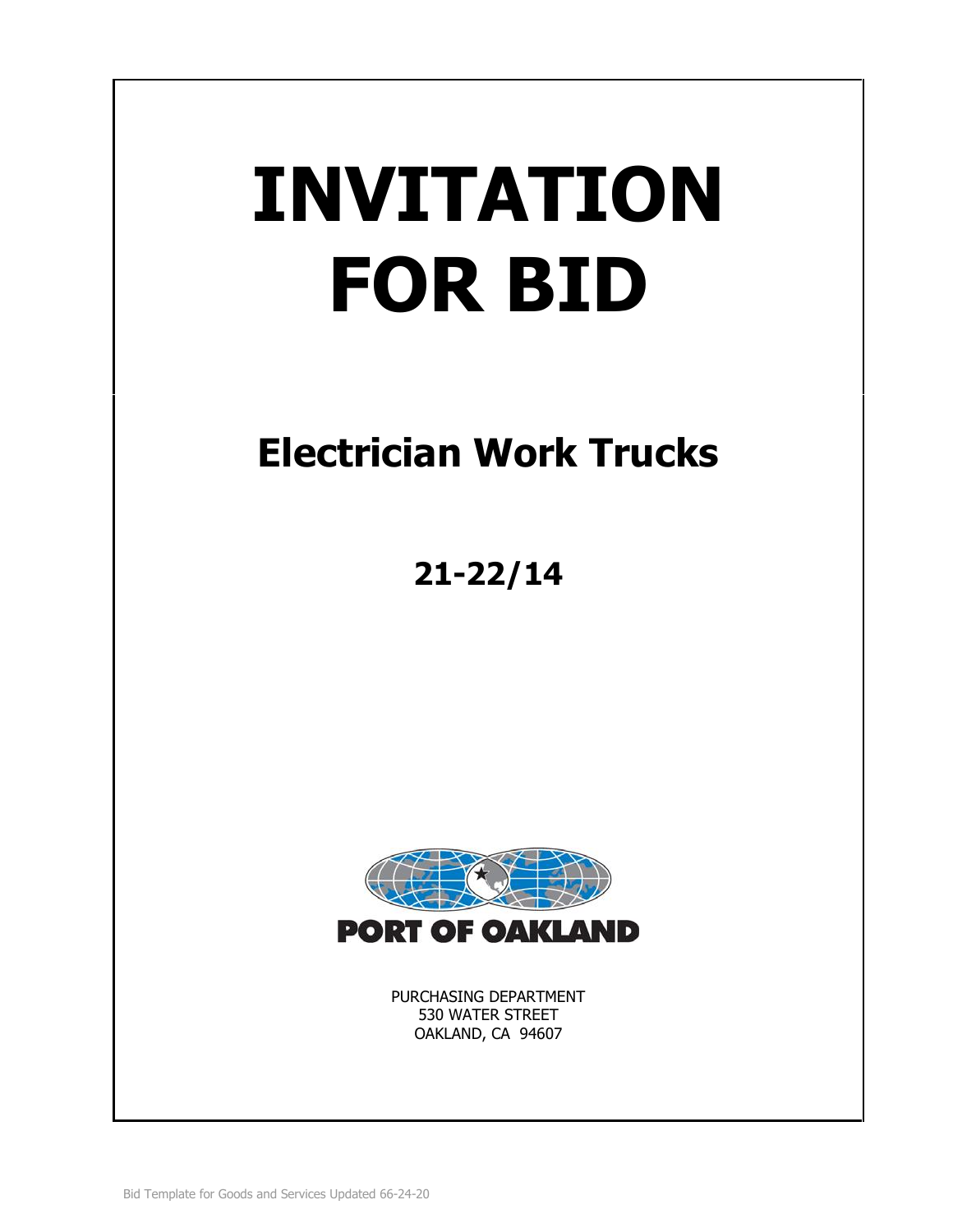# **INVITATION FOR BID**

# **Electrician Work Trucks**

**21-22/14**



PURCHASING DEPARTMENT 530 WATER STREET OAKLAND, CA 94607

Bid Template for Goods and Services Updated 66-24-20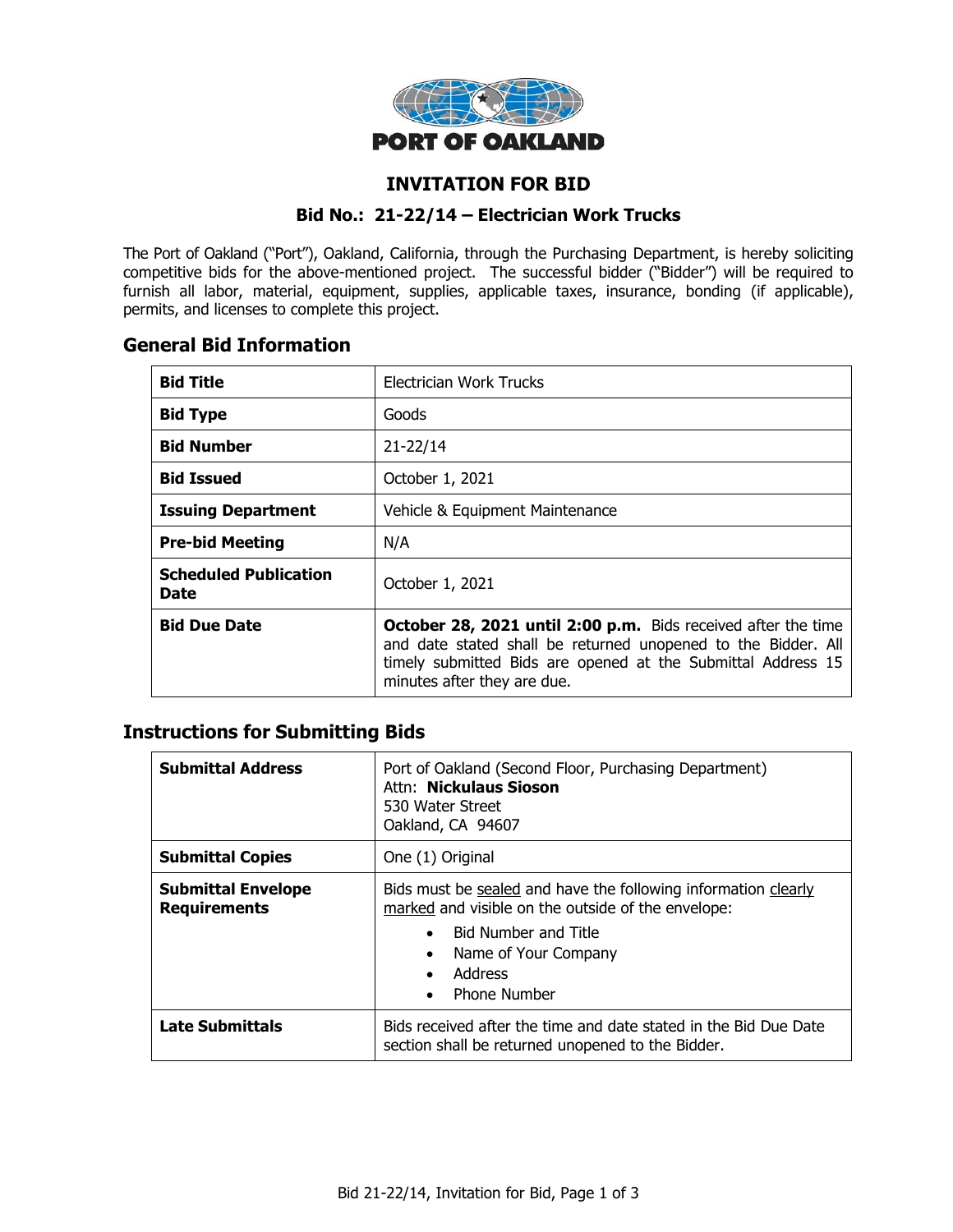

# **INVITATION FOR BID**

#### **Bid No.: 21-22/14 – Electrician Work Trucks**

The Port of Oakland ("Port"), Oakland, California, through the Purchasing Department, is hereby soliciting competitive bids for the above-mentioned project. The successful bidder ("Bidder") will be required to furnish all labor, material, equipment, supplies, applicable taxes, insurance, bonding (if applicable), permits, and licenses to complete this project.

# **General Bid Information**

| <b>Bid Title</b>                                               | Electrician Work Trucks                                                                                                                                                                                                              |  |
|----------------------------------------------------------------|--------------------------------------------------------------------------------------------------------------------------------------------------------------------------------------------------------------------------------------|--|
| <b>Bid Type</b>                                                | Goods                                                                                                                                                                                                                                |  |
| <b>Bid Number</b>                                              | $21 - 22/14$                                                                                                                                                                                                                         |  |
| <b>Bid Issued</b>                                              | October 1, 2021                                                                                                                                                                                                                      |  |
| <b>Issuing Department</b>                                      | Vehicle & Equipment Maintenance                                                                                                                                                                                                      |  |
| <b>Pre-bid Meeting</b>                                         | N/A                                                                                                                                                                                                                                  |  |
| <b>Scheduled Publication</b><br>October 1, 2021<br><b>Date</b> |                                                                                                                                                                                                                                      |  |
| <b>Bid Due Date</b>                                            | <b>October 28, 2021 until 2:00 p.m.</b> Bids received after the time<br>and date stated shall be returned unopened to the Bidder. All<br>timely submitted Bids are opened at the Submittal Address 15<br>minutes after they are due. |  |

# **Instructions for Submitting Bids**

| <b>Submittal Address</b>                         | Port of Oakland (Second Floor, Purchasing Department)<br>Attn: Nickulaus Sioson<br>530 Water Street<br>Oakland, CA 94607                                                                                      |  |
|--------------------------------------------------|---------------------------------------------------------------------------------------------------------------------------------------------------------------------------------------------------------------|--|
| <b>Submittal Copies</b>                          | One (1) Original                                                                                                                                                                                              |  |
| <b>Submittal Envelope</b><br><b>Requirements</b> | Bids must be sealed and have the following information clearly<br>marked and visible on the outside of the envelope:<br><b>Bid Number and Title</b><br>Name of Your Company<br>Address<br><b>Phone Number</b> |  |
| Late Submittals                                  | Bids received after the time and date stated in the Bid Due Date<br>section shall be returned unopened to the Bidder.                                                                                         |  |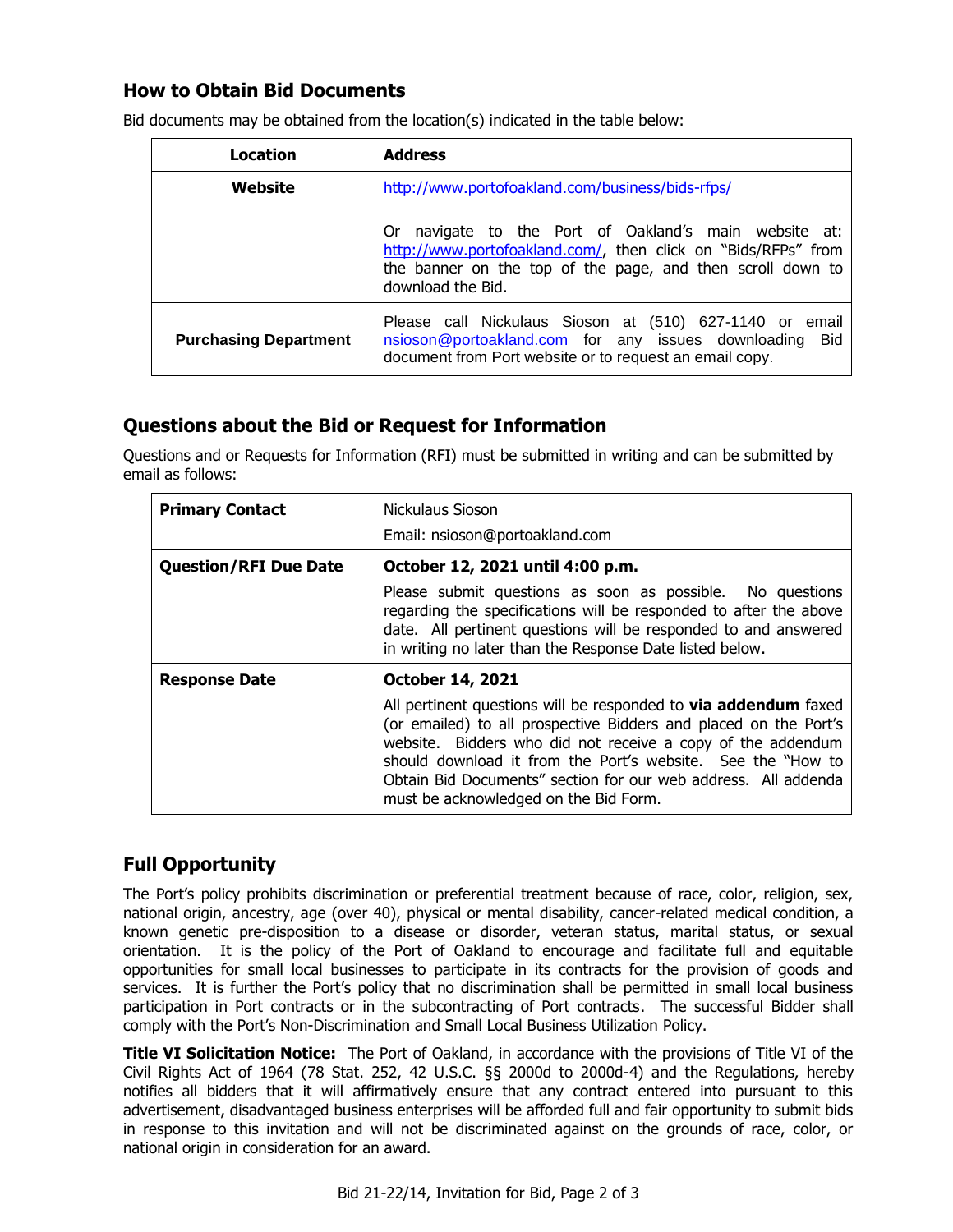# **How to Obtain Bid Documents**

| Location                     | <b>Address</b>                                                                                                                                                                                               |  |
|------------------------------|--------------------------------------------------------------------------------------------------------------------------------------------------------------------------------------------------------------|--|
| Website                      | http://www.portofoakland.com/business/bids-rfps/                                                                                                                                                             |  |
|                              | navigate to the Port of Oakland's main website at:<br>0r<br>http://www.portofoakland.com/, then click on "Bids/RFPs" from<br>the banner on the top of the page, and then scroll down to<br>download the Bid. |  |
| <b>Purchasing Department</b> | Please call Nickulaus Sioson at (510) 627-1140 or email<br>nsioson@portoakland.com for any issues downloading Bid<br>document from Port website or to request an email copy.                                 |  |

Bid documents may be obtained from the location(s) indicated in the table below:

# **Questions about the Bid or Request for Information**

Questions and or Requests for Information (RFI) must be submitted in writing and can be submitted by email as follows:

| <b>Primary Contact</b>       | Nickulaus Sioson                                                                                                                                                                                                                                                                                                                                                                    |  |  |
|------------------------------|-------------------------------------------------------------------------------------------------------------------------------------------------------------------------------------------------------------------------------------------------------------------------------------------------------------------------------------------------------------------------------------|--|--|
|                              | Email: nsioson@portoakland.com                                                                                                                                                                                                                                                                                                                                                      |  |  |
| <b>Question/RFI Due Date</b> | October 12, 2021 until 4:00 p.m.                                                                                                                                                                                                                                                                                                                                                    |  |  |
|                              | Please submit questions as soon as possible. No questions<br>regarding the specifications will be responded to after the above<br>date. All pertinent questions will be responded to and answered<br>in writing no later than the Response Date listed below.                                                                                                                       |  |  |
| <b>Response Date</b>         | <b>October 14, 2021</b>                                                                                                                                                                                                                                                                                                                                                             |  |  |
|                              | All pertinent questions will be responded to <b>via addendum</b> faxed<br>(or emailed) to all prospective Bidders and placed on the Port's<br>website. Bidders who did not receive a copy of the addendum<br>should download it from the Port's website. See the "How to<br>Obtain Bid Documents" section for our web address. All addenda<br>must be acknowledged on the Bid Form. |  |  |

# **Full Opportunity**

The Port's policy prohibits discrimination or preferential treatment because of race, color, religion, sex, national origin, ancestry, age (over 40), physical or mental disability, cancer-related medical condition, a known genetic pre-disposition to a disease or disorder, veteran status, marital status, or sexual orientation. It is the policy of the Port of Oakland to encourage and facilitate full and equitable opportunities for small local businesses to participate in its contracts for the provision of goods and services. It is further the Port's policy that no discrimination shall be permitted in small local business participation in Port contracts or in the subcontracting of Port contracts. The successful Bidder shall comply with the Port's Non-Discrimination and Small Local Business Utilization Policy.

**Title VI Solicitation Notice:** The Port of Oakland, in accordance with the provisions of Title VI of the Civil Rights Act of 1964 (78 Stat. 252, 42 U.S.C. §§ 2000d to 2000d-4) and the Regulations, hereby notifies all bidders that it will affirmatively ensure that any contract entered into pursuant to this advertisement, disadvantaged business enterprises will be afforded full and fair opportunity to submit bids in response to this invitation and will not be discriminated against on the grounds of race, color, or national origin in consideration for an award.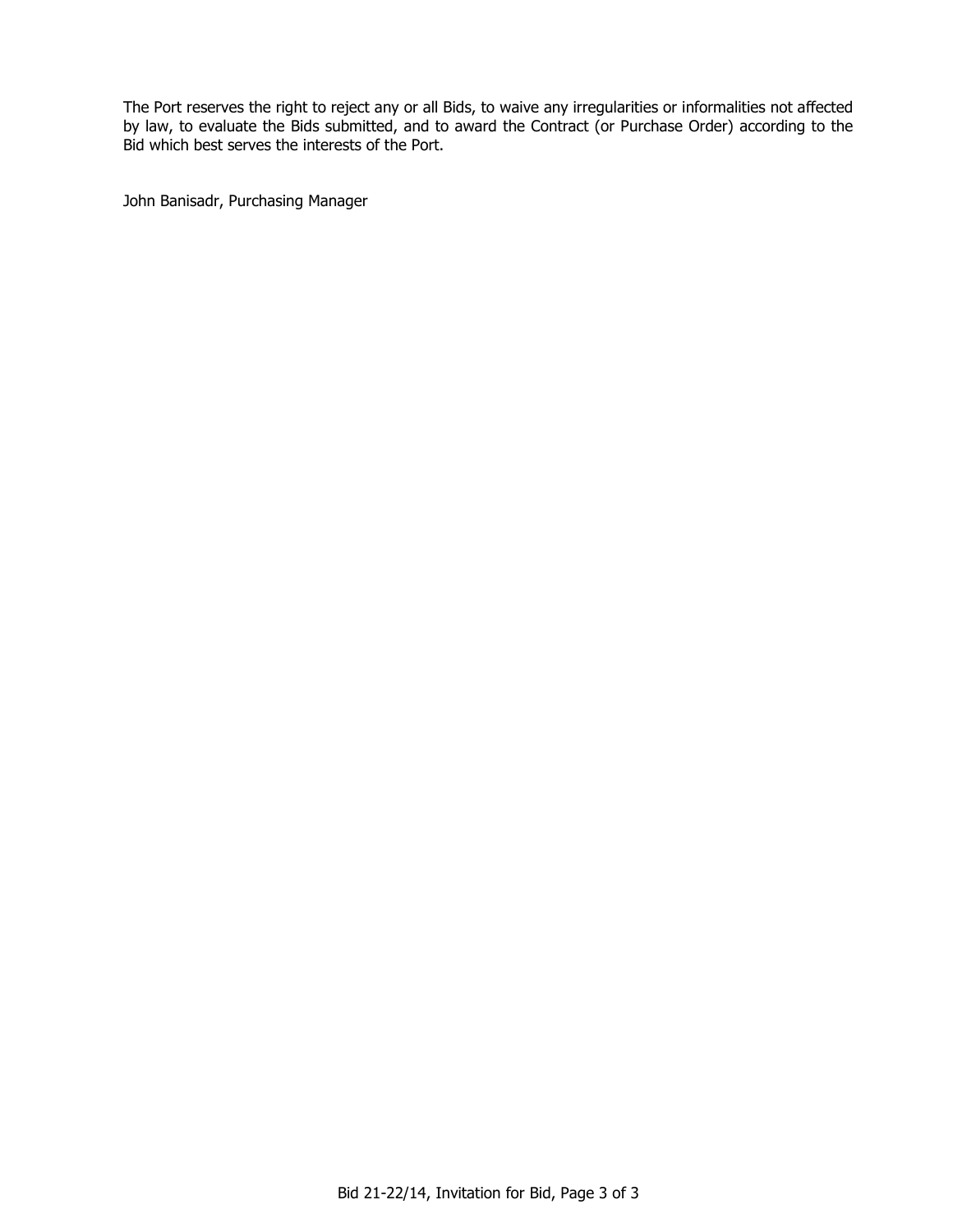The Port reserves the right to reject any or all Bids, to waive any irregularities or informalities not affected by law, to evaluate the Bids submitted, and to award the Contract (or Purchase Order) according to the Bid which best serves the interests of the Port.

John Banisadr, Purchasing Manager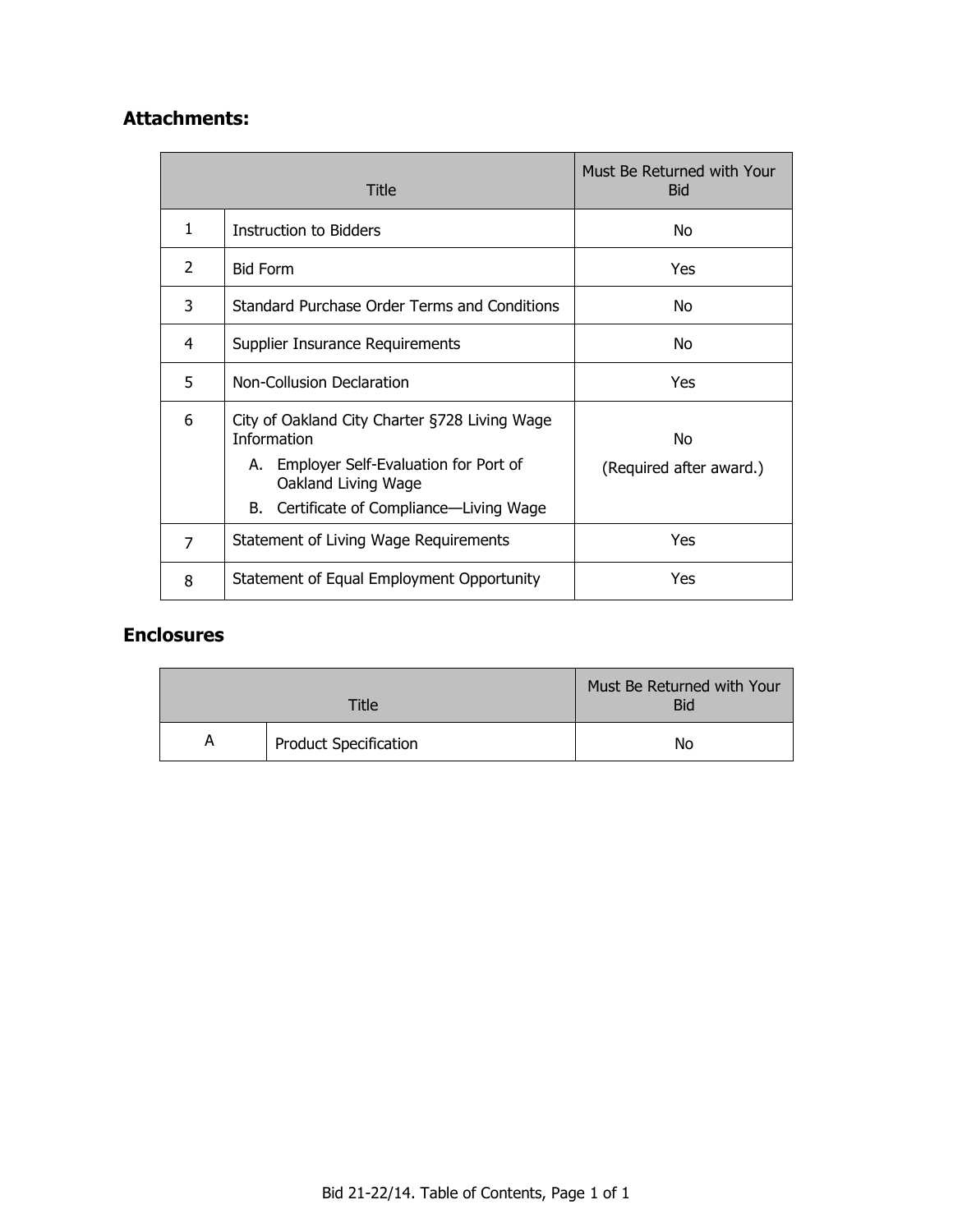# **Attachments:**

| Title |                                                                                                                                                                                   | Must Be Returned with Your<br><b>Bid</b> |
|-------|-----------------------------------------------------------------------------------------------------------------------------------------------------------------------------------|------------------------------------------|
| 1     | Instruction to Bidders                                                                                                                                                            | No                                       |
| 2     | <b>Bid Form</b>                                                                                                                                                                   | <b>Yes</b>                               |
| 3     | Standard Purchase Order Terms and Conditions                                                                                                                                      | No                                       |
| 4     | Supplier Insurance Requirements                                                                                                                                                   | No                                       |
| 5     | Non-Collusion Declaration                                                                                                                                                         | Yes                                      |
| 6     | City of Oakland City Charter §728 Living Wage<br><b>Information</b><br>A. Employer Self-Evaluation for Port of<br>Oakland Living Wage<br>B. Certificate of Compliance—Living Wage | No<br>(Required after award.)            |
| 7     | Statement of Living Wage Requirements                                                                                                                                             | Yes                                      |
| 8     | Statement of Equal Employment Opportunity                                                                                                                                         | Yes                                      |

# **Enclosures**

| Title |                              | Must Be Returned with Your<br><b>Bid</b> |
|-------|------------------------------|------------------------------------------|
| A     | <b>Product Specification</b> | No                                       |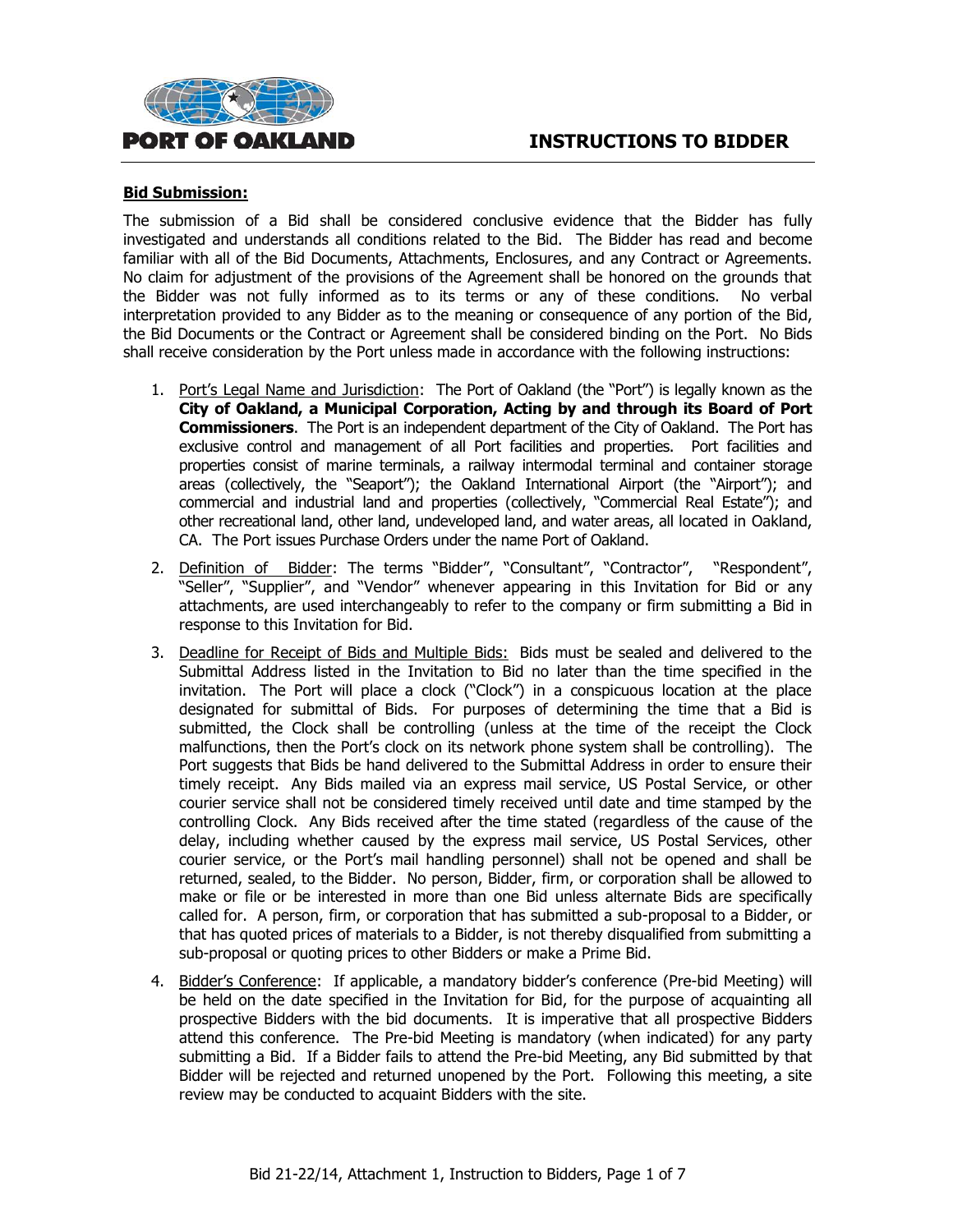# **INSTRUCTIONS TO BIDDER**



#### **Bid Submission:**

The submission of a Bid shall be considered conclusive evidence that the Bidder has fully investigated and understands all conditions related to the Bid. The Bidder has read and become familiar with all of the Bid Documents, Attachments, Enclosures, and any Contract or Agreements. No claim for adjustment of the provisions of the Agreement shall be honored on the grounds that the Bidder was not fully informed as to its terms or any of these conditions. No verbal interpretation provided to any Bidder as to the meaning or consequence of any portion of the Bid, the Bid Documents or the Contract or Agreement shall be considered binding on the Port. No Bids shall receive consideration by the Port unless made in accordance with the following instructions:

- 1. Port's Legal Name and Jurisdiction: The Port of Oakland (the "Port") is legally known as the **City of Oakland, a Municipal Corporation, Acting by and through its Board of Port Commissioners**. The Port is an independent department of the City of Oakland. The Port has exclusive control and management of all Port facilities and properties. Port facilities and properties consist of marine terminals, a railway intermodal terminal and container storage areas (collectively, the "Seaport"); the Oakland International Airport (the "Airport"); and commercial and industrial land and properties (collectively, "Commercial Real Estate"); and other recreational land, other land, undeveloped land, and water areas, all located in Oakland, CA. The Port issues Purchase Orders under the name Port of Oakland.
- 2. Definition of Bidder: The terms "Bidder", "Consultant", "Contractor", "Respondent", "Seller", "Supplier", and "Vendor" whenever appearing in this Invitation for Bid or any attachments, are used interchangeably to refer to the company or firm submitting a Bid in response to this Invitation for Bid.
- 3. Deadline for Receipt of Bids and Multiple Bids: Bids must be sealed and delivered to the Submittal Address listed in the Invitation to Bid no later than the time specified in the invitation. The Port will place a clock ("Clock") in a conspicuous location at the place designated for submittal of Bids. For purposes of determining the time that a Bid is submitted, the Clock shall be controlling (unless at the time of the receipt the Clock malfunctions, then the Port's clock on its network phone system shall be controlling). The Port suggests that Bids be hand delivered to the Submittal Address in order to ensure their timely receipt. Any Bids mailed via an express mail service, US Postal Service, or other courier service shall not be considered timely received until date and time stamped by the controlling Clock. Any Bids received after the time stated (regardless of the cause of the delay, including whether caused by the express mail service, US Postal Services, other courier service, or the Port's mail handling personnel) shall not be opened and shall be returned, sealed, to the Bidder. No person, Bidder, firm, or corporation shall be allowed to make or file or be interested in more than one Bid unless alternate Bids are specifically called for. A person, firm, or corporation that has submitted a sub-proposal to a Bidder, or that has quoted prices of materials to a Bidder, is not thereby disqualified from submitting a sub-proposal or quoting prices to other Bidders or make a Prime Bid.
- 4. Bidder's Conference: If applicable, a mandatory bidder's conference (Pre-bid Meeting) will be held on the date specified in the Invitation for Bid, for the purpose of acquainting all prospective Bidders with the bid documents. It is imperative that all prospective Bidders attend this conference. The Pre-bid Meeting is mandatory (when indicated) for any party submitting a Bid. If a Bidder fails to attend the Pre-bid Meeting, any Bid submitted by that Bidder will be rejected and returned unopened by the Port. Following this meeting, a site review may be conducted to acquaint Bidders with the site.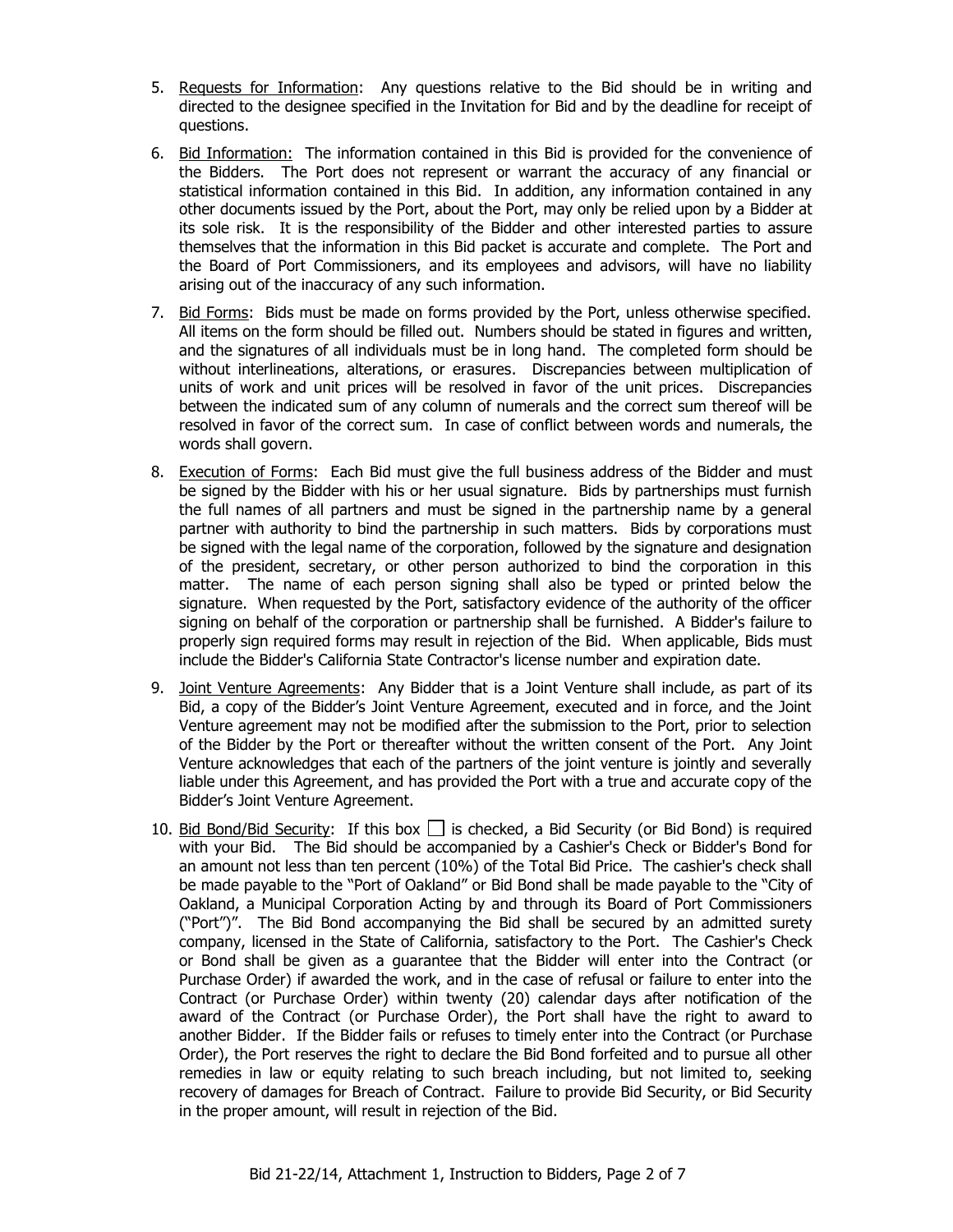- 5. Requests for Information: Any questions relative to the Bid should be in writing and directed to the designee specified in the Invitation for Bid and by the deadline for receipt of questions.
- 6. Bid Information: The information contained in this Bid is provided for the convenience of the Bidders. The Port does not represent or warrant the accuracy of any financial or statistical information contained in this Bid. In addition, any information contained in any other documents issued by the Port, about the Port, may only be relied upon by a Bidder at its sole risk. It is the responsibility of the Bidder and other interested parties to assure themselves that the information in this Bid packet is accurate and complete. The Port and the Board of Port Commissioners, and its employees and advisors, will have no liability arising out of the inaccuracy of any such information.
- 7. Bid Forms: Bids must be made on forms provided by the Port, unless otherwise specified. All items on the form should be filled out. Numbers should be stated in figures and written, and the signatures of all individuals must be in long hand. The completed form should be without interlineations, alterations, or erasures. Discrepancies between multiplication of units of work and unit prices will be resolved in favor of the unit prices. Discrepancies between the indicated sum of any column of numerals and the correct sum thereof will be resolved in favor of the correct sum. In case of conflict between words and numerals, the words shall govern.
- 8. Execution of Forms: Each Bid must give the full business address of the Bidder and must be signed by the Bidder with his or her usual signature. Bids by partnerships must furnish the full names of all partners and must be signed in the partnership name by a general partner with authority to bind the partnership in such matters. Bids by corporations must be signed with the legal name of the corporation, followed by the signature and designation of the president, secretary, or other person authorized to bind the corporation in this matter. The name of each person signing shall also be typed or printed below the signature. When requested by the Port, satisfactory evidence of the authority of the officer signing on behalf of the corporation or partnership shall be furnished. A Bidder's failure to properly sign required forms may result in rejection of the Bid. When applicable, Bids must include the Bidder's California State Contractor's license number and expiration date.
- 9. Joint Venture Agreements: Any Bidder that is a Joint Venture shall include, as part of its Bid, a copy of the Bidder's Joint Venture Agreement, executed and in force, and the Joint Venture agreement may not be modified after the submission to the Port, prior to selection of the Bidder by the Port or thereafter without the written consent of the Port. Any Joint Venture acknowledges that each of the partners of the joint venture is jointly and severally liable under this Agreement, and has provided the Port with a true and accurate copy of the Bidder's Joint Venture Agreement.
- 10. Bid Bond/Bid Security: If this box  $\Box$  is checked, a Bid Security (or Bid Bond) is required with your Bid. The Bid should be accompanied by a Cashier's Check or Bidder's Bond for an amount not less than ten percent (10%) of the Total Bid Price. The cashier's check shall be made payable to the "Port of Oakland" or Bid Bond shall be made payable to the "City of Oakland, a Municipal Corporation Acting by and through its Board of Port Commissioners ("Port")". The Bid Bond accompanying the Bid shall be secured by an admitted surety company, licensed in the State of California, satisfactory to the Port. The Cashier's Check or Bond shall be given as a guarantee that the Bidder will enter into the Contract (or Purchase Order) if awarded the work, and in the case of refusal or failure to enter into the Contract (or Purchase Order) within twenty (20) calendar days after notification of the award of the Contract (or Purchase Order), the Port shall have the right to award to another Bidder. If the Bidder fails or refuses to timely enter into the Contract (or Purchase Order), the Port reserves the right to declare the Bid Bond forfeited and to pursue all other remedies in law or equity relating to such breach including, but not limited to, seeking recovery of damages for Breach of Contract. Failure to provide Bid Security, or Bid Security in the proper amount, will result in rejection of the Bid.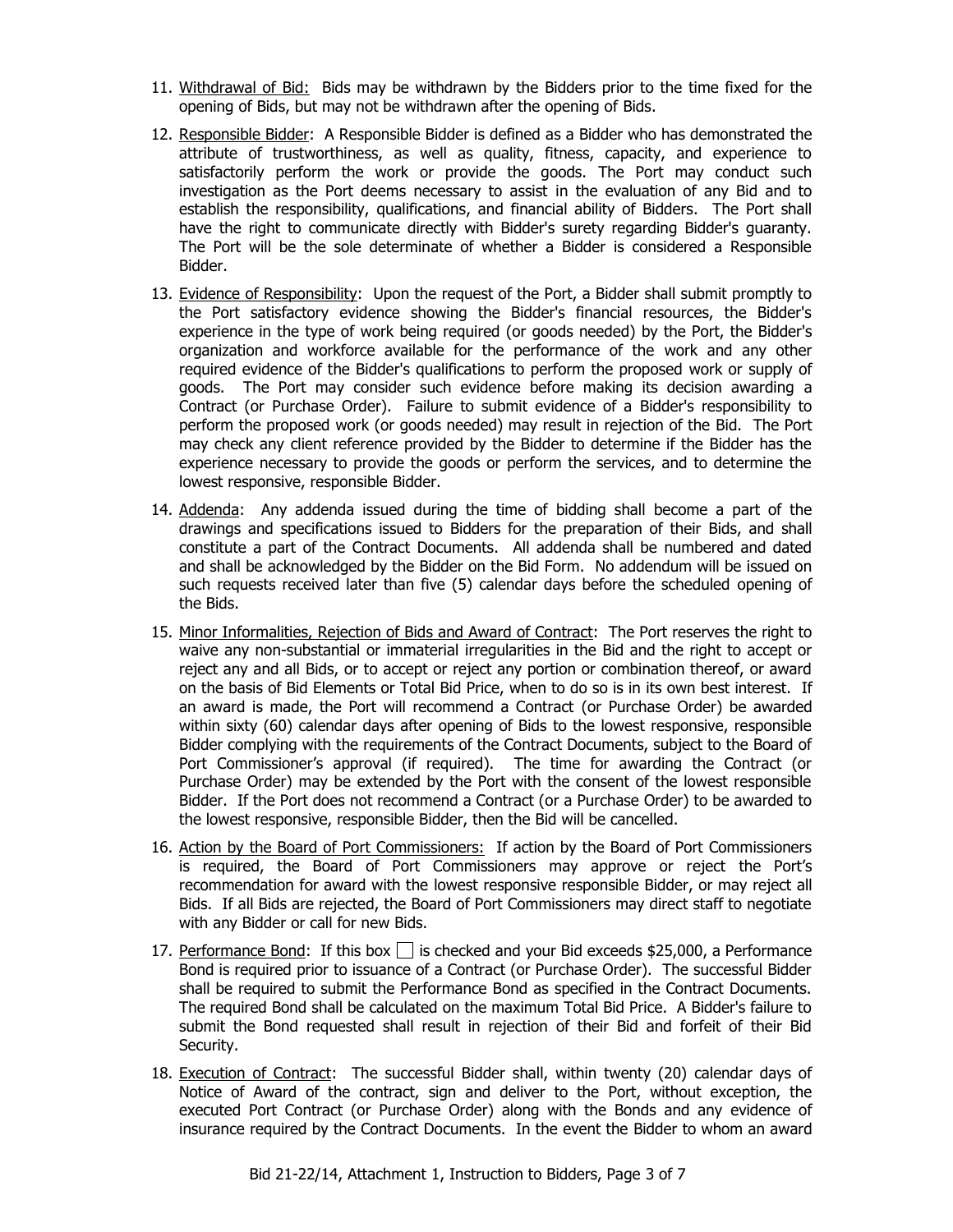- 11. Withdrawal of Bid: Bids may be withdrawn by the Bidders prior to the time fixed for the opening of Bids, but may not be withdrawn after the opening of Bids.
- 12. Responsible Bidder: A Responsible Bidder is defined as a Bidder who has demonstrated the attribute of trustworthiness, as well as quality, fitness, capacity, and experience to satisfactorily perform the work or provide the goods. The Port may conduct such investigation as the Port deems necessary to assist in the evaluation of any Bid and to establish the responsibility, qualifications, and financial ability of Bidders. The Port shall have the right to communicate directly with Bidder's surety regarding Bidder's guaranty. The Port will be the sole determinate of whether a Bidder is considered a Responsible Bidder.
- 13. Evidence of Responsibility: Upon the request of the Port, a Bidder shall submit promptly to the Port satisfactory evidence showing the Bidder's financial resources, the Bidder's experience in the type of work being required (or goods needed) by the Port, the Bidder's organization and workforce available for the performance of the work and any other required evidence of the Bidder's qualifications to perform the proposed work or supply of goods. The Port may consider such evidence before making its decision awarding a Contract (or Purchase Order). Failure to submit evidence of a Bidder's responsibility to perform the proposed work (or goods needed) may result in rejection of the Bid. The Port may check any client reference provided by the Bidder to determine if the Bidder has the experience necessary to provide the goods or perform the services, and to determine the lowest responsive, responsible Bidder.
- 14. Addenda: Any addenda issued during the time of bidding shall become a part of the drawings and specifications issued to Bidders for the preparation of their Bids, and shall constitute a part of the Contract Documents. All addenda shall be numbered and dated and shall be acknowledged by the Bidder on the Bid Form. No addendum will be issued on such requests received later than five (5) calendar days before the scheduled opening of the Bids.
- 15. Minor Informalities, Rejection of Bids and Award of Contract: The Port reserves the right to waive any non-substantial or immaterial irregularities in the Bid and the right to accept or reject any and all Bids, or to accept or reject any portion or combination thereof, or award on the basis of Bid Elements or Total Bid Price, when to do so is in its own best interest. If an award is made, the Port will recommend a Contract (or Purchase Order) be awarded within sixty (60) calendar days after opening of Bids to the lowest responsive, responsible Bidder complying with the requirements of the Contract Documents, subject to the Board of Port Commissioner's approval (if required). The time for awarding the Contract (or Purchase Order) may be extended by the Port with the consent of the lowest responsible Bidder. If the Port does not recommend a Contract (or a Purchase Order) to be awarded to the lowest responsive, responsible Bidder, then the Bid will be cancelled.
- 16. Action by the Board of Port Commissioners: If action by the Board of Port Commissioners is required, the Board of Port Commissioners may approve or reject the Port's recommendation for award with the lowest responsive responsible Bidder, or may reject all Bids. If all Bids are rejected, the Board of Port Commissioners may direct staff to negotiate with any Bidder or call for new Bids.
- 17. Performance Bond: If this box  $\Box$  is checked and your Bid exceeds \$25,000, a Performance Bond is required prior to issuance of a Contract (or Purchase Order). The successful Bidder shall be required to submit the Performance Bond as specified in the Contract Documents. The required Bond shall be calculated on the maximum Total Bid Price. A Bidder's failure to submit the Bond requested shall result in rejection of their Bid and forfeit of their Bid Security.
- 18. Execution of Contract: The successful Bidder shall, within twenty (20) calendar days of Notice of Award of the contract, sign and deliver to the Port, without exception, the executed Port Contract (or Purchase Order) along with the Bonds and any evidence of insurance required by the Contract Documents. In the event the Bidder to whom an award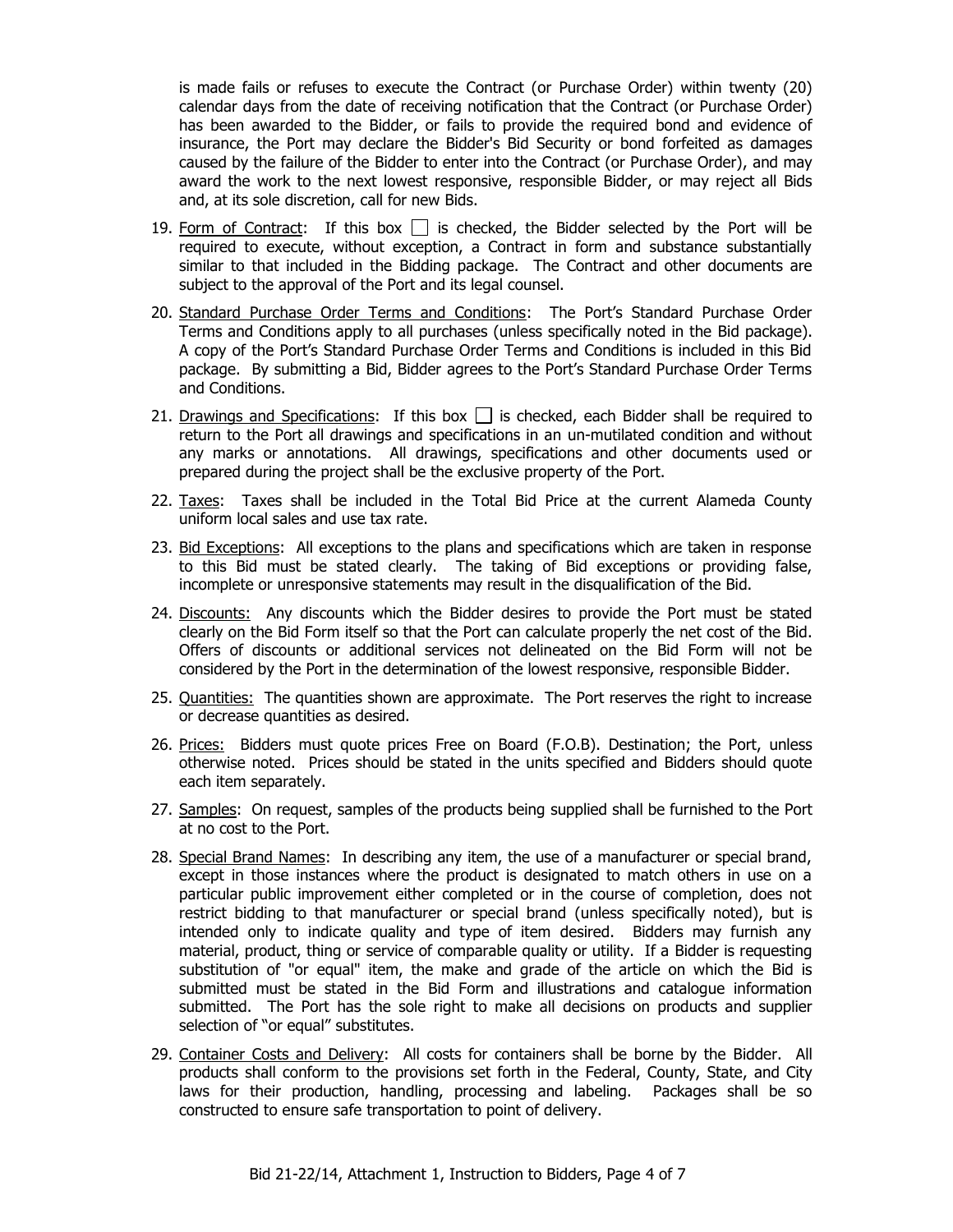is made fails or refuses to execute the Contract (or Purchase Order) within twenty (20) calendar days from the date of receiving notification that the Contract (or Purchase Order) has been awarded to the Bidder, or fails to provide the required bond and evidence of insurance, the Port may declare the Bidder's Bid Security or bond forfeited as damages caused by the failure of the Bidder to enter into the Contract (or Purchase Order), and may award the work to the next lowest responsive, responsible Bidder, or may reject all Bids and, at its sole discretion, call for new Bids.

- 19. Form of Contract: If this box  $\Box$  is checked, the Bidder selected by the Port will be required to execute, without exception, a Contract in form and substance substantially similar to that included in the Bidding package. The Contract and other documents are subject to the approval of the Port and its legal counsel.
- 20. Standard Purchase Order Terms and Conditions: The Port's Standard Purchase Order Terms and Conditions apply to all purchases (unless specifically noted in the Bid package). A copy of the Port's Standard Purchase Order Terms and Conditions is included in this Bid package. By submitting a Bid, Bidder agrees to the Port's Standard Purchase Order Terms and Conditions.
- 21. Drawings and Specifications: If this box  $\Box$  is checked, each Bidder shall be required to return to the Port all drawings and specifications in an un-mutilated condition and without any marks or annotations. All drawings, specifications and other documents used or prepared during the project shall be the exclusive property of the Port.
- 22. Taxes: Taxes shall be included in the Total Bid Price at the current Alameda County uniform local sales and use tax rate.
- 23. Bid Exceptions: All exceptions to the plans and specifications which are taken in response to this Bid must be stated clearly. The taking of Bid exceptions or providing false, incomplete or unresponsive statements may result in the disqualification of the Bid.
- 24. Discounts: Any discounts which the Bidder desires to provide the Port must be stated clearly on the Bid Form itself so that the Port can calculate properly the net cost of the Bid. Offers of discounts or additional services not delineated on the Bid Form will not be considered by the Port in the determination of the lowest responsive, responsible Bidder.
- 25. Quantities: The quantities shown are approximate. The Port reserves the right to increase or decrease quantities as desired.
- 26. Prices: Bidders must quote prices Free on Board (F.O.B). Destination; the Port, unless otherwise noted. Prices should be stated in the units specified and Bidders should quote each item separately.
- 27. Samples: On request, samples of the products being supplied shall be furnished to the Port at no cost to the Port.
- 28. Special Brand Names: In describing any item, the use of a manufacturer or special brand, except in those instances where the product is designated to match others in use on a particular public improvement either completed or in the course of completion, does not restrict bidding to that manufacturer or special brand (unless specifically noted), but is intended only to indicate quality and type of item desired. Bidders may furnish any material, product, thing or service of comparable quality or utility. If a Bidder is requesting substitution of "or equal" item, the make and grade of the article on which the Bid is submitted must be stated in the Bid Form and illustrations and catalogue information submitted. The Port has the sole right to make all decisions on products and supplier selection of "or equal" substitutes.
- 29. Container Costs and Delivery: All costs for containers shall be borne by the Bidder. All products shall conform to the provisions set forth in the Federal, County, State, and City laws for their production, handling, processing and labeling. Packages shall be so constructed to ensure safe transportation to point of delivery.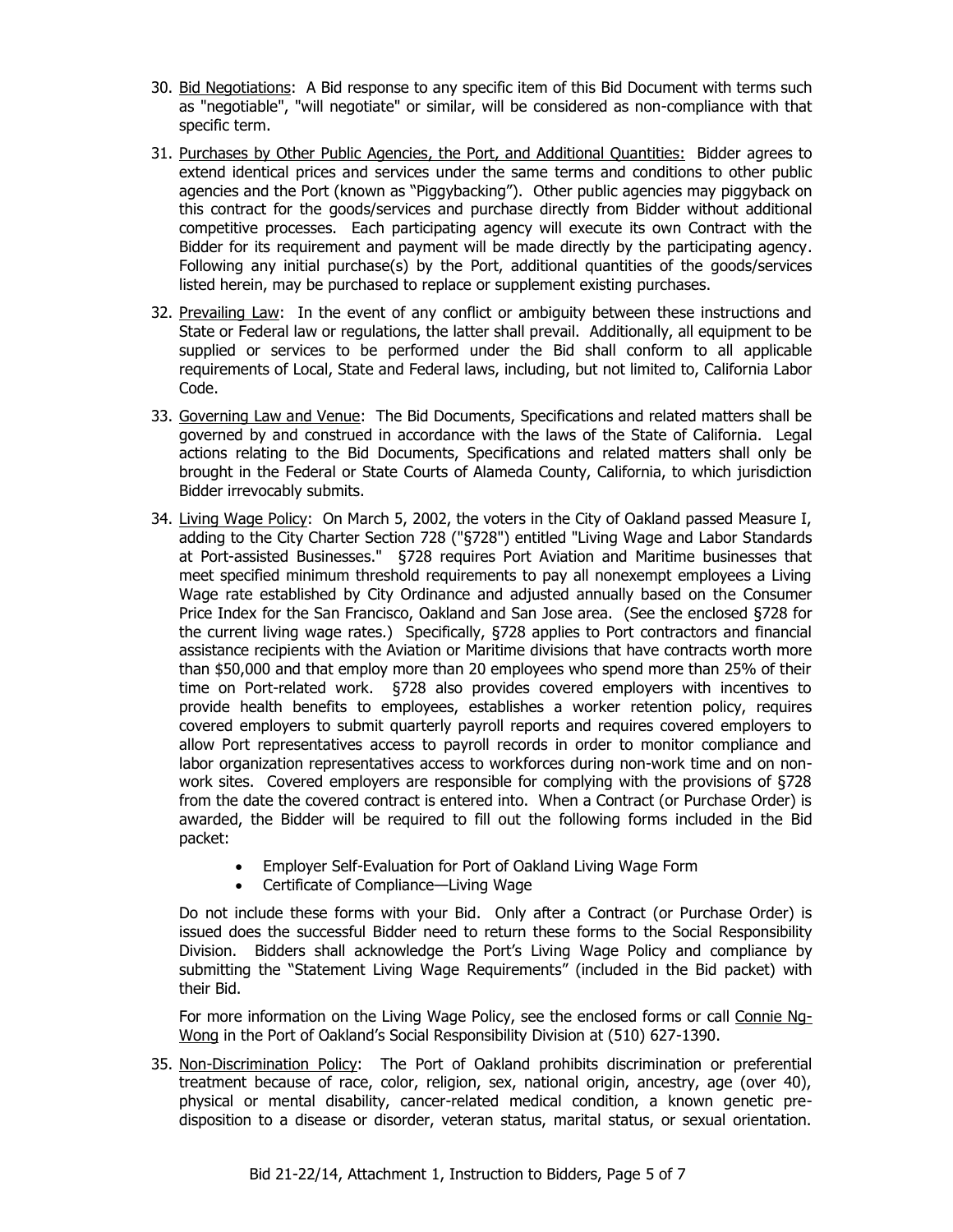- 30. Bid Negotiations: A Bid response to any specific item of this Bid Document with terms such as "negotiable", "will negotiate" or similar, will be considered as non-compliance with that specific term.
- 31. Purchases by Other Public Agencies, the Port, and Additional Quantities: Bidder agrees to extend identical prices and services under the same terms and conditions to other public agencies and the Port (known as "Piggybacking"). Other public agencies may piggyback on this contract for the goods/services and purchase directly from Bidder without additional competitive processes. Each participating agency will execute its own Contract with the Bidder for its requirement and payment will be made directly by the participating agency. Following any initial purchase(s) by the Port, additional quantities of the goods/services listed herein, may be purchased to replace or supplement existing purchases.
- 32. Prevailing Law: In the event of any conflict or ambiguity between these instructions and State or Federal law or regulations, the latter shall prevail. Additionally, all equipment to be supplied or services to be performed under the Bid shall conform to all applicable requirements of Local, State and Federal laws, including, but not limited to, California Labor Code.
- 33. Governing Law and Venue: The Bid Documents, Specifications and related matters shall be governed by and construed in accordance with the laws of the State of California. Legal actions relating to the Bid Documents, Specifications and related matters shall only be brought in the Federal or State Courts of Alameda County, California, to which jurisdiction Bidder irrevocably submits.
- 34. Living Wage Policy: On March 5, 2002, the voters in the City of Oakland passed Measure I, adding to the City Charter Section 728 ("§728") entitled "Living Wage and Labor Standards at Port-assisted Businesses." §728 requires Port Aviation and Maritime businesses that meet specified minimum threshold requirements to pay all nonexempt employees a Living Wage rate established by City Ordinance and adjusted annually based on the Consumer Price Index for the San Francisco, Oakland and San Jose area. (See the enclosed §728 for the current living wage rates.) Specifically, §728 applies to Port contractors and financial assistance recipients with the Aviation or Maritime divisions that have contracts worth more than \$50,000 and that employ more than 20 employees who spend more than 25% of their time on Port-related work. §728 also provides covered employers with incentives to provide health benefits to employees, establishes a worker retention policy, requires covered employers to submit quarterly payroll reports and requires covered employers to allow Port representatives access to payroll records in order to monitor compliance and labor organization representatives access to workforces during non-work time and on nonwork sites. Covered employers are responsible for complying with the provisions of §728 from the date the covered contract is entered into. When a Contract (or Purchase Order) is awarded, the Bidder will be required to fill out the following forms included in the Bid packet:
	- Employer Self-Evaluation for Port of Oakland Living Wage Form
	- Certificate of Compliance—Living Wage

Do not include these forms with your Bid. Only after a Contract (or Purchase Order) is issued does the successful Bidder need to return these forms to the Social Responsibility Division. Bidders shall acknowledge the Port's Living Wage Policy and compliance by submitting the "Statement Living Wage Requirements" (included in the Bid packet) with their Bid.

For more information on the Living Wage Policy, see the enclosed forms or call Connie Ng-Wong in the Port of Oakland's Social Responsibility Division at (510) 627-1390.

35. Non-Discrimination Policy: The Port of Oakland prohibits discrimination or preferential treatment because of race, color, religion, sex, national origin, ancestry, age (over 40), physical or mental disability, cancer-related medical condition, a known genetic predisposition to a disease or disorder, veteran status, marital status, or sexual orientation.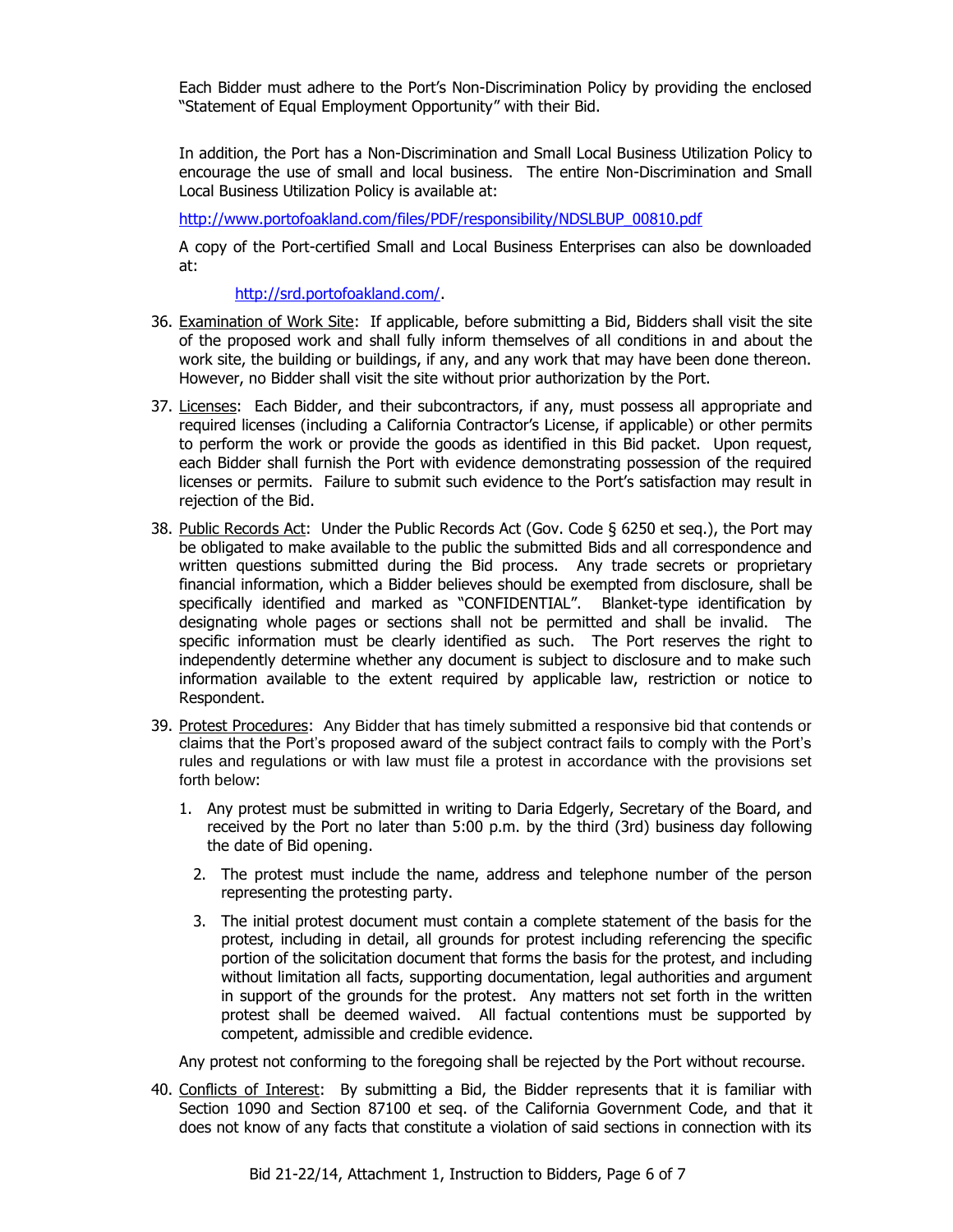Each Bidder must adhere to the Port's Non-Discrimination Policy by providing the enclosed "Statement of Equal Employment Opportunity" with their Bid.

In addition, the Port has a Non-Discrimination and Small Local Business Utilization Policy to encourage the use of small and local business. The entire Non-Discrimination and Small Local Business Utilization Policy is available at:

[http://www.portofoakland.com/files/PDF/responsibility/NDSLBUP\\_00810.pdf](http://www.portofoakland.com/files/PDF/responsibility/NDSLBUP_00810.pdf)

A copy of the Port-certified Small and Local Business Enterprises can also be downloaded at:

[http://srd.portofoakland.com/.](http://srd.portofoakland.com/)

- 36. Examination of Work Site: If applicable, before submitting a Bid, Bidders shall visit the site of the proposed work and shall fully inform themselves of all conditions in and about the work site, the building or buildings, if any, and any work that may have been done thereon. However, no Bidder shall visit the site without prior authorization by the Port.
- 37. Licenses: Each Bidder, and their subcontractors, if any, must possess all appropriate and required licenses (including a California Contractor's License, if applicable) or other permits to perform the work or provide the goods as identified in this Bid packet. Upon request, each Bidder shall furnish the Port with evidence demonstrating possession of the required licenses or permits. Failure to submit such evidence to the Port's satisfaction may result in rejection of the Bid.
- 38. Public Records Act: Under the Public Records Act (Gov. Code § 6250 et seq.), the Port may be obligated to make available to the public the submitted Bids and all correspondence and written questions submitted during the Bid process. Any trade secrets or proprietary financial information, which a Bidder believes should be exempted from disclosure, shall be specifically identified and marked as "CONFIDENTIAL". Blanket-type identification by designating whole pages or sections shall not be permitted and shall be invalid. The specific information must be clearly identified as such. The Port reserves the right to independently determine whether any document is subject to disclosure and to make such information available to the extent required by applicable law, restriction or notice to Respondent.
- 39. Protest Procedures:Any Bidder that has timely submitted a responsive bid that contends or claims that the Port's proposed award of the subject contract fails to comply with the Port's rules and regulations or with law must file a protest in accordance with the provisions set forth below:
	- 1. Any protest must be submitted in writing to Daria Edgerly, Secretary of the Board, and received by the Port no later than 5:00 p.m. by the third (3rd) business day following the date of Bid opening.
		- 2. The protest must include the name, address and telephone number of the person representing the protesting party.
		- 3. The initial protest document must contain a complete statement of the basis for the protest, including in detail, all grounds for protest including referencing the specific portion of the solicitation document that forms the basis for the protest, and including without limitation all facts, supporting documentation, legal authorities and argument in support of the grounds for the protest. Any matters not set forth in the written protest shall be deemed waived. All factual contentions must be supported by competent, admissible and credible evidence.

Any protest not conforming to the foregoing shall be rejected by the Port without recourse.

40. Conflicts of Interest: By submitting a Bid, the Bidder represents that it is familiar with Section 1090 and Section 87100 et seq. of the California Government Code, and that it does not know of any facts that constitute a violation of said sections in connection with its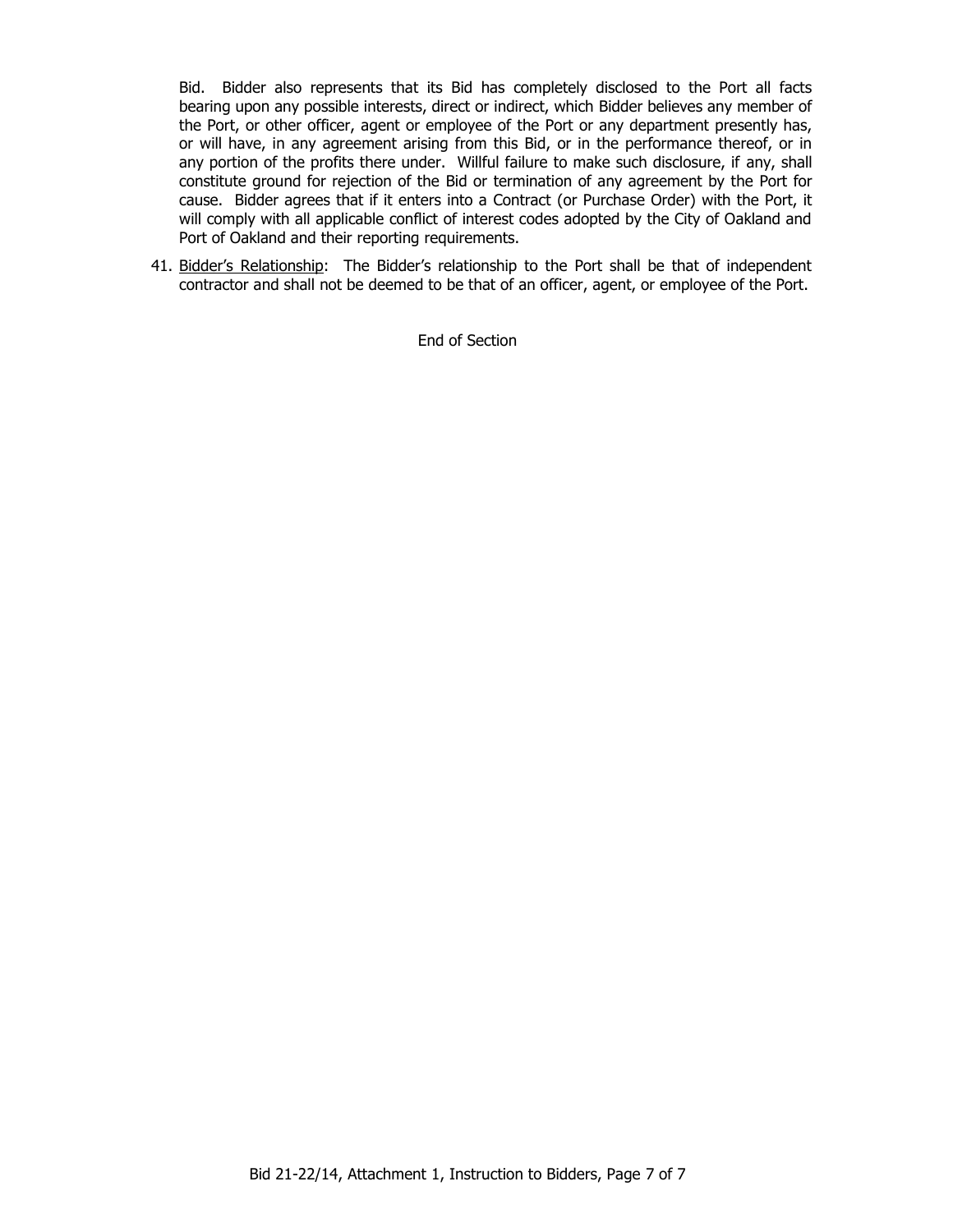Bid. Bidder also represents that its Bid has completely disclosed to the Port all facts bearing upon any possible interests, direct or indirect, which Bidder believes any member of the Port, or other officer, agent or employee of the Port or any department presently has, or will have, in any agreement arising from this Bid, or in the performance thereof, or in any portion of the profits there under. Willful failure to make such disclosure, if any, shall constitute ground for rejection of the Bid or termination of any agreement by the Port for cause. Bidder agrees that if it enters into a Contract (or Purchase Order) with the Port, it will comply with all applicable conflict of interest codes adopted by the City of Oakland and Port of Oakland and their reporting requirements.

41. Bidder's Relationship: The Bidder's relationship to the Port shall be that of independent contractor and shall not be deemed to be that of an officer, agent, or employee of the Port.

End of Section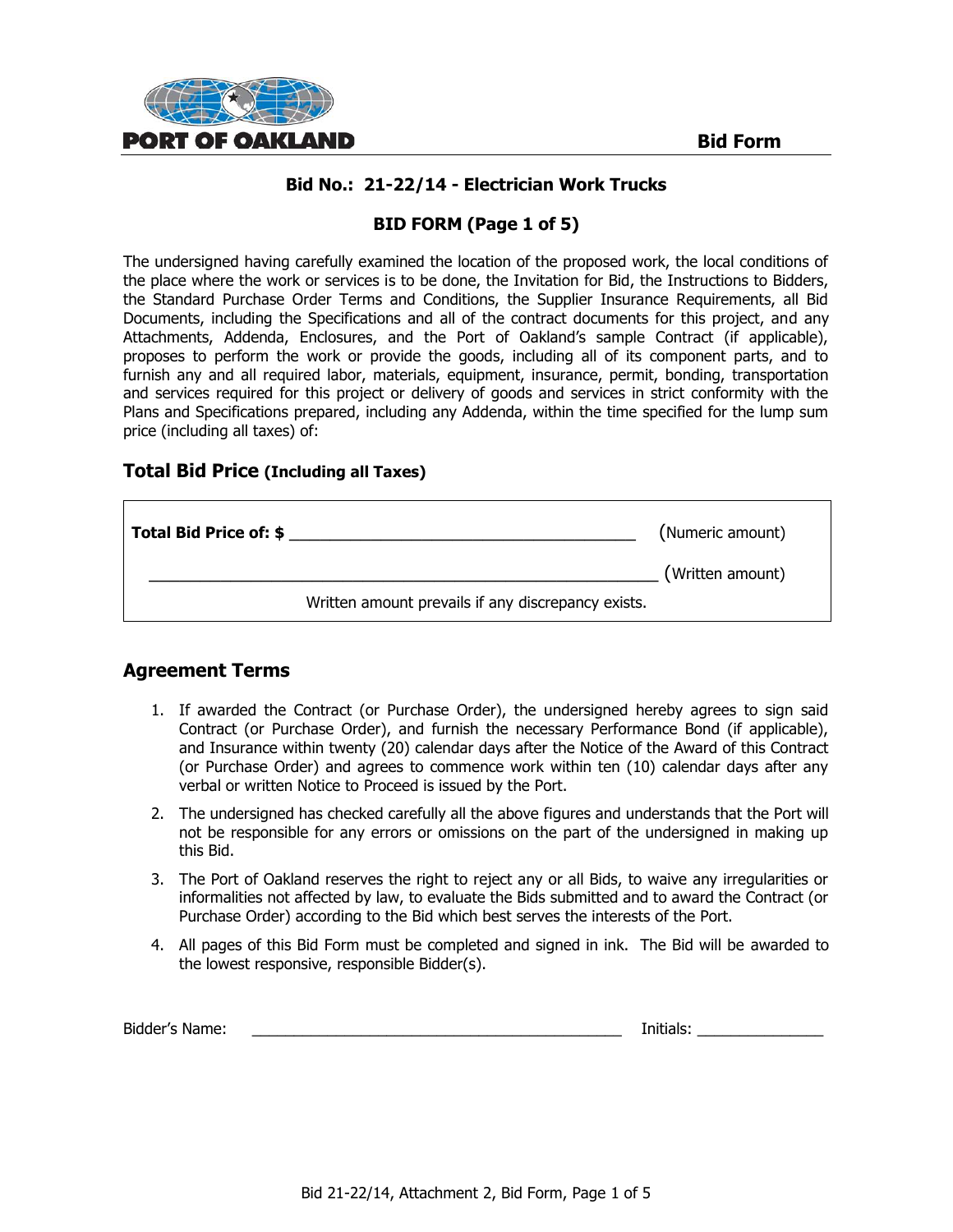

# **Bid No.: 21-22/14 - Electrician Work Trucks**

# **BID FORM (Page 1 of 5)**

The undersigned having carefully examined the location of the proposed work, the local conditions of the place where the work or services is to be done, the Invitation for Bid, the Instructions to Bidders, the Standard Purchase Order Terms and Conditions, the Supplier Insurance Requirements, all Bid Documents, including the Specifications and all of the contract documents for this project, and any Attachments, Addenda, Enclosures, and the Port of Oakland's sample Contract (if applicable), proposes to perform the work or provide the goods, including all of its component parts, and to furnish any and all required labor, materials, equipment, insurance, permit, bonding, transportation and services required for this project or delivery of goods and services in strict conformity with the Plans and Specifications prepared, including any Addenda, within the time specified for the lump sum price (including all taxes) of:

#### **Total Bid Price (Including all Taxes)**

| Total Bid Price of: \$ |                                                    | (Numeric amount) |
|------------------------|----------------------------------------------------|------------------|
|                        | Written amount prevails if any discrepancy exists. | (Written amount) |
|                        |                                                    |                  |

# **Agreement Terms**

- 1. If awarded the Contract (or Purchase Order), the undersigned hereby agrees to sign said Contract (or Purchase Order), and furnish the necessary Performance Bond (if applicable), and Insurance within twenty (20) calendar days after the Notice of the Award of this Contract (or Purchase Order) and agrees to commence work within ten (10) calendar days after any verbal or written Notice to Proceed is issued by the Port.
- 2. The undersigned has checked carefully all the above figures and understands that the Port will not be responsible for any errors or omissions on the part of the undersigned in making up this Bid.
- 3. The Port of Oakland reserves the right to reject any or all Bids, to waive any irregularities or informalities not affected by law, to evaluate the Bids submitted and to award the Contract (or Purchase Order) according to the Bid which best serves the interests of the Port.
- 4. All pages of this Bid Form must be completed and signed in ink. The Bid will be awarded to the lowest responsive, responsible Bidder(s).

| Bidder's Name: |  | Initials: |
|----------------|--|-----------|
|----------------|--|-----------|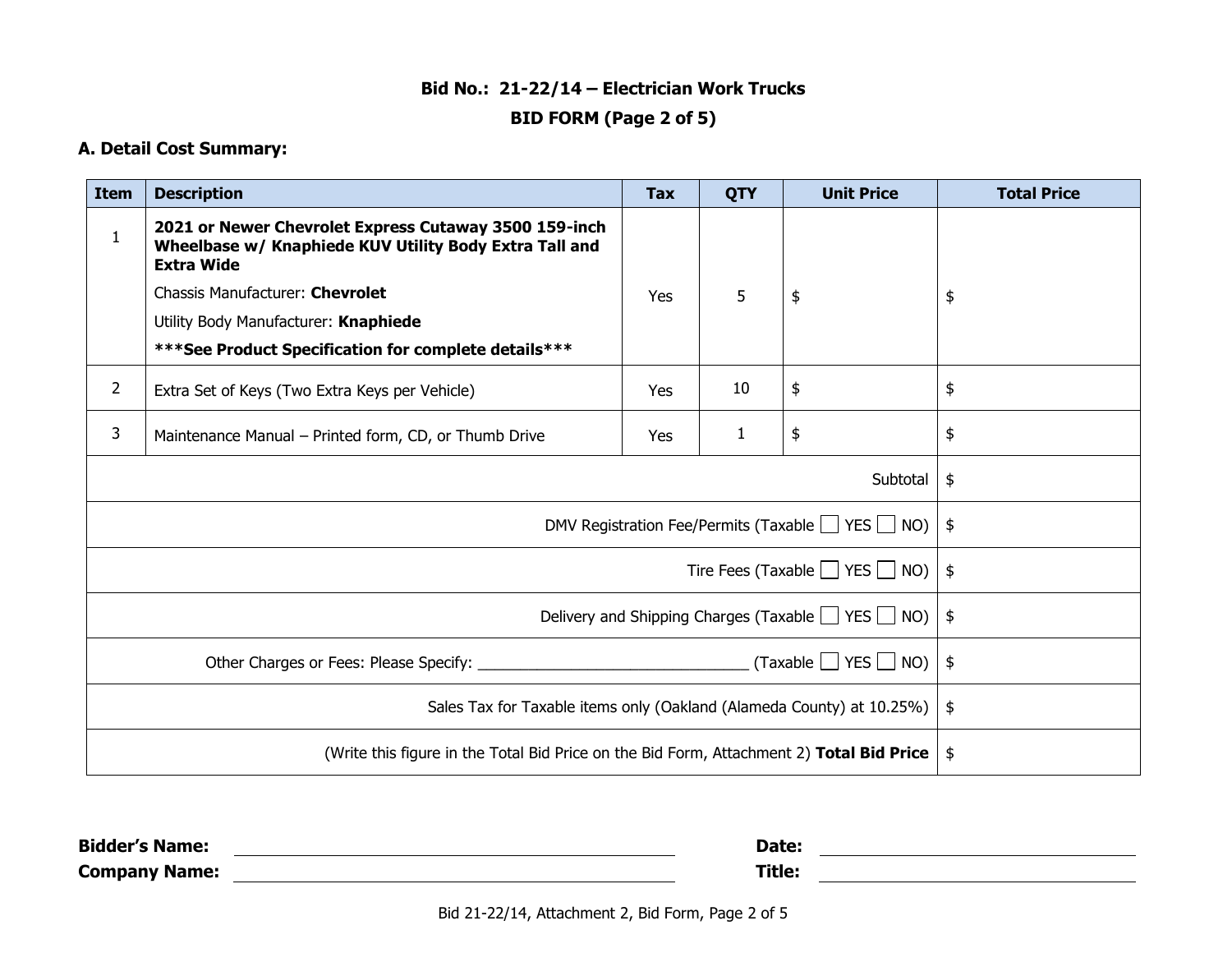# **Bid No.: 21-22/14 – Electrician Work Trucks**

# **BID FORM (Page 2 of 5)**

# **A. Detail Cost Summary:**

| <b>Item</b>                                                           | <b>Description</b>                                                                                                                   | <b>Tax</b> | <b>QTY</b> | <b>Unit Price</b> | <b>Total Price</b> |
|-----------------------------------------------------------------------|--------------------------------------------------------------------------------------------------------------------------------------|------------|------------|-------------------|--------------------|
| $\mathbf{1}$                                                          | 2021 or Newer Chevrolet Express Cutaway 3500 159-inch<br>Wheelbase w/ Knaphiede KUV Utility Body Extra Tall and<br><b>Extra Wide</b> |            |            |                   |                    |
|                                                                       | Chassis Manufacturer: Chevrolet                                                                                                      | <b>Yes</b> | 5          | \$                | \$                 |
|                                                                       | Utility Body Manufacturer: Knaphiede                                                                                                 |            |            |                   |                    |
|                                                                       | *** See Product Specification for complete details***                                                                                |            |            |                   |                    |
| $\overline{2}$                                                        | Extra Set of Keys (Two Extra Keys per Vehicle)                                                                                       | <b>Yes</b> | 10         | \$                | \$                 |
| 3                                                                     | Maintenance Manual - Printed form, CD, or Thumb Drive                                                                                | Yes        | 1          | \$                | \$                 |
| Subtotal                                                              |                                                                                                                                      |            |            |                   | \$                 |
| DMV Registration Fee/Permits (Taxable $\Box$ YES $\Box$ NO)           |                                                                                                                                      |            |            |                   | \$                 |
| Tire Fees (Taxable $\Box$ YES $\Box$ NO)                              |                                                                                                                                      |            |            |                   | \$                 |
| Delivery and Shipping Charges (Taxable $\Box$ YES $\Box$ NO)          |                                                                                                                                      |            |            |                   | $\frac{4}{5}$      |
| $(Taxable \cup YES \cup NO)$                                          |                                                                                                                                      |            |            | $\frac{1}{2}$     |                    |
| Sales Tax for Taxable items only (Oakland (Alameda County) at 10.25%) |                                                                                                                                      |            |            | $\frac{1}{2}$     |                    |
|                                                                       | (Write this figure in the Total Bid Price on the Bid Form, Attachment 2) Total Bid Price                                             |            |            |                   | $\frac{1}{2}$      |

| <b>Bidder's Name:</b> | Date:  |  |
|-----------------------|--------|--|
| <b>Company Name:</b>  | Title. |  |

Bid 21-22/14, Attachment 2, Bid Form, Page 2 of 5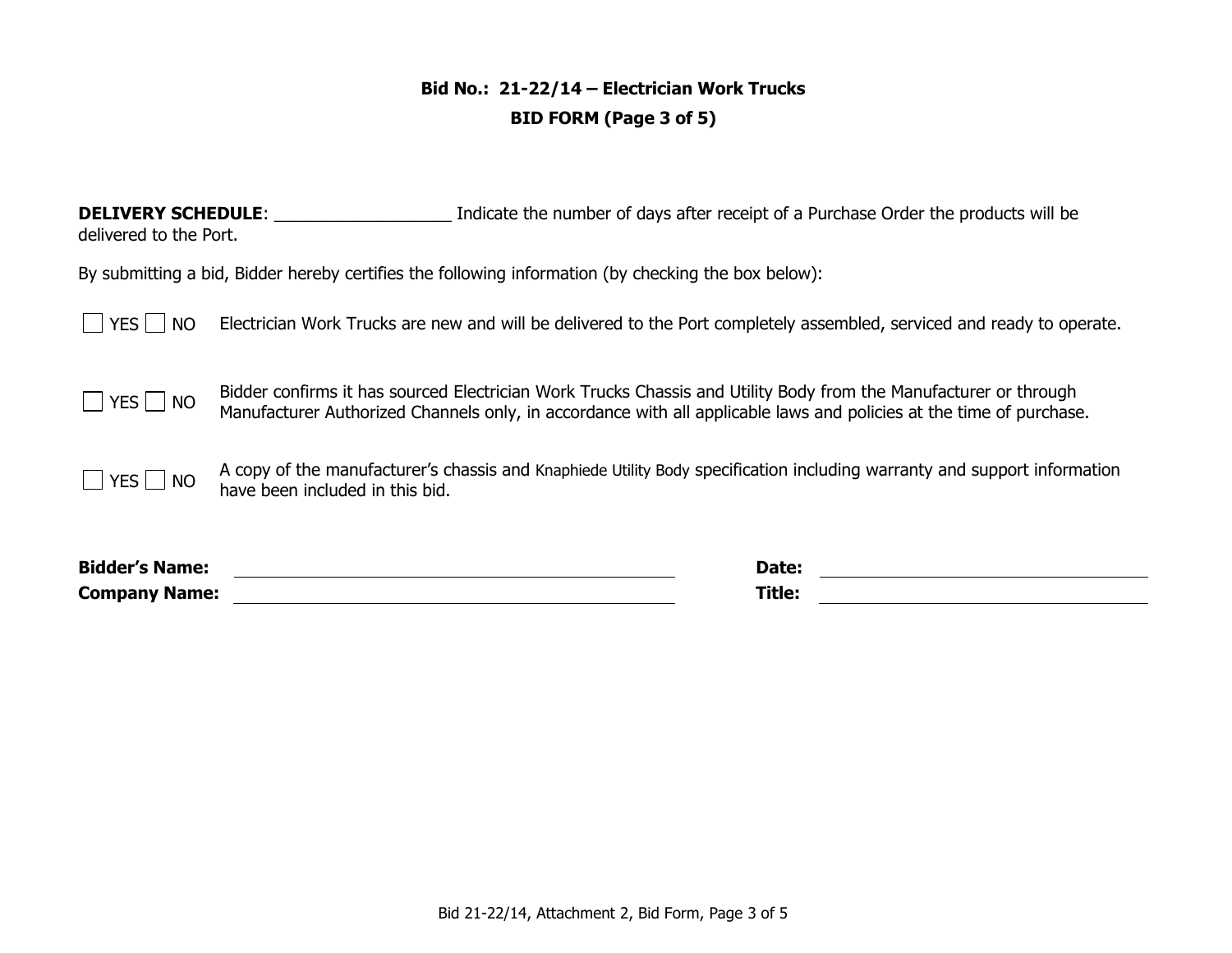# **Bid No.: 21-22/14 – Electrician Work Trucks BID FORM (Page 3 of 5)**

**DELIVERY SCHEDULE:** \_\_\_\_\_\_\_\_\_\_\_\_\_\_\_\_\_\_\_\_\_\_\_\_ Indicate the number of days after receipt of a Purchase Order the products will be delivered to the Port.

By submitting a bid, Bidder hereby certifies the following information (by checking the box below):

YES NO Electrician Work Trucks are new and will be delivered to the Port completely assembled, serviced and ready to operate.

 $\Box$  YES  $\Box$  NO Bidder confirms it has sourced Electrician Work Trucks Chassis and Utility Body from the Manufacturer or through  $\Box$  YES  $\Box$  NO Manufacturer or through Manufacturer Authorized Channels only, in accordance with all applicable laws and policies at the time of purchase.

 $\Box$  YES  $\Box$  NO  $\Box$  A copy of the manufacturer's chassis and Knaphiede Utility Body specification including warranty and support information have been included in this bid.

**Bidder's Name: Date: Company Name: Title:**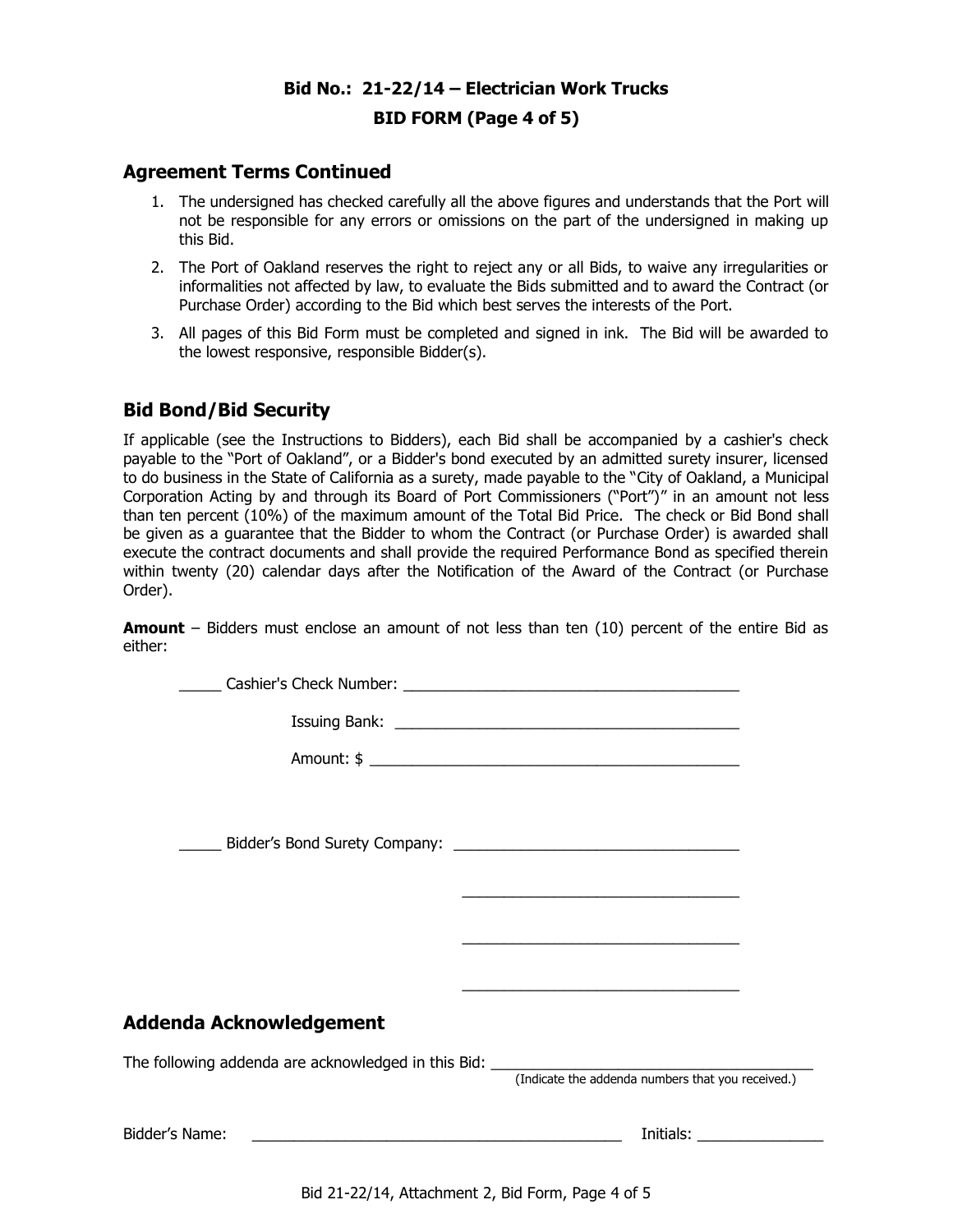# **Bid No.: 21-22/14 – Electrician Work Trucks BID FORM (Page 4 of 5)**

## **Agreement Terms Continued**

- 1. The undersigned has checked carefully all the above figures and understands that the Port will not be responsible for any errors or omissions on the part of the undersigned in making up this Bid.
- 2. The Port of Oakland reserves the right to reject any or all Bids, to waive any irregularities or informalities not affected by law, to evaluate the Bids submitted and to award the Contract (or Purchase Order) according to the Bid which best serves the interests of the Port.
- 3. All pages of this Bid Form must be completed and signed in ink. The Bid will be awarded to the lowest responsive, responsible Bidder(s).

# **Bid Bond/Bid Security**

If applicable (see the Instructions to Bidders), each Bid shall be accompanied by a cashier's check payable to the "Port of Oakland", or a Bidder's bond executed by an admitted surety insurer, licensed to do business in the State of California as a surety, made payable to the "City of Oakland, a Municipal Corporation Acting by and through its Board of Port Commissioners ("Port")" in an amount not less than ten percent (10%) of the maximum amount of the Total Bid Price. The check or Bid Bond shall be given as a guarantee that the Bidder to whom the Contract (or Purchase Order) is awarded shall execute the contract documents and shall provide the required Performance Bond as specified therein within twenty (20) calendar days after the Notification of the Award of the Contract (or Purchase Order).

**Amount** – Bidders must enclose an amount of not less than ten (10) percent of the entire Bid as either:

| Addenda Acknowledgement                                                           | <u> 1990 - Johann Harry Harry Harry Harry Harry Harry Harry Harry Harry Harry Harry Harry Harry Harry Harry Harry</u> |
|-----------------------------------------------------------------------------------|-----------------------------------------------------------------------------------------------------------------------|
|                                                                                   |                                                                                                                       |
| The following addenda are acknowledged in this Bid: _____________________________ | (Indicate the addenda numbers that you received.)                                                                     |
|                                                                                   |                                                                                                                       |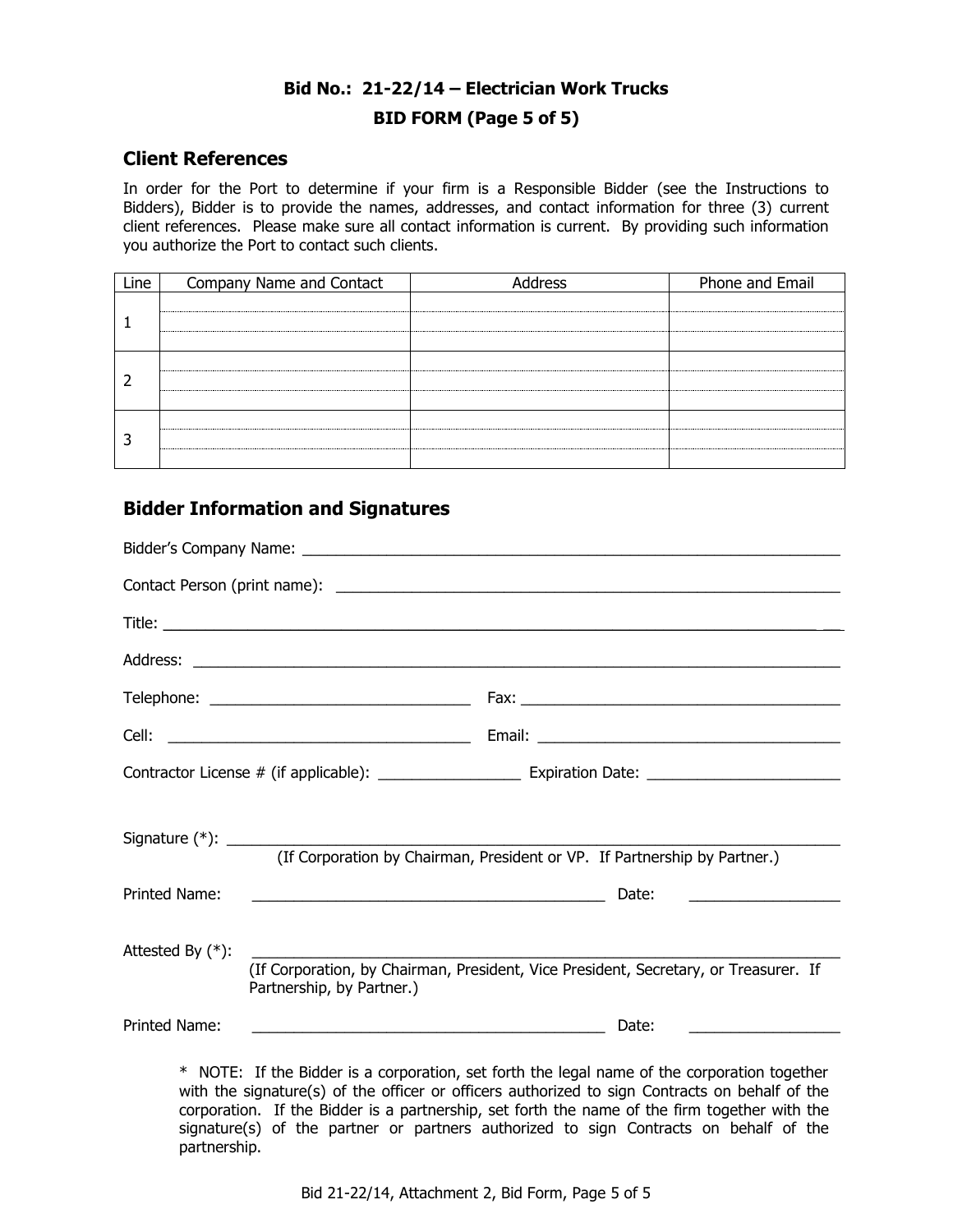# **Bid No.: 21-22/14 – Electrician Work Trucks BID FORM (Page 5 of 5)**

## **Client References**

In order for the Port to determine if your firm is a Responsible Bidder (see the Instructions to Bidders), Bidder is to provide the names, addresses, and contact information for three (3) current client references. Please make sure all contact information is current. By providing such information you authorize the Port to contact such clients.

| Line | Company Name and Contact | Address | Phone and Email |
|------|--------------------------|---------|-----------------|
|      |                          |         |                 |
|      |                          |         |                 |
|      |                          |         |                 |

# **Bidder Information and Signatures**

|                     | (If Corporation by Chairman, President or VP. If Partnership by Partner.)                                            |                                                                                             |
|---------------------|----------------------------------------------------------------------------------------------------------------------|---------------------------------------------------------------------------------------------|
| Printed Name:       |                                                                                                                      | Date:<br><u> 1989 - Andrea Barbara, poeta espa</u>                                          |
| Attested By $(*)$ : | Partnership, by Partner.)                                                                                            | (If Corporation, by Chairman, President, Vice President, Secretary, or Treasurer. If        |
| Printed Name:       | <u> 1989 - Johann Barbara, martin amerikan basar dan berasal dalam basa dalam basa dalam basa dalam basa dalam b</u> | Date:                                                                                       |
|                     |                                                                                                                      | * NOTE: If the Bidder is a corporation set forth the legal name of the corporation together |

NOTE: If the Bidder is a corporation, set forth the legal name of the corporation together with the signature(s) of the officer or officers authorized to sign Contracts on behalf of the corporation. If the Bidder is a partnership, set forth the name of the firm together with the signature(s) of the partner or partners authorized to sign Contracts on behalf of the partnership.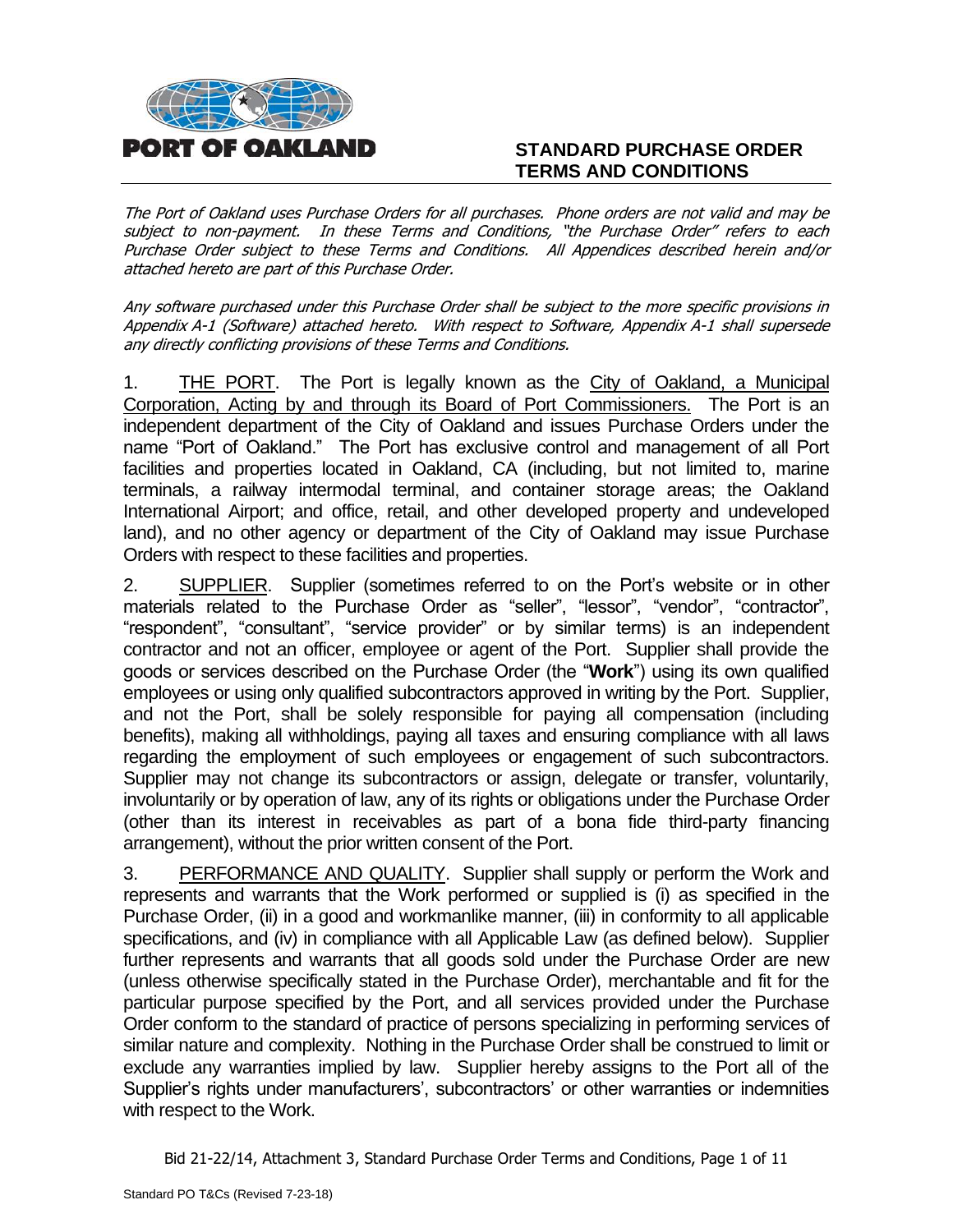

# **STANDARD PURCHASE ORDER TERMS AND CONDITIONS**

The Port of Oakland uses Purchase Orders for all purchases. Phone orders are not valid and may be subject to non-payment. In these Terms and Conditions, "the Purchase Order" refers to each Purchase Order subject to these Terms and Conditions. All Appendices described herein and/or attached hereto are part of this Purchase Order.

Any software purchased under this Purchase Order shall be subject to the more specific provisions in Appendix A-1 (Software) attached hereto. With respect to Software, Appendix A-1 shall supersede any directly conflicting provisions of these Terms and Conditions.

1. THE PORT. The Port is legally known as the City of Oakland, a Municipal Corporation, Acting by and through its Board of Port Commissioners. The Port is an independent department of the City of Oakland and issues Purchase Orders under the name "Port of Oakland." The Port has exclusive control and management of all Port facilities and properties located in Oakland, CA (including, but not limited to, marine terminals, a railway intermodal terminal, and container storage areas; the Oakland International Airport; and office, retail, and other developed property and undeveloped land), and no other agency or department of the City of Oakland may issue Purchase Orders with respect to these facilities and properties.

2. SUPPLIER. Supplier (sometimes referred to on the Port's website or in other materials related to the Purchase Order as "seller", "lessor", "vendor", "contractor", "respondent", "consultant", "service provider" or by similar terms) is an independent contractor and not an officer, employee or agent of the Port. Supplier shall provide the goods or services described on the Purchase Order (the "**Work**") using its own qualified employees or using only qualified subcontractors approved in writing by the Port. Supplier, and not the Port, shall be solely responsible for paying all compensation (including benefits), making all withholdings, paying all taxes and ensuring compliance with all laws regarding the employment of such employees or engagement of such subcontractors. Supplier may not change its subcontractors or assign, delegate or transfer, voluntarily, involuntarily or by operation of law, any of its rights or obligations under the Purchase Order (other than its interest in receivables as part of a bona fide third-party financing arrangement), without the prior written consent of the Port.

3. PERFORMANCE AND QUALITY. Supplier shall supply or perform the Work and represents and warrants that the Work performed or supplied is (i) as specified in the Purchase Order, (ii) in a good and workmanlike manner, (iii) in conformity to all applicable specifications, and (iv) in compliance with all Applicable Law (as defined below). Supplier further represents and warrants that all goods sold under the Purchase Order are new (unless otherwise specifically stated in the Purchase Order), merchantable and fit for the particular purpose specified by the Port, and all services provided under the Purchase Order conform to the standard of practice of persons specializing in performing services of similar nature and complexity. Nothing in the Purchase Order shall be construed to limit or exclude any warranties implied by law. Supplier hereby assigns to the Port all of the Supplier's rights under manufacturers', subcontractors' or other warranties or indemnities with respect to the Work.

Bid 21-22/14, Attachment 3, Standard Purchase Order Terms and Conditions, Page 1 of 11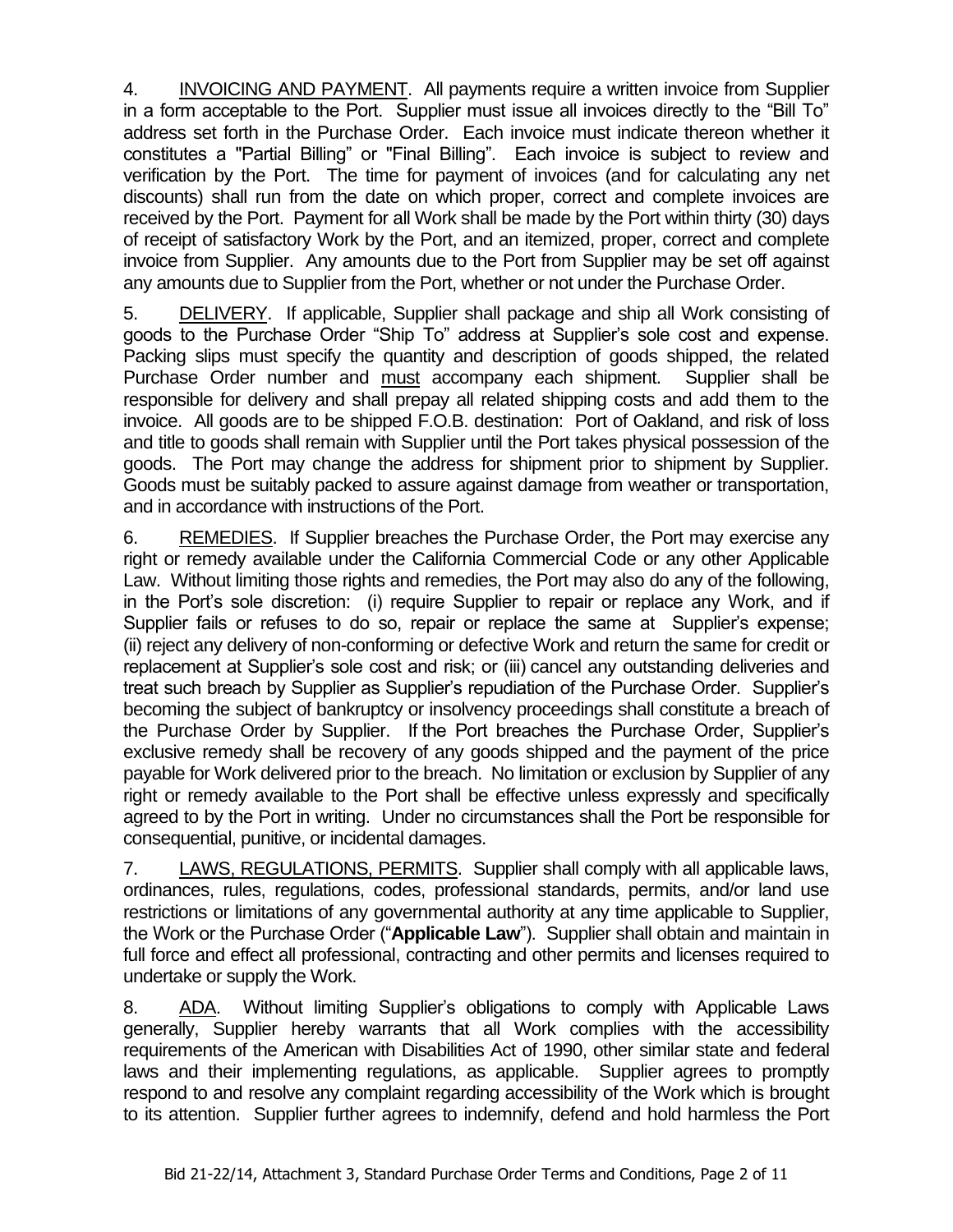4. INVOICING AND PAYMENT. All payments require a written invoice from Supplier in a form acceptable to the Port. Supplier must issue all invoices directly to the "Bill To" address set forth in the Purchase Order. Each invoice must indicate thereon whether it constitutes a "Partial Billing" or "Final Billing". Each invoice is subject to review and verification by the Port. The time for payment of invoices (and for calculating any net discounts) shall run from the date on which proper, correct and complete invoices are received by the Port. Payment for all Work shall be made by the Port within thirty (30) days of receipt of satisfactory Work by the Port, and an itemized, proper, correct and complete invoice from Supplier. Any amounts due to the Port from Supplier may be set off against any amounts due to Supplier from the Port, whether or not under the Purchase Order.

5. DELIVERY. If applicable, Supplier shall package and ship all Work consisting of goods to the Purchase Order "Ship To" address at Supplier's sole cost and expense. Packing slips must specify the quantity and description of goods shipped, the related Purchase Order number and must accompany each shipment. Supplier shall be responsible for delivery and shall prepay all related shipping costs and add them to the invoice. All goods are to be shipped F.O.B. destination: Port of Oakland, and risk of loss and title to goods shall remain with Supplier until the Port takes physical possession of the goods. The Port may change the address for shipment prior to shipment by Supplier. Goods must be suitably packed to assure against damage from weather or transportation, and in accordance with instructions of the Port.

6. REMEDIES. If Supplier breaches the Purchase Order, the Port may exercise any right or remedy available under the California Commercial Code or any other Applicable Law. Without limiting those rights and remedies, the Port may also do any of the following, in the Port's sole discretion: (i) require Supplier to repair or replace any Work, and if Supplier fails or refuses to do so, repair or replace the same at Supplier's expense; (ii) reject any delivery of non-conforming or defective Work and return the same for credit or replacement at Supplier's sole cost and risk; or (iii) cancel any outstanding deliveries and treat such breach by Supplier as Supplier's repudiation of the Purchase Order. Supplier's becoming the subject of bankruptcy or insolvency proceedings shall constitute a breach of the Purchase Order by Supplier. If the Port breaches the Purchase Order, Supplier's exclusive remedy shall be recovery of any goods shipped and the payment of the price payable for Work delivered prior to the breach. No limitation or exclusion by Supplier of any right or remedy available to the Port shall be effective unless expressly and specifically agreed to by the Port in writing. Under no circumstances shall the Port be responsible for consequential, punitive, or incidental damages.

7. LAWS, REGULATIONS, PERMITS. Supplier shall comply with all applicable laws, ordinances, rules, regulations, codes, professional standards, permits, and/or land use restrictions or limitations of any governmental authority at any time applicable to Supplier, the Work or the Purchase Order ("**Applicable Law**"). Supplier shall obtain and maintain in full force and effect all professional, contracting and other permits and licenses required to undertake or supply the Work.

8. ADA. Without limiting Supplier's obligations to comply with Applicable Laws generally, Supplier hereby warrants that all Work complies with the accessibility requirements of the American with Disabilities Act of 1990, other similar state and federal laws and their implementing regulations, as applicable. Supplier agrees to promptly respond to and resolve any complaint regarding accessibility of the Work which is brought to its attention. Supplier further agrees to indemnify, defend and hold harmless the Port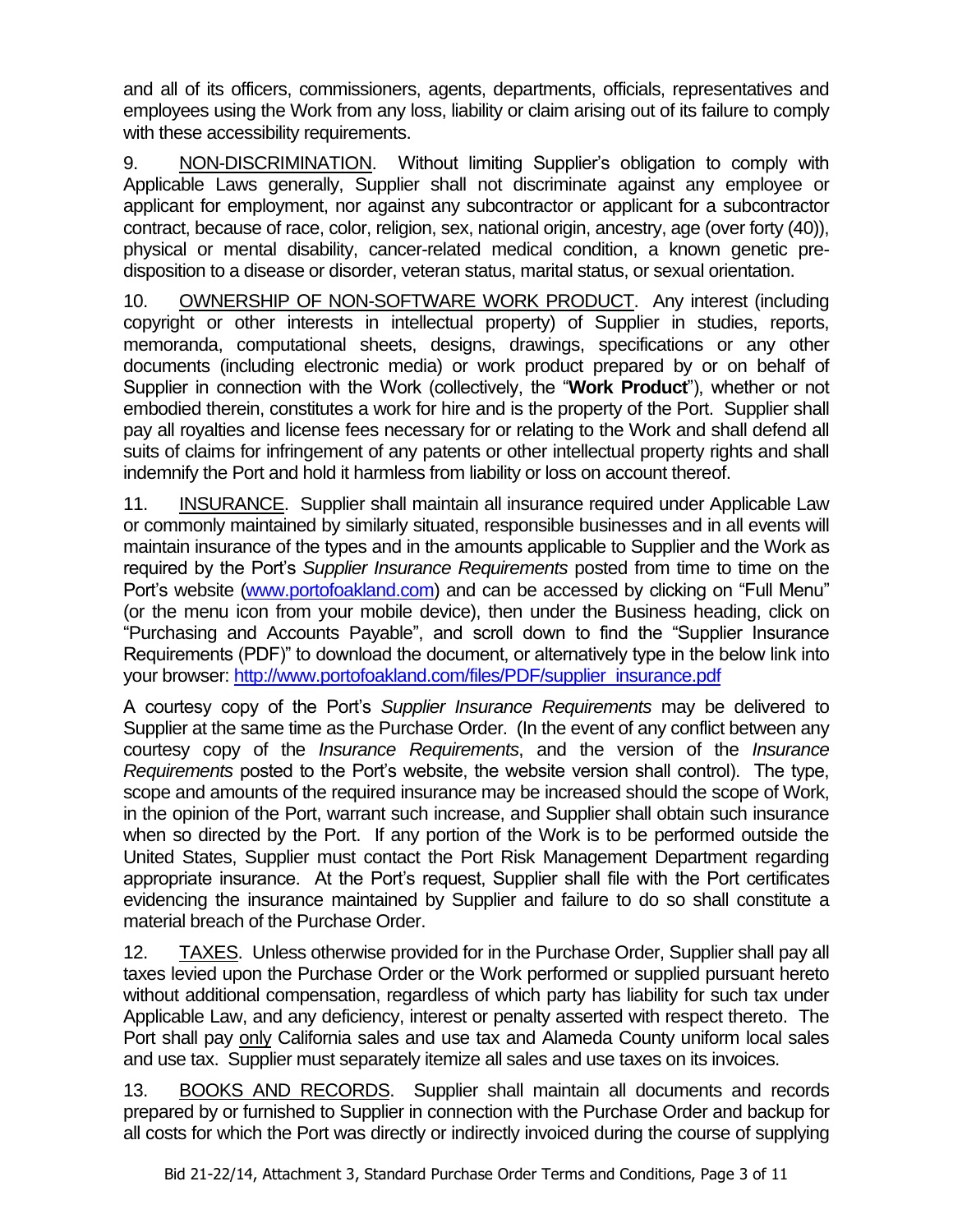and all of its officers, commissioners, agents, departments, officials, representatives and employees using the Work from any loss, liability or claim arising out of its failure to comply with these accessibility requirements.

9. NON-DISCRIMINATION. Without limiting Supplier's obligation to comply with Applicable Laws generally, Supplier shall not discriminate against any employee or applicant for employment, nor against any subcontractor or applicant for a subcontractor contract, because of race, color, religion, sex, national origin, ancestry, age (over forty (40)), physical or mental disability, cancer-related medical condition, a known genetic predisposition to a disease or disorder, veteran status, marital status, or sexual orientation.

10. OWNERSHIP OF NON-SOFTWARE WORK PRODUCT. Any interest (including copyright or other interests in intellectual property) of Supplier in studies, reports, memoranda, computational sheets, designs, drawings, specifications or any other documents (including electronic media) or work product prepared by or on behalf of Supplier in connection with the Work (collectively, the "**Work Product**"), whether or not embodied therein, constitutes a work for hire and is the property of the Port. Supplier shall pay all royalties and license fees necessary for or relating to the Work and shall defend all suits of claims for infringement of any patents or other intellectual property rights and shall indemnify the Port and hold it harmless from liability or loss on account thereof.

11. INSURANCE. Supplier shall maintain all insurance required under Applicable Law or commonly maintained by similarly situated, responsible businesses and in all events will maintain insurance of the types and in the amounts applicable to Supplier and the Work as required by the Port's *Supplier Insurance Requirements* posted from time to time on the Port's website [\(www.portofoakland.com\)](http://www.portofoakland.com/) and can be accessed by clicking on "Full Menu" (or the menu icon from your mobile device), then under the Business heading, click on "Purchasing and Accounts Payable", and scroll down to find the "Supplier Insurance Requirements (PDF)" to download the document, or alternatively type in the below link into your browser: [http://www.portofoakland.com/files/PDF/supplier\\_insurance.pdf](http://www.portofoakland.com/files/PDF/supplier_insurance.pdf)

A courtesy copy of the Port's *Supplier Insurance Requirements* may be delivered to Supplier at the same time as the Purchase Order. (In the event of any conflict between any courtesy copy of the *Insurance Requirements*, and the version of the *Insurance Requirements* posted to the Port's website, the website version shall control). The type, scope and amounts of the required insurance may be increased should the scope of Work, in the opinion of the Port, warrant such increase, and Supplier shall obtain such insurance when so directed by the Port. If any portion of the Work is to be performed outside the United States, Supplier must contact the Port Risk Management Department regarding appropriate insurance. At the Port's request, Supplier shall file with the Port certificates evidencing the insurance maintained by Supplier and failure to do so shall constitute a material breach of the Purchase Order.

12. TAXES. Unless otherwise provided for in the Purchase Order, Supplier shall pay all taxes levied upon the Purchase Order or the Work performed or supplied pursuant hereto without additional compensation, regardless of which party has liability for such tax under Applicable Law, and any deficiency, interest or penalty asserted with respect thereto. The Port shall pay only California sales and use tax and Alameda County uniform local sales and use tax. Supplier must separately itemize all sales and use taxes on its invoices.

13. BOOKS AND RECORDS. Supplier shall maintain all documents and records prepared by or furnished to Supplier in connection with the Purchase Order and backup for all costs for which the Port was directly or indirectly invoiced during the course of supplying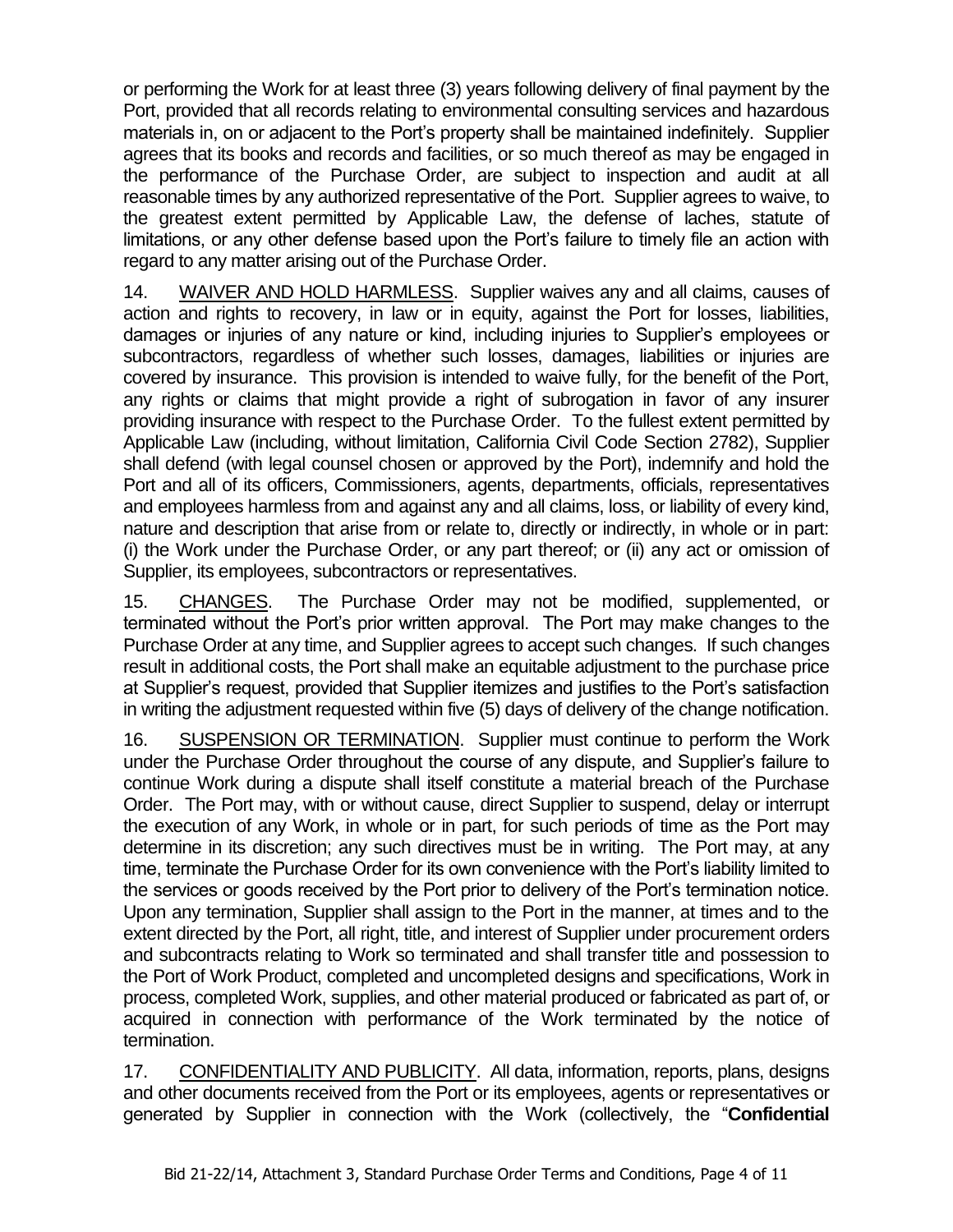or performing the Work for at least three (3) years following delivery of final payment by the Port, provided that all records relating to environmental consulting services and hazardous materials in, on or adjacent to the Port's property shall be maintained indefinitely. Supplier agrees that its books and records and facilities, or so much thereof as may be engaged in the performance of the Purchase Order, are subject to inspection and audit at all reasonable times by any authorized representative of the Port. Supplier agrees to waive, to the greatest extent permitted by Applicable Law, the defense of laches, statute of limitations, or any other defense based upon the Port's failure to timely file an action with regard to any matter arising out of the Purchase Order.

14. WAIVER AND HOLD HARMLESS. Supplier waives any and all claims, causes of action and rights to recovery, in law or in equity, against the Port for losses, liabilities, damages or injuries of any nature or kind, including injuries to Supplier's employees or subcontractors, regardless of whether such losses, damages, liabilities or injuries are covered by insurance. This provision is intended to waive fully, for the benefit of the Port, any rights or claims that might provide a right of subrogation in favor of any insurer providing insurance with respect to the Purchase Order. To the fullest extent permitted by Applicable Law (including, without limitation, California Civil Code Section 2782), Supplier shall defend (with legal counsel chosen or approved by the Port), indemnify and hold the Port and all of its officers, Commissioners, agents, departments, officials, representatives and employees harmless from and against any and all claims, loss, or liability of every kind, nature and description that arise from or relate to, directly or indirectly, in whole or in part: (i) the Work under the Purchase Order, or any part thereof; or (ii) any act or omission of Supplier, its employees, subcontractors or representatives.

15. CHANGES. The Purchase Order may not be modified, supplemented, or terminated without the Port's prior written approval. The Port may make changes to the Purchase Order at any time, and Supplier agrees to accept such changes. If such changes result in additional costs, the Port shall make an equitable adjustment to the purchase price at Supplier's request, provided that Supplier itemizes and justifies to the Port's satisfaction in writing the adjustment requested within five (5) days of delivery of the change notification.

16. SUSPENSION OR TERMINATION. Supplier must continue to perform the Work under the Purchase Order throughout the course of any dispute, and Supplier's failure to continue Work during a dispute shall itself constitute a material breach of the Purchase Order. The Port may, with or without cause, direct Supplier to suspend, delay or interrupt the execution of any Work, in whole or in part, for such periods of time as the Port may determine in its discretion; any such directives must be in writing. The Port may, at any time, terminate the Purchase Order for its own convenience with the Port's liability limited to the services or goods received by the Port prior to delivery of the Port's termination notice. Upon any termination, Supplier shall assign to the Port in the manner, at times and to the extent directed by the Port, all right, title, and interest of Supplier under procurement orders and subcontracts relating to Work so terminated and shall transfer title and possession to the Port of Work Product, completed and uncompleted designs and specifications, Work in process, completed Work, supplies, and other material produced or fabricated as part of, or acquired in connection with performance of the Work terminated by the notice of termination.

17. CONFIDENTIALITY AND PUBLICITY. All data, information, reports, plans, designs and other documents received from the Port or its employees, agents or representatives or generated by Supplier in connection with the Work (collectively, the "**Confidential**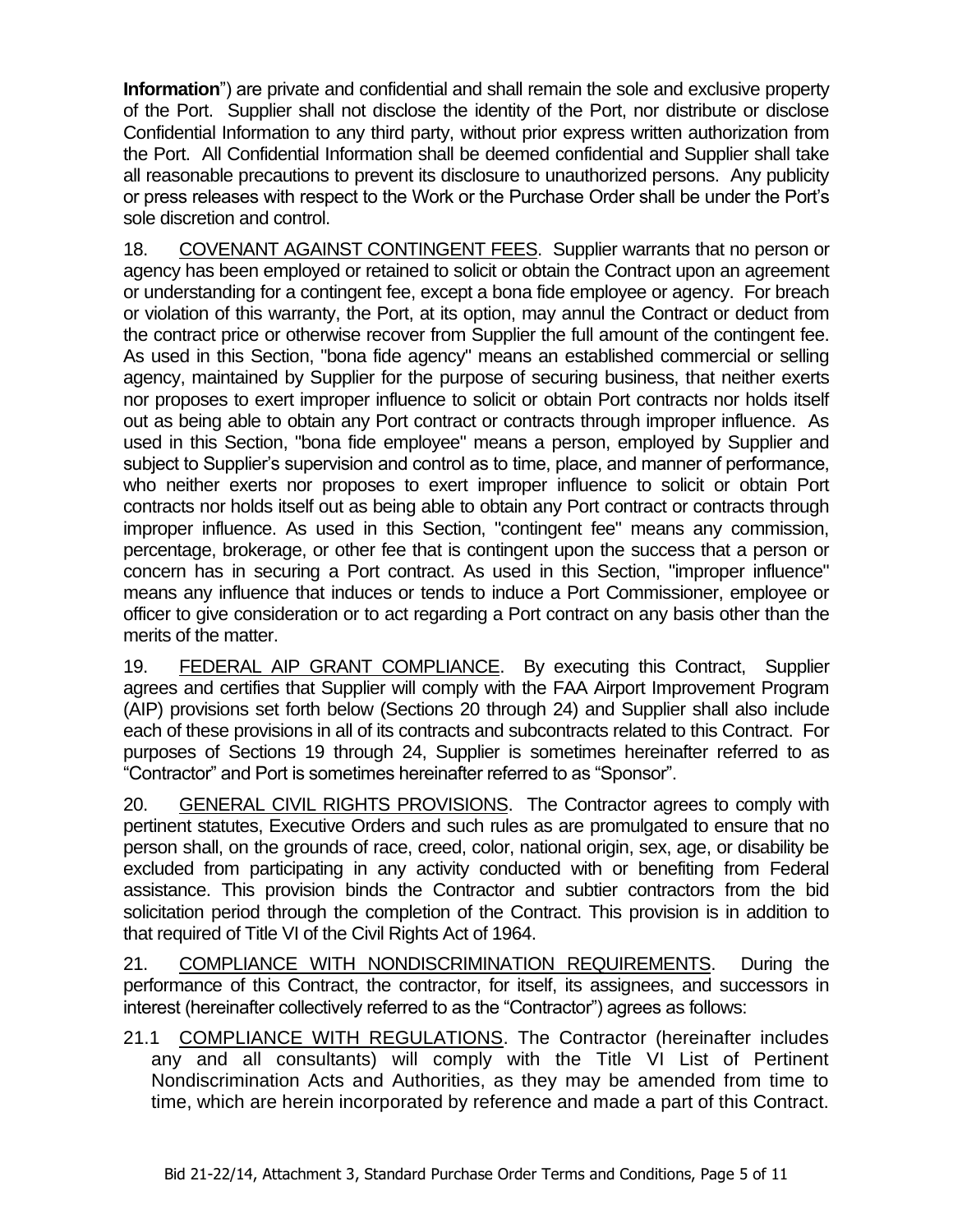**Information**") are private and confidential and shall remain the sole and exclusive property of the Port. Supplier shall not disclose the identity of the Port, nor distribute or disclose Confidential Information to any third party, without prior express written authorization from the Port. All Confidential Information shall be deemed confidential and Supplier shall take all reasonable precautions to prevent its disclosure to unauthorized persons. Any publicity or press releases with respect to the Work or the Purchase Order shall be under the Port's sole discretion and control.

18. COVENANT AGAINST CONTINGENT FEES. Supplier warrants that no person or agency has been employed or retained to solicit or obtain the Contract upon an agreement or understanding for a contingent fee, except a bona fide employee or agency. For breach or violation of this warranty, the Port, at its option, may annul the Contract or deduct from the contract price or otherwise recover from Supplier the full amount of the contingent fee. As used in this Section, "bona fide agency" means an established commercial or selling agency, maintained by Supplier for the purpose of securing business, that neither exerts nor proposes to exert improper influence to solicit or obtain Port contracts nor holds itself out as being able to obtain any Port contract or contracts through improper influence. As used in this Section, "bona fide employee" means a person, employed by Supplier and subject to Supplier's supervision and control as to time, place, and manner of performance, who neither exerts nor proposes to exert improper influence to solicit or obtain Port contracts nor holds itself out as being able to obtain any Port contract or contracts through improper influence. As used in this Section, "contingent fee" means any commission, percentage, brokerage, or other fee that is contingent upon the success that a person or concern has in securing a Port contract. As used in this Section, "improper influence" means any influence that induces or tends to induce a Port Commissioner, employee or officer to give consideration or to act regarding a Port contract on any basis other than the merits of the matter.

19. FEDERAL AIP GRANT COMPLIANCE. By executing this Contract, Supplier agrees and certifies that Supplier will comply with the FAA Airport Improvement Program (AIP) provisions set forth below (Sections 20 through 24) and Supplier shall also include each of these provisions in all of its contracts and subcontracts related to this Contract. For purposes of Sections 19 through 24, Supplier is sometimes hereinafter referred to as "Contractor" and Port is sometimes hereinafter referred to as "Sponsor".

20. GENERAL CIVIL RIGHTS PROVISIONS.The Contractor agrees to comply with pertinent statutes, Executive Orders and such rules as are promulgated to ensure that no person shall, on the grounds of race, creed, color, national origin, sex, age, or disability be excluded from participating in any activity conducted with or benefiting from Federal assistance. This provision binds the Contractor and subtier contractors from the bid solicitation period through the completion of the Contract. This provision is in addition to that required of Title VI of the Civil Rights Act of 1964.

21. COMPLIANCE WITH NONDISCRIMINATION REQUIREMENTS. During the performance of this Contract, the contractor, for itself, its assignees, and successors in interest (hereinafter collectively referred to as the "Contractor") agrees as follows:

21.1 COMPLIANCE WITH REGULATIONS. The Contractor (hereinafter includes any and all consultants) will comply with the Title VI List of Pertinent Nondiscrimination Acts and Authorities, as they may be amended from time to time, which are herein incorporated by reference and made a part of this Contract.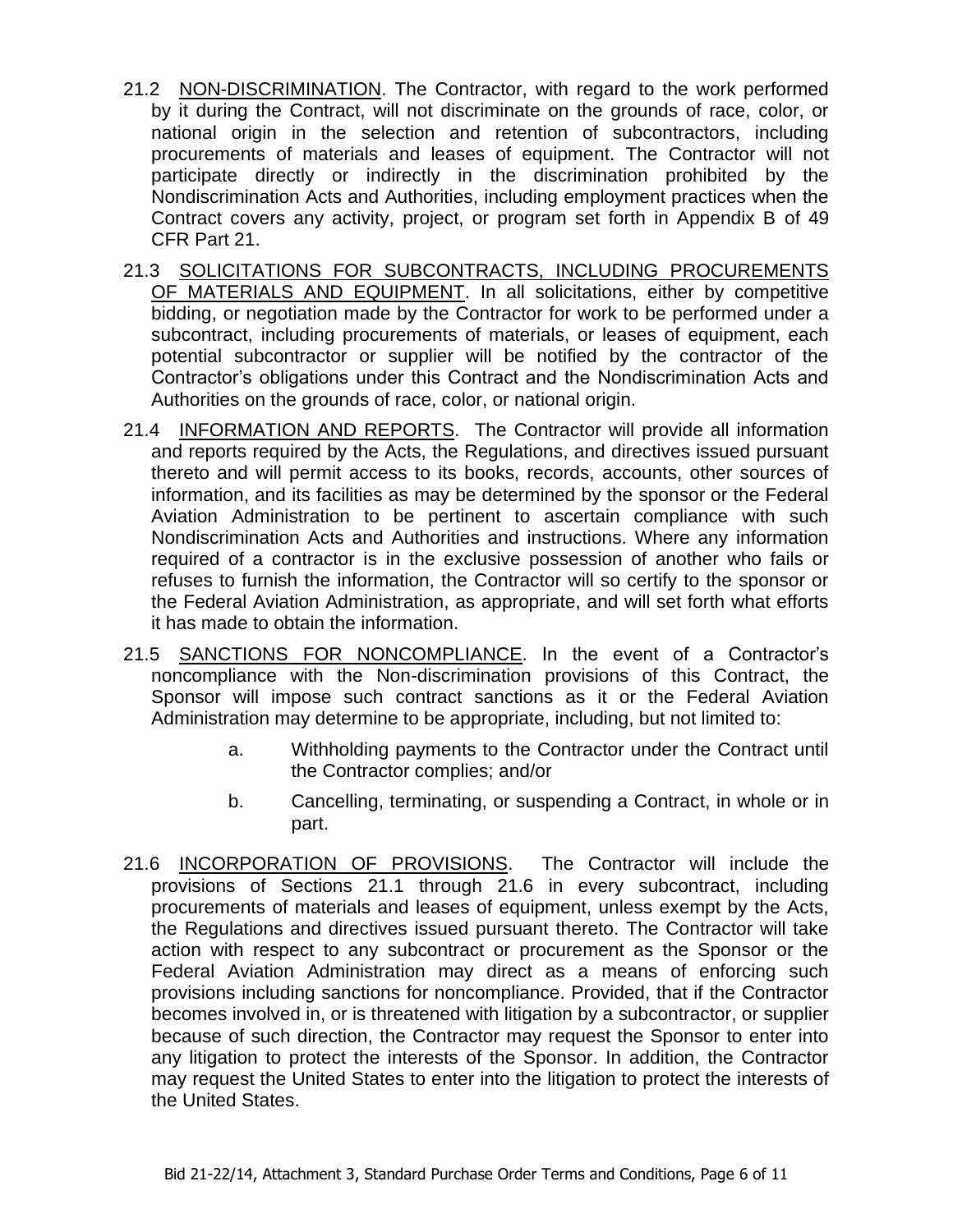- 21.2 NON-DISCRIMINATION. The Contractor, with regard to the work performed by it during the Contract, will not discriminate on the grounds of race, color, or national origin in the selection and retention of subcontractors, including procurements of materials and leases of equipment. The Contractor will not participate directly or indirectly in the discrimination prohibited by the Nondiscrimination Acts and Authorities, including employment practices when the Contract covers any activity, project, or program set forth in Appendix B of 49 CFR Part 21.
- 21.3 SOLICITATIONS FOR SUBCONTRACTS, INCLUDING PROCUREMENTS OF MATERIALS AND EQUIPMENT. In all solicitations, either by competitive bidding, or negotiation made by the Contractor for work to be performed under a subcontract, including procurements of materials, or leases of equipment, each potential subcontractor or supplier will be notified by the contractor of the Contractor's obligations under this Contract and the Nondiscrimination Acts and Authorities on the grounds of race, color, or national origin.
- 21.4 INFORMATION AND REPORTS. The Contractor will provide all information and reports required by the Acts, the Regulations, and directives issued pursuant thereto and will permit access to its books, records, accounts, other sources of information, and its facilities as may be determined by the sponsor or the Federal Aviation Administration to be pertinent to ascertain compliance with such Nondiscrimination Acts and Authorities and instructions. Where any information required of a contractor is in the exclusive possession of another who fails or refuses to furnish the information, the Contractor will so certify to the sponsor or the Federal Aviation Administration, as appropriate, and will set forth what efforts it has made to obtain the information.
- 21.5 SANCTIONS FOR NONCOMPLIANCE. In the event of a Contractor's noncompliance with the Non-discrimination provisions of this Contract, the Sponsor will impose such contract sanctions as it or the Federal Aviation Administration may determine to be appropriate, including, but not limited to:
	- a. Withholding payments to the Contractor under the Contract until the Contractor complies; and/or
	- b. Cancelling, terminating, or suspending a Contract, in whole or in part.
- 21.6 INCORPORATION OF PROVISIONS.The Contractor will include the provisions of Sections 21.1 through 21.6 in every subcontract, including procurements of materials and leases of equipment, unless exempt by the Acts, the Regulations and directives issued pursuant thereto. The Contractor will take action with respect to any subcontract or procurement as the Sponsor or the Federal Aviation Administration may direct as a means of enforcing such provisions including sanctions for noncompliance. Provided, that if the Contractor becomes involved in, or is threatened with litigation by a subcontractor, or supplier because of such direction, the Contractor may request the Sponsor to enter into any litigation to protect the interests of the Sponsor. In addition, the Contractor may request the United States to enter into the litigation to protect the interests of the United States.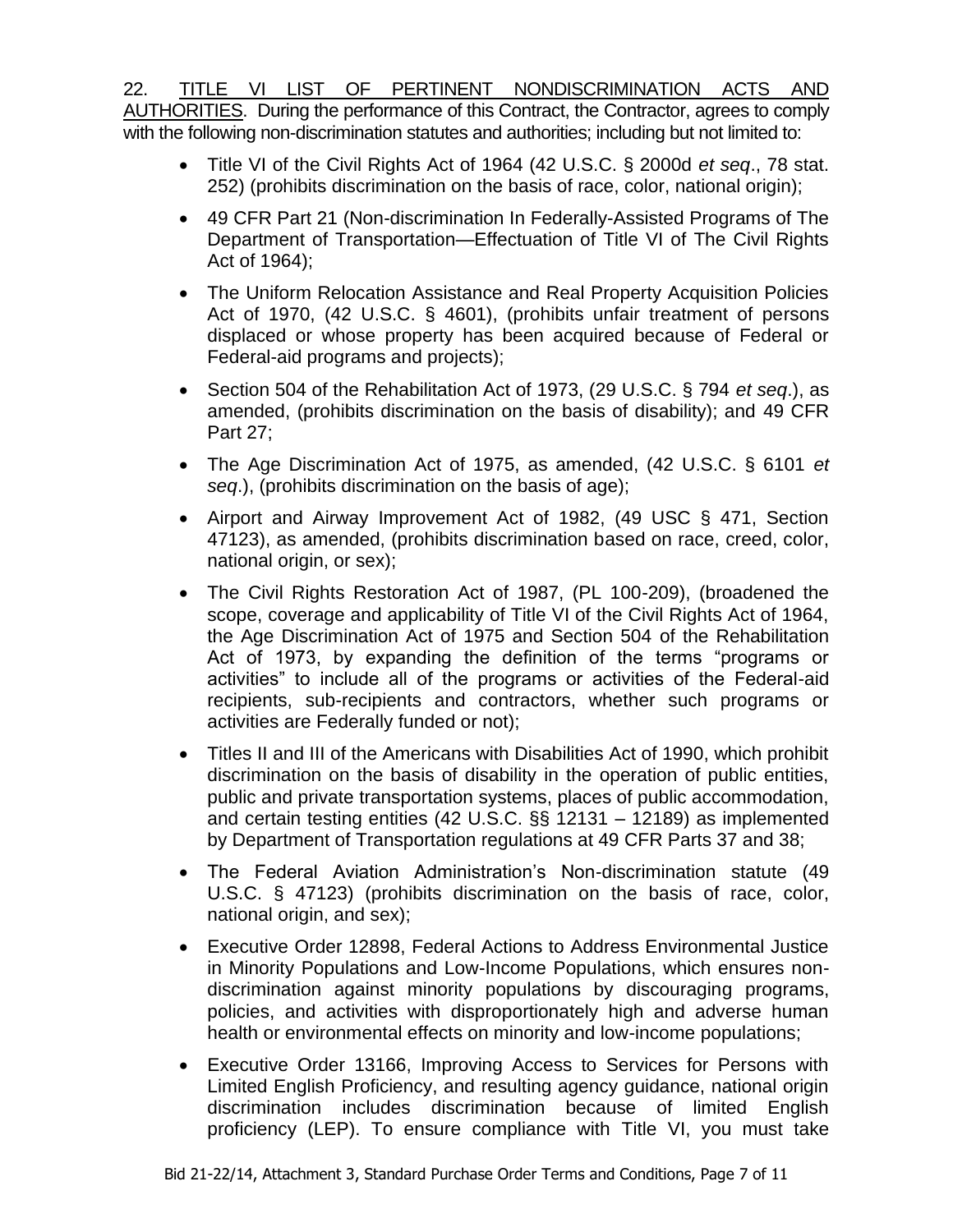22. TITLE VI LIST OF PERTINENT NONDISCRIMINATION ACTS AND AUTHORITIES. During the performance of this Contract, the Contractor, agrees to comply with the following non-discrimination statutes and authorities; including but not limited to:

- Title VI of the Civil Rights Act of 1964 (42 U.S.C. § 2000d *et seq*., 78 stat. 252) (prohibits discrimination on the basis of race, color, national origin);
- 49 CFR Part 21 (Non-discrimination In Federally-Assisted Programs of The Department of Transportation—Effectuation of Title VI of The Civil Rights Act of 1964);
- The Uniform Relocation Assistance and Real Property Acquisition Policies Act of 1970, (42 U.S.C. § 4601), (prohibits unfair treatment of persons displaced or whose property has been acquired because of Federal or Federal-aid programs and projects);
- Section 504 of the Rehabilitation Act of 1973, (29 U.S.C. § 794 *et seq*.), as amended, (prohibits discrimination on the basis of disability); and 49 CFR Part 27;
- The Age Discrimination Act of 1975, as amended, (42 U.S.C. § 6101 *et seq*.), (prohibits discrimination on the basis of age);
- Airport and Airway Improvement Act of 1982, (49 USC § 471, Section 47123), as amended, (prohibits discrimination based on race, creed, color, national origin, or sex);
- The Civil Rights Restoration Act of 1987, (PL 100-209), (broadened the scope, coverage and applicability of Title VI of the Civil Rights Act of 1964, the Age Discrimination Act of 1975 and Section 504 of the Rehabilitation Act of 1973, by expanding the definition of the terms "programs or activities" to include all of the programs or activities of the Federal-aid recipients, sub-recipients and contractors, whether such programs or activities are Federally funded or not);
- Titles II and III of the Americans with Disabilities Act of 1990, which prohibit discrimination on the basis of disability in the operation of public entities, public and private transportation systems, places of public accommodation, and certain testing entities (42 U.S.C. §§ 12131 – 12189) as implemented by Department of Transportation regulations at 49 CFR Parts 37 and 38;
- The Federal Aviation Administration's Non-discrimination statute (49 U.S.C. § 47123) (prohibits discrimination on the basis of race, color, national origin, and sex);
- Executive Order 12898, Federal Actions to Address Environmental Justice in Minority Populations and Low-Income Populations, which ensures nondiscrimination against minority populations by discouraging programs, policies, and activities with disproportionately high and adverse human health or environmental effects on minority and low-income populations;
- Executive Order 13166, Improving Access to Services for Persons with Limited English Proficiency, and resulting agency guidance, national origin discrimination includes discrimination because of limited English proficiency (LEP). To ensure compliance with Title VI, you must take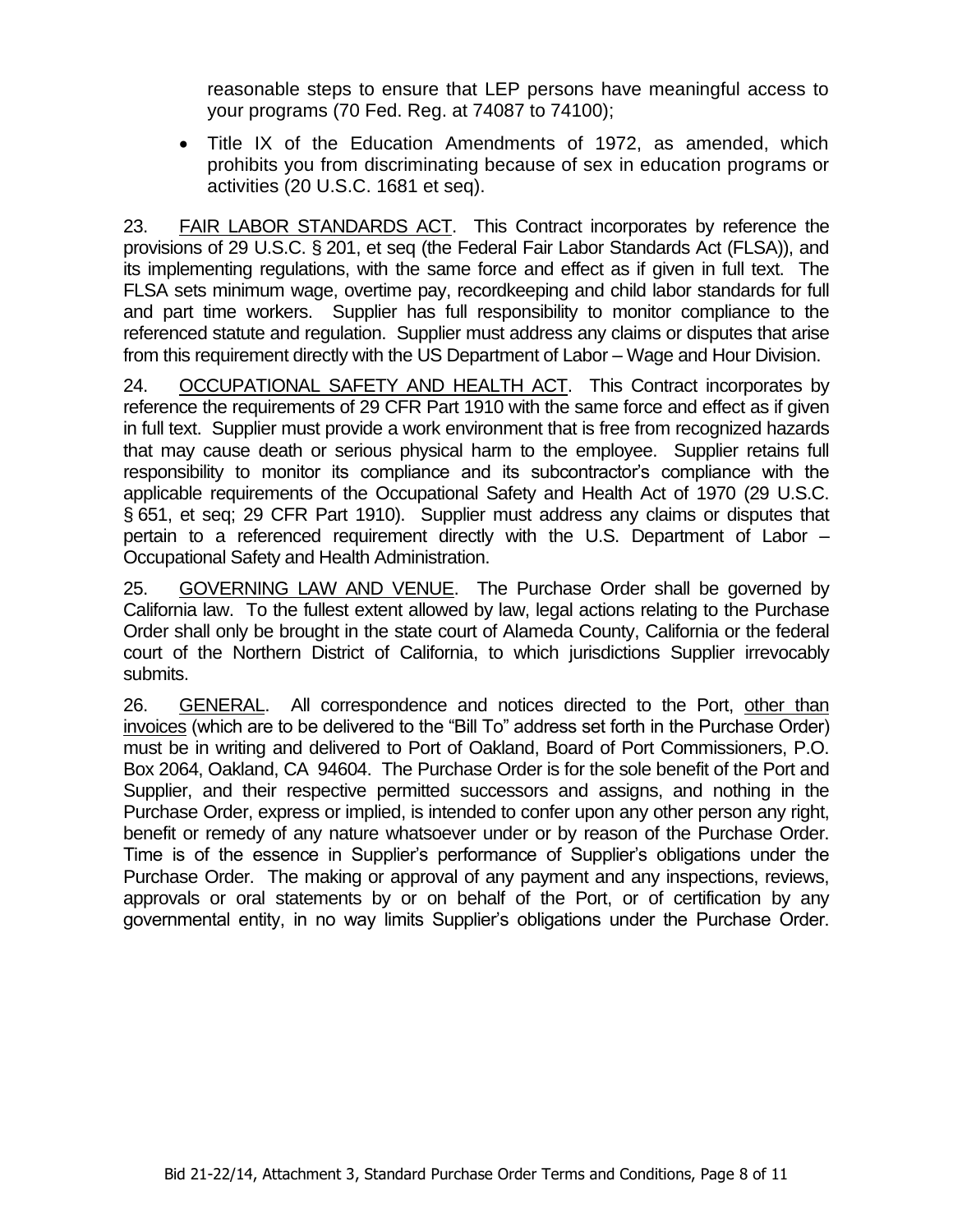reasonable steps to ensure that LEP persons have meaningful access to your programs (70 Fed. Reg. at 74087 to 74100);

• Title IX of the Education Amendments of 1972, as amended, which prohibits you from discriminating because of sex in education programs or activities (20 U.S.C. 1681 et seq).

23. FAIR LABOR STANDARDS ACT. This Contract incorporates by reference the provisions of 29 U.S.C. § 201, et seq (the Federal Fair Labor Standards Act (FLSA)), and its implementing regulations, with the same force and effect as if given in full text. The FLSA sets minimum wage, overtime pay, recordkeeping and child labor standards for full and part time workers. Supplier has full responsibility to monitor compliance to the referenced statute and regulation. Supplier must address any claims or disputes that arise from this requirement directly with the US Department of Labor – Wage and Hour Division.

24. OCCUPATIONAL SAFETY AND HEALTH ACT.This Contract incorporates by reference the requirements of 29 CFR Part 1910 with the same force and effect as if given in full text. Supplier must provide a work environment that is free from recognized hazards that may cause death or serious physical harm to the employee. Supplier retains full responsibility to monitor its compliance and its subcontractor's compliance with the applicable requirements of the Occupational Safety and Health Act of 1970 (29 U.S.C. § 651, et seq; 29 CFR Part 1910). Supplier must address any claims or disputes that pertain to a referenced requirement directly with the U.S. Department of Labor – Occupational Safety and Health Administration.

25. GOVERNING LAW AND VENUE. The Purchase Order shall be governed by California law. To the fullest extent allowed by law, legal actions relating to the Purchase Order shall only be brought in the state court of Alameda County, California or the federal court of the Northern District of California, to which jurisdictions Supplier irrevocably submits.

26. GENERAL. All correspondence and notices directed to the Port, other than invoices (which are to be delivered to the "Bill To" address set forth in the Purchase Order) must be in writing and delivered to Port of Oakland, Board of Port Commissioners, P.O. Box 2064, Oakland, CA 94604. The Purchase Order is for the sole benefit of the Port and Supplier, and their respective permitted successors and assigns, and nothing in the Purchase Order, express or implied, is intended to confer upon any other person any right, benefit or remedy of any nature whatsoever under or by reason of the Purchase Order. Time is of the essence in Supplier's performance of Supplier's obligations under the Purchase Order. The making or approval of any payment and any inspections, reviews, approvals or oral statements by or on behalf of the Port, or of certification by any governmental entity, in no way limits Supplier's obligations under the Purchase Order.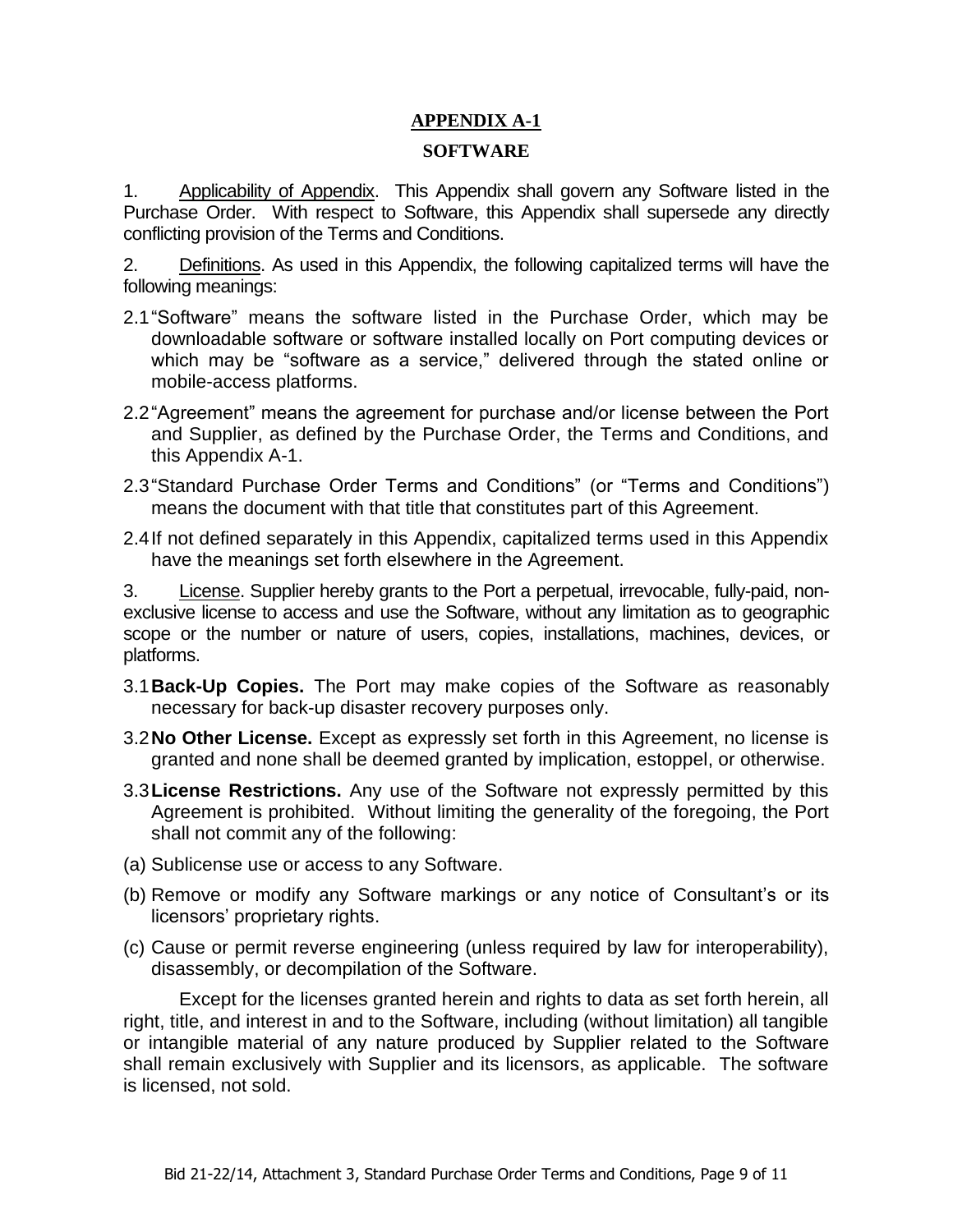# **APPENDIX A-1**

#### **SOFTWARE**

1. Applicability of Appendix. This Appendix shall govern any Software listed in the Purchase Order. With respect to Software, this Appendix shall supersede any directly conflicting provision of the Terms and Conditions.

2. Definitions. As used in this Appendix, the following capitalized terms will have the following meanings:

- 2.1"Software" means the software listed in the Purchase Order, which may be downloadable software or software installed locally on Port computing devices or which may be "software as a service," delivered through the stated online or mobile-access platforms.
- 2.2"Agreement" means the agreement for purchase and/or license between the Port and Supplier, as defined by the Purchase Order, the Terms and Conditions, and this Appendix A-1.
- 2.3"Standard Purchase Order Terms and Conditions" (or "Terms and Conditions") means the document with that title that constitutes part of this Agreement.
- 2.4If not defined separately in this Appendix, capitalized terms used in this Appendix have the meanings set forth elsewhere in the Agreement.

3. License. Supplier hereby grants to the Port a perpetual, irrevocable, fully-paid, nonexclusive license to access and use the Software, without any limitation as to geographic scope or the number or nature of users, copies, installations, machines, devices, or platforms.

- 3.1**Back-Up Copies.** The Port may make copies of the Software as reasonably necessary for back-up disaster recovery purposes only.
- 3.2**No Other License.** Except as expressly set forth in this Agreement, no license is granted and none shall be deemed granted by implication, estoppel, or otherwise.
- 3.3**License Restrictions.** Any use of the Software not expressly permitted by this Agreement is prohibited. Without limiting the generality of the foregoing, the Port shall not commit any of the following:
- (a) Sublicense use or access to any Software.
- (b) Remove or modify any Software markings or any notice of Consultant's or its licensors' proprietary rights.
- (c) Cause or permit reverse engineering (unless required by law for interoperability), disassembly, or decompilation of the Software.

Except for the licenses granted herein and rights to data as set forth herein, all right, title, and interest in and to the Software, including (without limitation) all tangible or intangible material of any nature produced by Supplier related to the Software shall remain exclusively with Supplier and its licensors, as applicable. The software is licensed, not sold.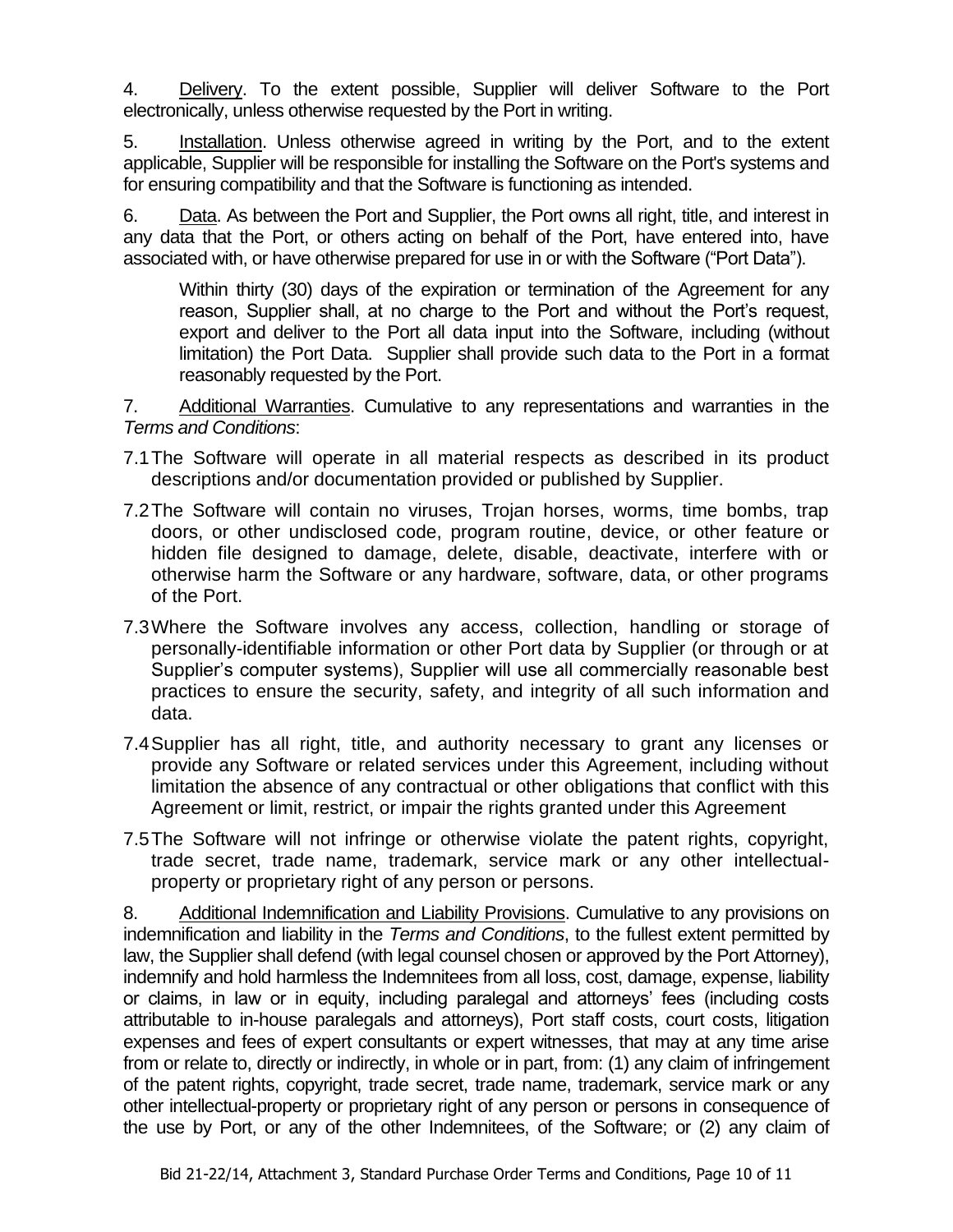4. Delivery. To the extent possible, Supplier will deliver Software to the Port electronically, unless otherwise requested by the Port in writing.

5. Installation. Unless otherwise agreed in writing by the Port, and to the extent applicable, Supplier will be responsible for installing the Software on the Port's systems and for ensuring compatibility and that the Software is functioning as intended.

6. Data. As between the Port and Supplier, the Port owns all right, title, and interest in any data that the Port, or others acting on behalf of the Port, have entered into, have associated with, or have otherwise prepared for use in or with the Software ("Port Data").

Within thirty (30) days of the expiration or termination of the Agreement for any reason, Supplier shall, at no charge to the Port and without the Port's request, export and deliver to the Port all data input into the Software, including (without limitation) the Port Data. Supplier shall provide such data to the Port in a format reasonably requested by the Port.

7. Additional Warranties. Cumulative to any representations and warranties in the *Terms and Conditions*:

- 7.1The Software will operate in all material respects as described in its product descriptions and/or documentation provided or published by Supplier.
- 7.2The Software will contain no viruses, Trojan horses, worms, time bombs, trap doors, or other undisclosed code, program routine, device, or other feature or hidden file designed to damage, delete, disable, deactivate, interfere with or otherwise harm the Software or any hardware, software, data, or other programs of the Port.
- 7.3Where the Software involves any access, collection, handling or storage of personally-identifiable information or other Port data by Supplier (or through or at Supplier's computer systems), Supplier will use all commercially reasonable best practices to ensure the security, safety, and integrity of all such information and data.
- 7.4Supplier has all right, title, and authority necessary to grant any licenses or provide any Software or related services under this Agreement, including without limitation the absence of any contractual or other obligations that conflict with this Agreement or limit, restrict, or impair the rights granted under this Agreement
- 7.5The Software will not infringe or otherwise violate the patent rights, copyright, trade secret, trade name, trademark, service mark or any other intellectualproperty or proprietary right of any person or persons.

8. Additional Indemnification and Liability Provisions. Cumulative to any provisions on indemnification and liability in the *Terms and Conditions*, to the fullest extent permitted by law, the Supplier shall defend (with legal counsel chosen or approved by the Port Attorney), indemnify and hold harmless the Indemnitees from all loss, cost, damage, expense, liability or claims, in law or in equity, including paralegal and attorneys' fees (including costs attributable to in-house paralegals and attorneys), Port staff costs, court costs, litigation expenses and fees of expert consultants or expert witnesses, that may at any time arise from or relate to, directly or indirectly, in whole or in part, from: (1) any claim of infringement of the patent rights, copyright, trade secret, trade name, trademark, service mark or any other intellectual-property or proprietary right of any person or persons in consequence of the use by Port, or any of the other Indemnitees, of the Software; or (2) any claim of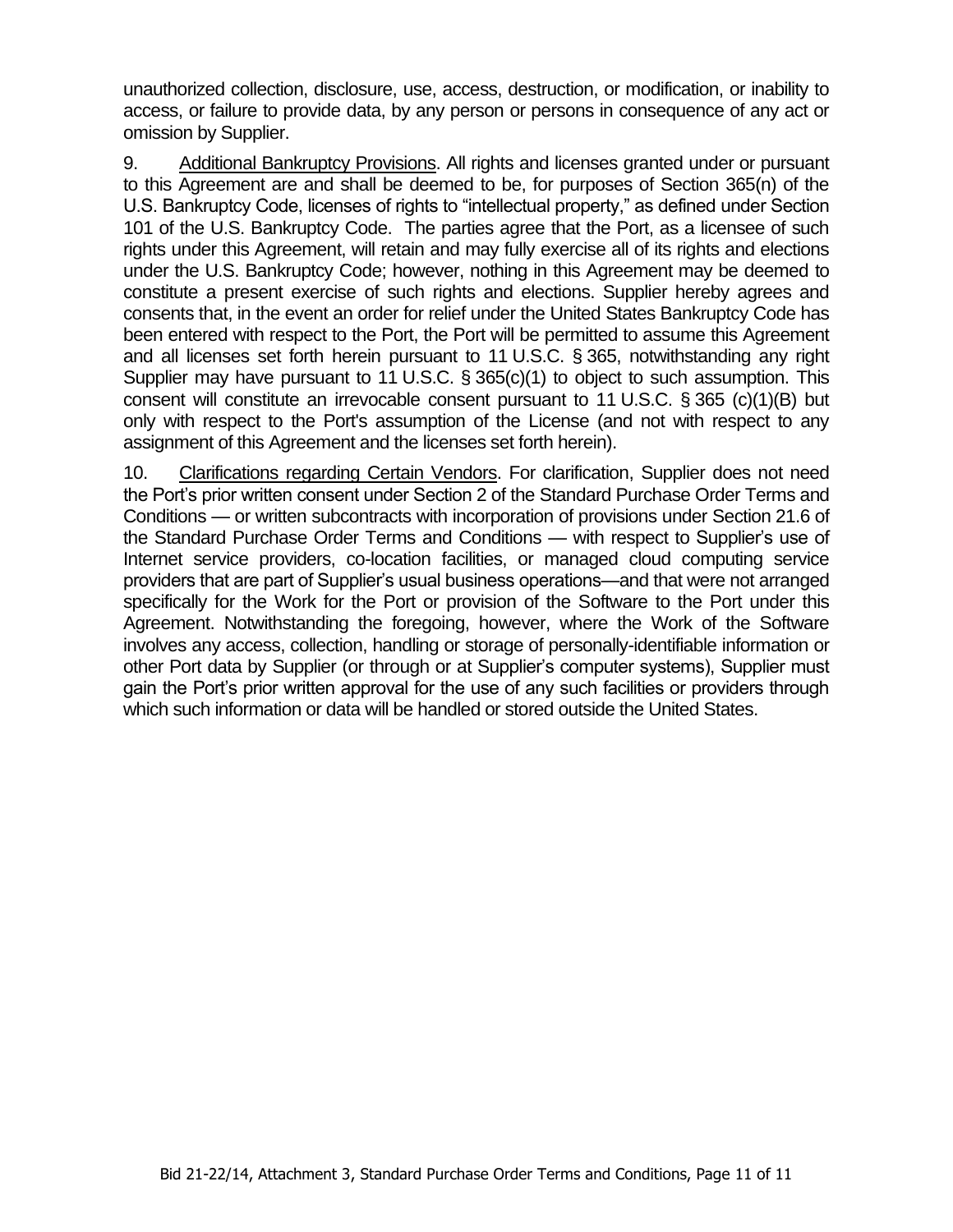unauthorized collection, disclosure, use, access, destruction, or modification, or inability to access, or failure to provide data, by any person or persons in consequence of any act or omission by Supplier.

9. Additional Bankruptcy Provisions. All rights and licenses granted under or pursuant to this Agreement are and shall be deemed to be, for purposes of Section 365(n) of the U.S. Bankruptcy Code, licenses of rights to "intellectual property," as defined under Section 101 of the U.S. Bankruptcy Code. The parties agree that the Port, as a licensee of such rights under this Agreement, will retain and may fully exercise all of its rights and elections under the U.S. Bankruptcy Code; however, nothing in this Agreement may be deemed to constitute a present exercise of such rights and elections. Supplier hereby agrees and consents that, in the event an order for relief under the United States Bankruptcy Code has been entered with respect to the Port, the Port will be permitted to assume this Agreement and all licenses set forth herein pursuant to 11 U.S.C. § 365, notwithstanding any right Supplier may have pursuant to 11 U.S.C. § 365(c)(1) to object to such assumption. This consent will constitute an irrevocable consent pursuant to 11 U.S.C. § 365 (c)(1)(B) but only with respect to the Port's assumption of the License (and not with respect to any assignment of this Agreement and the licenses set forth herein).

10. Clarifications regarding Certain Vendors. For clarification, Supplier does not need the Port's prior written consent under Section 2 of the Standard Purchase Order Terms and Conditions — or written subcontracts with incorporation of provisions under Section 21.6 of the Standard Purchase Order Terms and Conditions — with respect to Supplier's use of Internet service providers, co-location facilities, or managed cloud computing service providers that are part of Supplier's usual business operations—and that were not arranged specifically for the Work for the Port or provision of the Software to the Port under this Agreement. Notwithstanding the foregoing, however, where the Work of the Software involves any access, collection, handling or storage of personally-identifiable information or other Port data by Supplier (or through or at Supplier's computer systems), Supplier must gain the Port's prior written approval for the use of any such facilities or providers through which such information or data will be handled or stored outside the United States.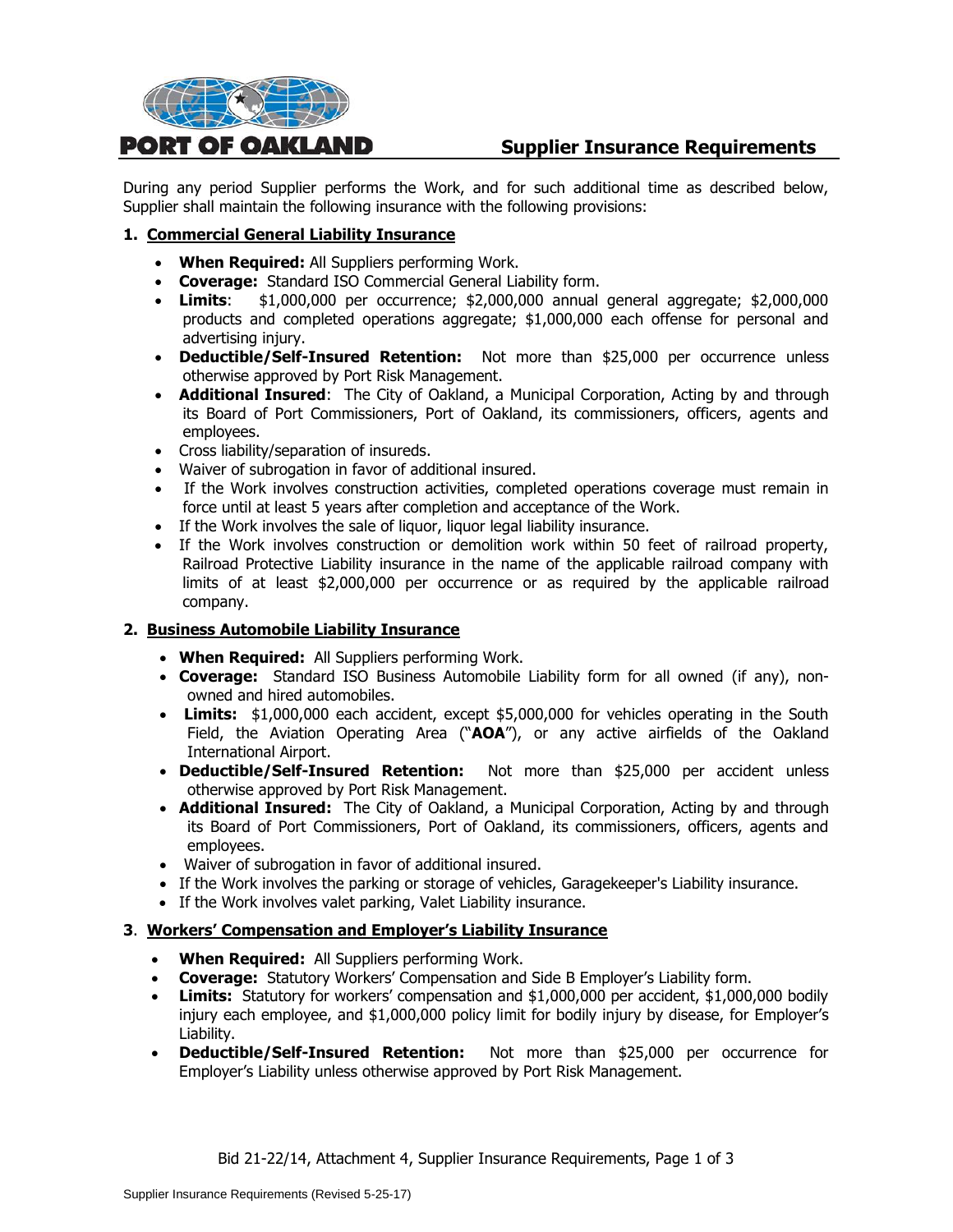

# **Supplier Insurance Requirements**

During any period Supplier performs the Work, and for such additional time as described below, Supplier shall maintain the following insurance with the following provisions:

#### **1. Commercial General Liability Insurance**

- **When Required:** All Suppliers performing Work.
- **Coverage:** Standard ISO Commercial General Liability form.
- **Limits**: \$1,000,000 per occurrence; \$2,000,000 annual general aggregate; \$2,000,000 products and completed operations aggregate; \$1,000,000 each offense for personal and advertising injury.
- **Deductible/Self-Insured Retention:** Not more than \$25,000 per occurrence unless otherwise approved by Port Risk Management.
- **Additional Insured**: The City of Oakland, a Municipal Corporation, Acting by and through its Board of Port Commissioners, Port of Oakland, its commissioners, officers, agents and employees.
- Cross liability/separation of insureds.
- Waiver of subrogation in favor of additional insured.
- If the Work involves construction activities, completed operations coverage must remain in force until at least 5 years after completion and acceptance of the Work.
- If the Work involves the sale of liquor, liquor legal liability insurance.
- If the Work involves construction or demolition work within 50 feet of railroad property, Railroad Protective Liability insurance in the name of the applicable railroad company with limits of at least \$2,000,000 per occurrence or as required by the applicable railroad company.

#### **2. Business Automobile Liability Insurance**

- **When Required:** All Suppliers performing Work.
- **Coverage:** Standard ISO Business Automobile Liability form for all owned (if any), nonowned and hired automobiles.
- **Limits:** \$1,000,000 each accident, except \$5,000,000 for vehicles operating in the South Field, the Aviation Operating Area ("**AOA**"), or any active airfields of the Oakland International Airport.
- **Deductible/Self-Insured Retention:** Not more than \$25,000 per accident unless otherwise approved by Port Risk Management.
- **Additional Insured:** The City of Oakland, a Municipal Corporation, Acting by and through its Board of Port Commissioners, Port of Oakland, its commissioners, officers, agents and employees.
- Waiver of subrogation in favor of additional insured.
- If the Work involves the parking or storage of vehicles, Garagekeeper's Liability insurance.
- If the Work involves valet parking, Valet Liability insurance.

#### **3**. **Workers' Compensation and Employer's Liability Insurance**

- **When Required:** All Suppliers performing Work.
- **Coverage:** Statutory Workers' Compensation and Side B Employer's Liability form.
- **Limits:** Statutory for workers' compensation and \$1,000,000 per accident, \$1,000,000 bodily injury each employee, and \$1,000,000 policy limit for bodily injury by disease, for Employer's Liability.
- **Deductible/Self-Insured Retention:** Not more than \$25,000 per occurrence for Employer's Liability unless otherwise approved by Port Risk Management.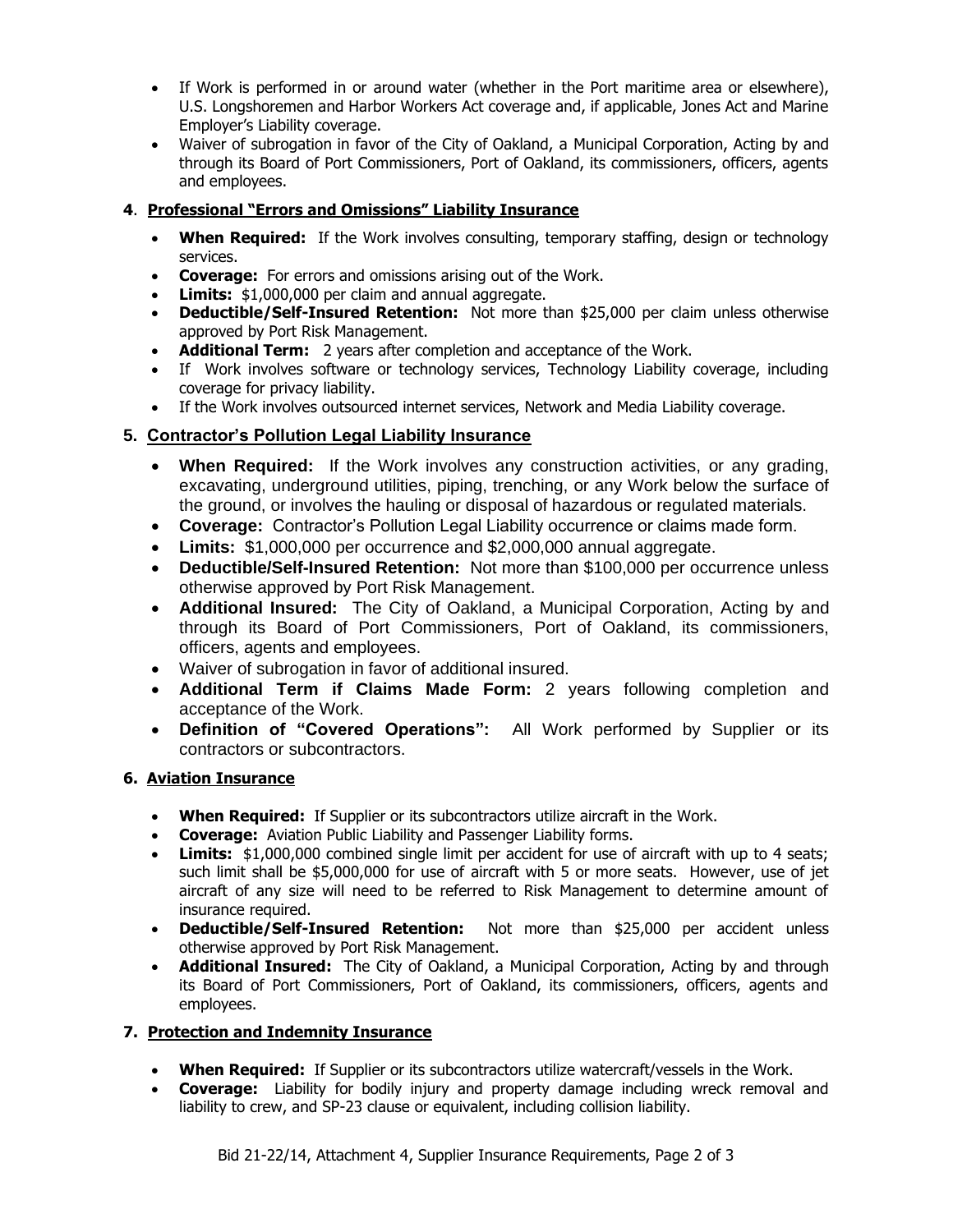- If Work is performed in or around water (whether in the Port maritime area or elsewhere), U.S. Longshoremen and Harbor Workers Act coverage and, if applicable, Jones Act and Marine Employer's Liability coverage.
- Waiver of subrogation in favor of the City of Oakland, a Municipal Corporation, Acting by and through its Board of Port Commissioners, Port of Oakland, its commissioners, officers, agents and employees.

# **4**. **Professional "Errors and Omissions" Liability Insurance**

- **When Required:** If the Work involves consulting, temporary staffing, design or technology services.
- **Coverage:** For errors and omissions arising out of the Work.
- **Limits:** \$1,000,000 per claim and annual aggregate.
- **Deductible/Self-Insured Retention:** Not more than \$25,000 per claim unless otherwise approved by Port Risk Management.
- **Additional Term:** 2 years after completion and acceptance of the Work.
- If Work involves software or technology services, Technology Liability coverage, including coverage for privacy liability.
- If the Work involves outsourced internet services, Network and Media Liability coverage.

# **5. Contractor's Pollution Legal Liability Insurance**

- **When Required:** If the Work involves any construction activities, or any grading, excavating, underground utilities, piping, trenching, or any Work below the surface of the ground, or involves the hauling or disposal of hazardous or regulated materials.
- **Coverage:** Contractor's Pollution Legal Liability occurrence or claims made form.
- **Limits:** \$1,000,000 per occurrence and \$2,000,000 annual aggregate.
- **Deductible/Self-Insured Retention:** Not more than \$100,000 per occurrence unless otherwise approved by Port Risk Management.
- **Additional Insured:** The City of Oakland, a Municipal Corporation, Acting by and through its Board of Port Commissioners, Port of Oakland, its commissioners, officers, agents and employees.
- Waiver of subrogation in favor of additional insured.
- **Additional Term if Claims Made Form:** 2 years following completion and acceptance of the Work.
- **Definition of "Covered Operations":** All Work performed by Supplier or its contractors or subcontractors.

# **6. Aviation Insurance**

- **When Required:** If Supplier or its subcontractors utilize aircraft in the Work.
- **Coverage:** Aviation Public Liability and Passenger Liability forms.
- **Limits:** \$1,000,000 combined single limit per accident for use of aircraft with up to 4 seats; such limit shall be \$5,000,000 for use of aircraft with 5 or more seats. However, use of jet aircraft of any size will need to be referred to Risk Management to determine amount of insurance required.
- **Deductible/Self-Insured Retention:** Not more than \$25,000 per accident unless otherwise approved by Port Risk Management.
- **Additional Insured:** The City of Oakland, a Municipal Corporation, Acting by and through its Board of Port Commissioners, Port of Oakland, its commissioners, officers, agents and employees.

# **7. Protection and Indemnity Insurance**

- **When Required:** If Supplier or its subcontractors utilize watercraft/vessels in the Work.
- **Coverage:** Liability for bodily injury and property damage including wreck removal and liability to crew, and SP-23 clause or equivalent, including collision liability.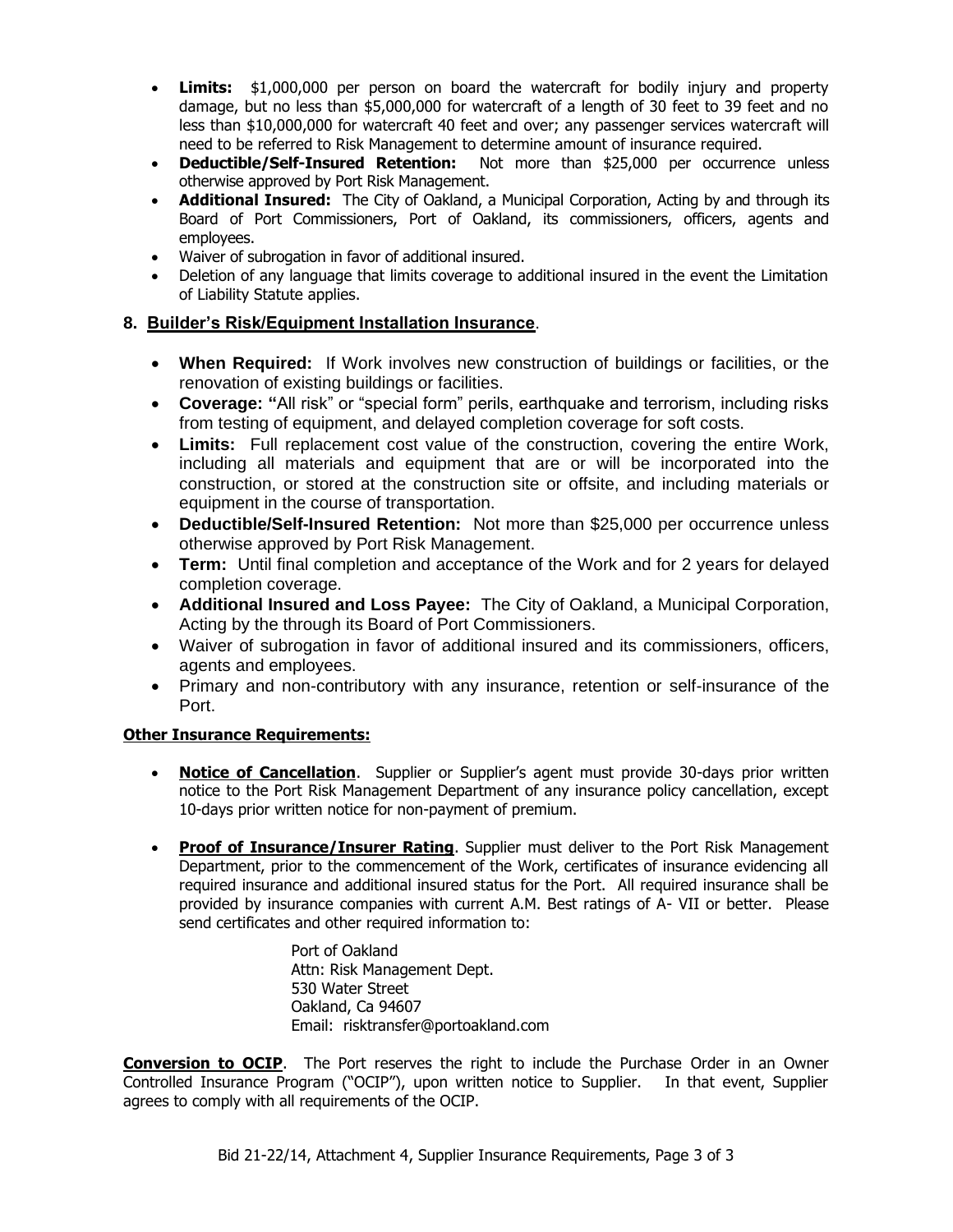- **Limits:** \$1,000,000 per person on board the watercraft for bodily injury and property damage, but no less than \$5,000,000 for watercraft of a length of 30 feet to 39 feet and no less than \$10,000,000 for watercraft 40 feet and over; any passenger services watercraft will need to be referred to Risk Management to determine amount of insurance required.
- **Deductible/Self-Insured Retention:** Not more than \$25,000 per occurrence unless otherwise approved by Port Risk Management.
- **Additional Insured:** The City of Oakland, a Municipal Corporation, Acting by and through its Board of Port Commissioners, Port of Oakland, its commissioners, officers, agents and employees.
- Waiver of subrogation in favor of additional insured.
- Deletion of any language that limits coverage to additional insured in the event the Limitation of Liability Statute applies.

#### **8. Builder's Risk/Equipment Installation Insurance**.

- **When Required:** If Work involves new construction of buildings or facilities, or the renovation of existing buildings or facilities.
- **Coverage: "**All risk" or "special form" perils, earthquake and terrorism, including risks from testing of equipment, and delayed completion coverage for soft costs.
- **Limits:** Full replacement cost value of the construction, covering the entire Work, including all materials and equipment that are or will be incorporated into the construction, or stored at the construction site or offsite, and including materials or equipment in the course of transportation.
- **Deductible/Self-Insured Retention:** Not more than \$25,000 per occurrence unless otherwise approved by Port Risk Management.
- **Term:** Until final completion and acceptance of the Work and for 2 years for delayed completion coverage.
- **Additional Insured and Loss Payee:** The City of Oakland, a Municipal Corporation, Acting by the through its Board of Port Commissioners.
- Waiver of subrogation in favor of additional insured and its commissioners, officers, agents and employees.
- Primary and non-contributory with any insurance, retention or self-insurance of the Port.

#### **Other Insurance Requirements:**

- **Notice of Cancellation.** Supplier or Supplier's agent must provide 30-days prior written notice to the Port Risk Management Department of any insurance policy cancellation, except 10-days prior written notice for non-payment of premium.
- **Proof of Insurance/Insurer Rating**. Supplier must deliver to the Port Risk Management Department, prior to the commencement of the Work, certificates of insurance evidencing all required insurance and additional insured status for the Port. All required insurance shall be provided by insurance companies with current A.M. Best ratings of A- VII or better. Please send certificates and other required information to:

Port of Oakland Attn: Risk Management Dept. 530 Water Street Oakland, Ca 94607 Email: risktransfer@portoakland.com

**Conversion to OCIP**. The Port reserves the right to include the Purchase Order in an Owner Controlled Insurance Program ("OCIP"), upon written notice to Supplier. In that event, Supplier agrees to comply with all requirements of the OCIP.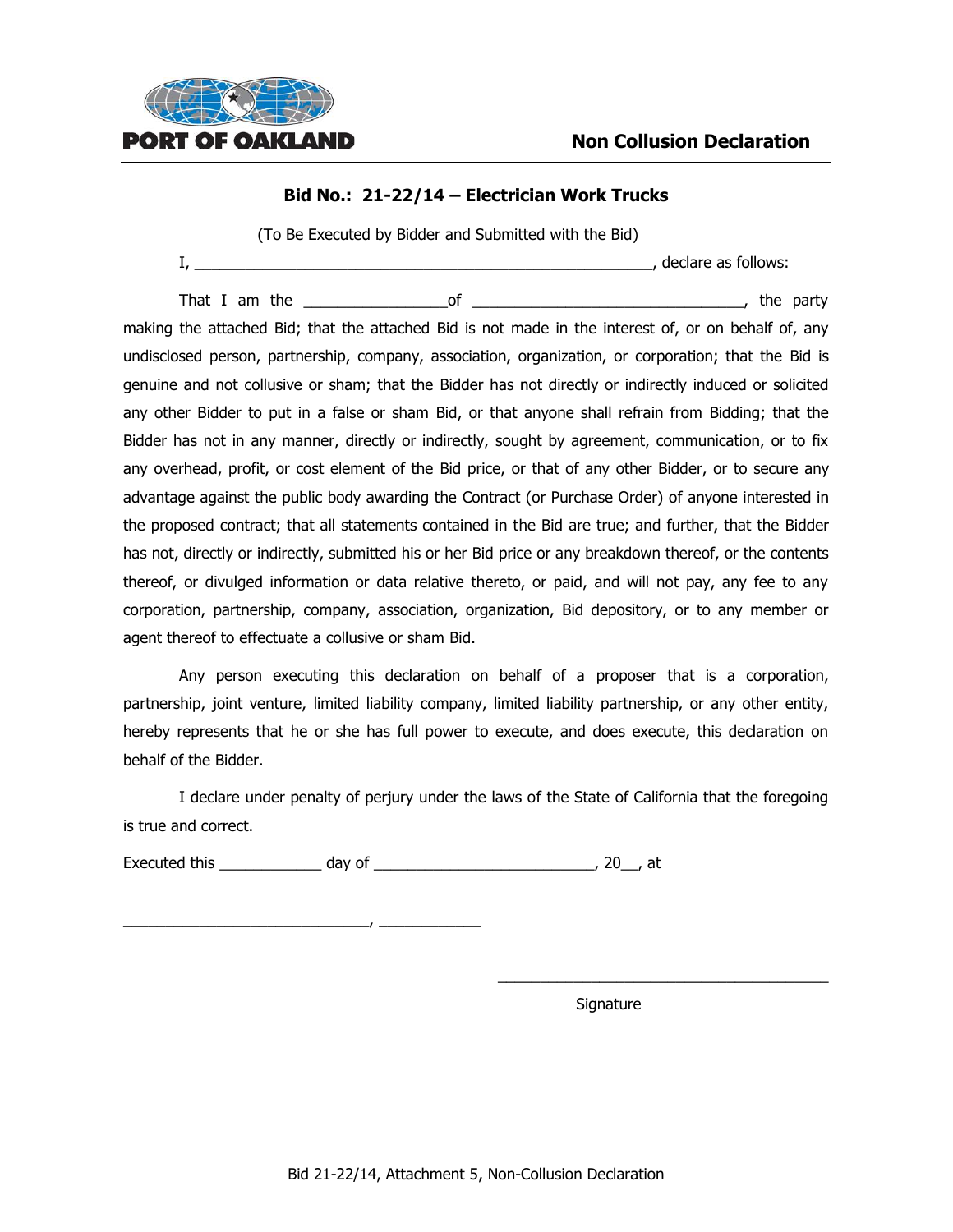

#### **Bid No.: 21-22/14 – Electrician Work Trucks**

(To Be Executed by Bidder and Submitted with the Bid)

I, \_\_\_\_\_\_\_\_\_\_\_\_\_\_\_\_\_\_\_\_\_\_\_\_\_\_\_\_\_\_\_\_\_\_\_\_\_\_\_\_\_\_\_\_\_\_\_\_\_\_\_\_\_\_, declare as follows:

That I am the  $\qquad \qquad \qquad \qquad$  of  $\qquad \qquad \qquad \qquad \qquad \qquad \qquad \qquad$ , the party

making the attached Bid; that the attached Bid is not made in the interest of, or on behalf of, any undisclosed person, partnership, company, association, organization, or corporation; that the Bid is genuine and not collusive or sham; that the Bidder has not directly or indirectly induced or solicited any other Bidder to put in a false or sham Bid, or that anyone shall refrain from Bidding; that the Bidder has not in any manner, directly or indirectly, sought by agreement, communication, or to fix any overhead, profit, or cost element of the Bid price, or that of any other Bidder, or to secure any advantage against the public body awarding the Contract (or Purchase Order) of anyone interested in the proposed contract; that all statements contained in the Bid are true; and further, that the Bidder has not, directly or indirectly, submitted his or her Bid price or any breakdown thereof, or the contents thereof, or divulged information or data relative thereto, or paid, and will not pay, any fee to any corporation, partnership, company, association, organization, Bid depository, or to any member or agent thereof to effectuate a collusive or sham Bid.

Any person executing this declaration on behalf of a proposer that is a corporation, partnership, joint venture, limited liability company, limited liability partnership, or any other entity, hereby represents that he or she has full power to execute, and does execute, this declaration on behalf of the Bidder.

I declare under penalty of perjury under the laws of the State of California that the foregoing is true and correct.

Executed this \_\_\_\_\_\_\_\_\_\_\_\_ day of \_\_\_\_\_\_\_\_\_\_\_\_\_\_\_\_\_\_\_\_\_\_\_\_\_\_, 20\_\_, at

 $\overline{\phantom{a}}$  ,  $\overline{\phantom{a}}$  ,  $\overline{\phantom{a}}$  ,  $\overline{\phantom{a}}$  ,  $\overline{\phantom{a}}$  ,  $\overline{\phantom{a}}$ 

Signature

\_\_\_\_\_\_\_\_\_\_\_\_\_\_\_\_\_\_\_\_\_\_\_\_\_\_\_\_\_\_\_\_\_\_\_\_\_\_\_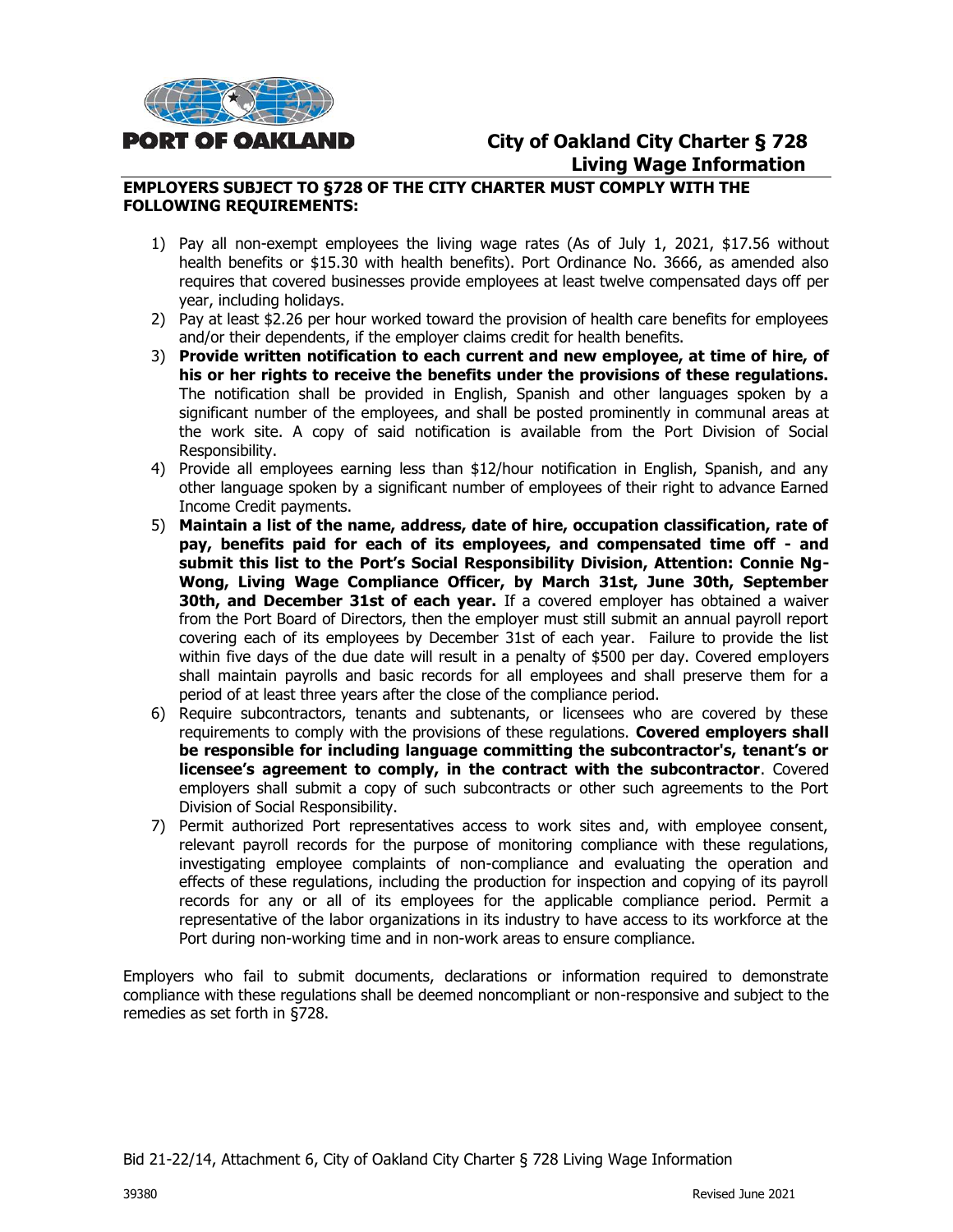

# **City of Oakland City Charter § 728 Living Wage Information**

#### **EMPLOYERS SUBJECT TO §728 OF THE CITY CHARTER MUST COMPLY WITH THE FOLLOWING REQUIREMENTS:**

- 1) Pay all non-exempt employees the living wage rates (As of July 1, 2021, \$17.56 without health benefits or \$15.30 with health benefits). Port Ordinance No. 3666, as amended also requires that covered businesses provide employees at least twelve compensated days off per year, including holidays.
- 2) Pay at least \$2.26 per hour worked toward the provision of health care benefits for employees and/or their dependents, if the employer claims credit for health benefits.
- 3) **Provide written notification to each current and new employee, at time of hire, of his or her rights to receive the benefits under the provisions of these regulations.** The notification shall be provided in English, Spanish and other languages spoken by a significant number of the employees, and shall be posted prominently in communal areas at the work site. A copy of said notification is available from the Port Division of Social Responsibility.
- 4) Provide all employees earning less than \$12/hour notification in English, Spanish, and any other language spoken by a significant number of employees of their right to advance Earned Income Credit payments.
- 5) **Maintain a list of the name, address, date of hire, occupation classification, rate of pay, benefits paid for each of its employees, and compensated time off - and submit this list to the Port's Social Responsibility Division, Attention: Connie Ng-Wong, Living Wage Compliance Officer, by March 31st, June 30th, September 30th, and December 31st of each year.** If a covered employer has obtained a waiver from the Port Board of Directors, then the employer must still submit an annual payroll report covering each of its employees by December 31st of each year. Failure to provide the list within five days of the due date will result in a penalty of \$500 per day. Covered employers shall maintain payrolls and basic records for all employees and shall preserve them for a period of at least three years after the close of the compliance period.
- 6) Require subcontractors, tenants and subtenants, or licensees who are covered by these requirements to comply with the provisions of these regulations. **Covered employers shall be responsible for including language committing the subcontractor's, tenant's or licensee's agreement to comply, in the contract with the subcontractor**. Covered employers shall submit a copy of such subcontracts or other such agreements to the Port Division of Social Responsibility.
- 7) Permit authorized Port representatives access to work sites and, with employee consent, relevant payroll records for the purpose of monitoring compliance with these regulations, investigating employee complaints of non-compliance and evaluating the operation and effects of these regulations, including the production for inspection and copying of its payroll records for any or all of its employees for the applicable compliance period. Permit a representative of the labor organizations in its industry to have access to its workforce at the Port during non-working time and in non-work areas to ensure compliance.

Employers who fail to submit documents, declarations or information required to demonstrate compliance with these regulations shall be deemed noncompliant or non-responsive and subject to the remedies as set forth in §728.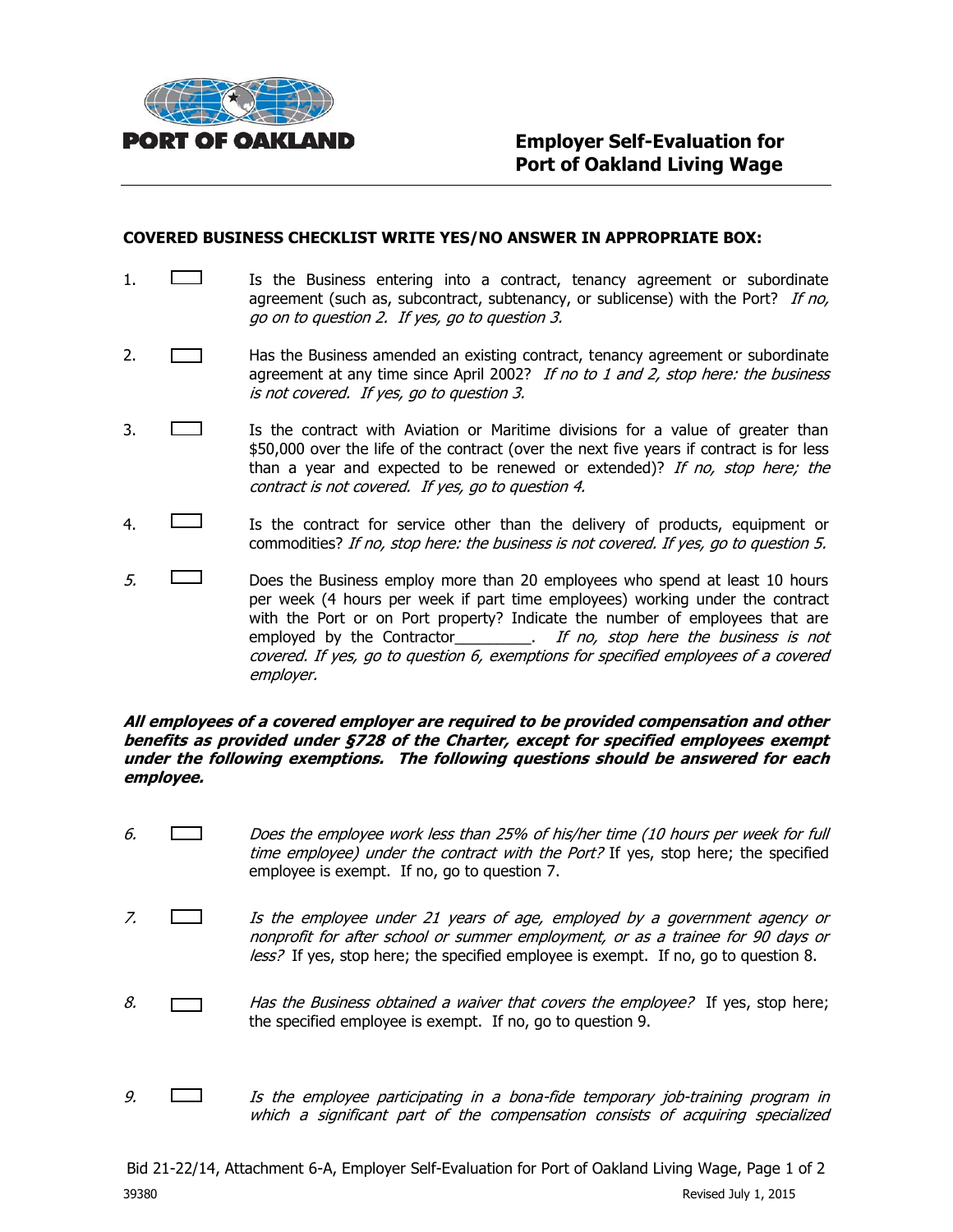

#### **COVERED BUSINESS CHECKLIST WRITE YES/NO ANSWER IN APPROPRIATE BOX:**

- 1. **If the Business entering into a contract, tenancy agreement or subordinate** agreement (such as, subcontract, subtenancy, or sublicense) with the Port? If no, go on to question 2. If yes, go to question 3.
- 2. **Has the Business amended an existing contract, tenancy agreement or subordinate** agreement at any time since April 2002? If no to 1 and 2, stop here: the business is not covered. If yes, go to question 3.
- 3. Is the contract with Aviation or Maritime divisions for a value of greater than \$50,000 over the life of the contract (over the next five years if contract is for less than a year and expected to be renewed or extended)? If no, stop here; the contract is not covered. If yes, go to question 4.
- 4. Is the contract for service other than the delivery of products, equipment or commodities? If no, stop here: the business is not covered. If yes, go to question 5.
- $5.$  Does the Business employ more than 20 employees who spend at least 10 hours per week (4 hours per week if part time employees) working under the contract with the Port or on Port property? Indicate the number of employees that are employed by the Contractor\_\_\_\_\_\_\_\_\_. If no, stop here the business is not covered. If yes, go to question 6, exemptions for specified employees of a covered employer.

#### **All employees of a covered employer are required to be provided compensation and other benefits as provided under §728 of the Charter, except for specified employees exempt under the following exemptions. The following questions should be answered for each employee.**

- 6. Does the employee work less than 25% of his/her time (10 hours per week for full time employee) under the contract with the Port? If yes, stop here; the specified employee is exempt. If no, go to question 7.
- 7.  $\Box$  Is the employee under 21 years of age, employed by a government agency or nonprofit for after school or summer employment, or as a trainee for 90 days or less? If yes, stop here; the specified employee is exempt. If no, go to question 8.
- 8.  $\Box$  Has the Business obtained a waiver that covers the employee? If yes, stop here; the specified employee is exempt. If no, go to question 9.
- 9.  $\Box$  Is the employee participating in a bona-fide temporary job-training program in which a significant part of the compensation consists of acquiring specialized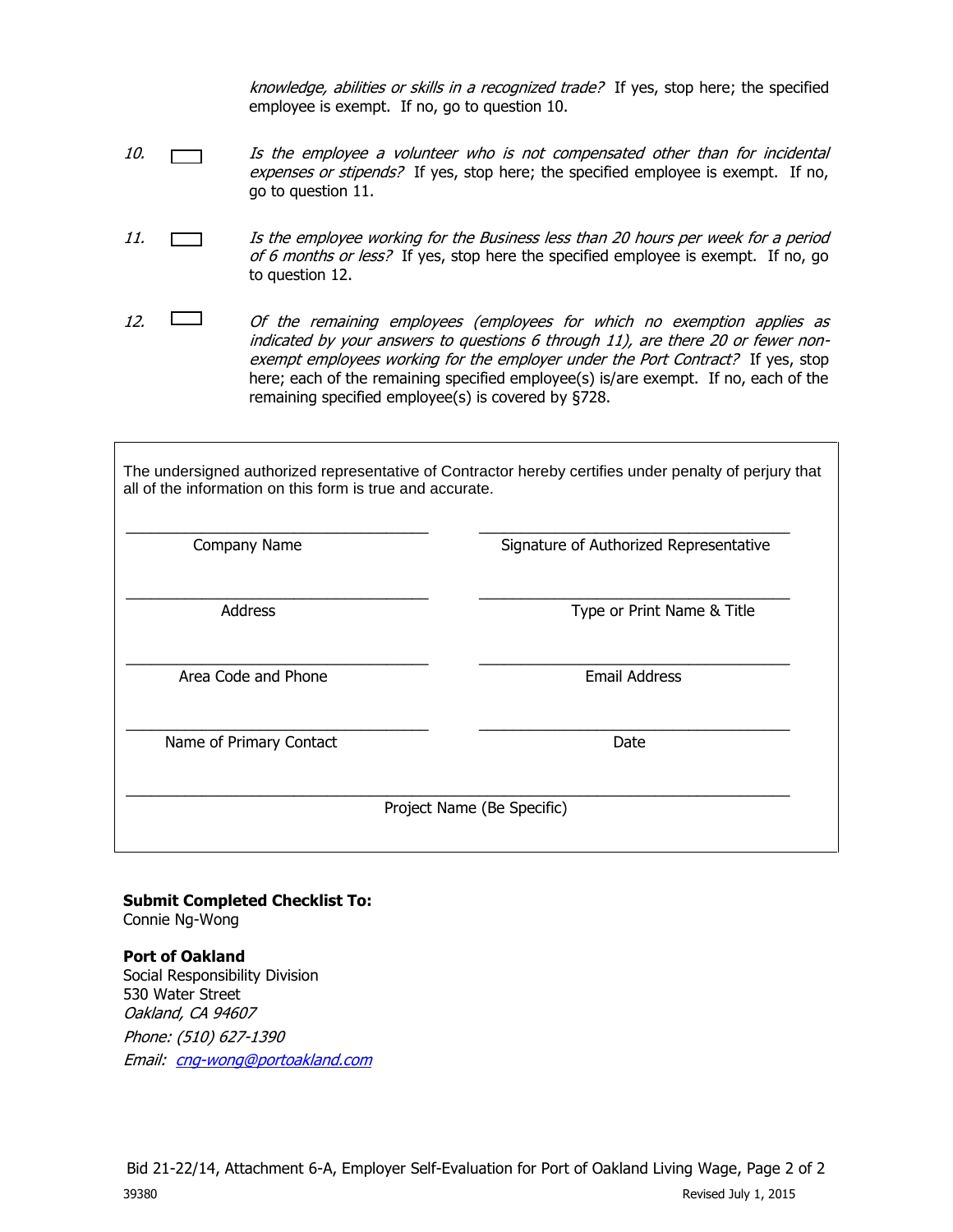knowledge, abilities or skills in a recognized trade? If yes, stop here; the specified employee is exempt. If no, go to question 10.

- 10. Is the employee a volunteer who is not compensated other than for incidental expenses or stipends? If yes, stop here; the specified employee is exempt. If no, go to question 11.
- 11. **In the employee working for the Business less than 20 hours per week for a period** of 6 months or less? If yes, stop here the specified employee is exempt. If no, go to question 12.
- 12.  $\Box$  Of the remaining employees (employees for which no exemption applies as indicated by your answers to questions 6 through 11), are there 20 or fewer nonexempt employees working for the employer under the Port Contract? If yes, stop here; each of the remaining specified employee(s) is/are exempt. If no, each of the remaining specified employee(s) is covered by §728.

The undersigned authorized representative of Contractor hereby certifies under penalty of perjury that all of the information on this form is true and accurate.

| Company Name            | Signature of Authorized Representative |  |
|-------------------------|----------------------------------------|--|
| <b>Address</b>          | Type or Print Name & Title             |  |
| Area Code and Phone     | <b>Email Address</b>                   |  |
| Name of Primary Contact | Date                                   |  |
|                         | Project Name (Be Specific)             |  |

#### **Submit Completed Checklist To:** Connie Ng-Wong

**Port of Oakland**  Social Responsibility Division 530 Water Street Oakland, CA 94607 Phone: (510) 627-1390 Email: [cng-wong@portoakland.com](mailto:cng-wong@portoakland.com)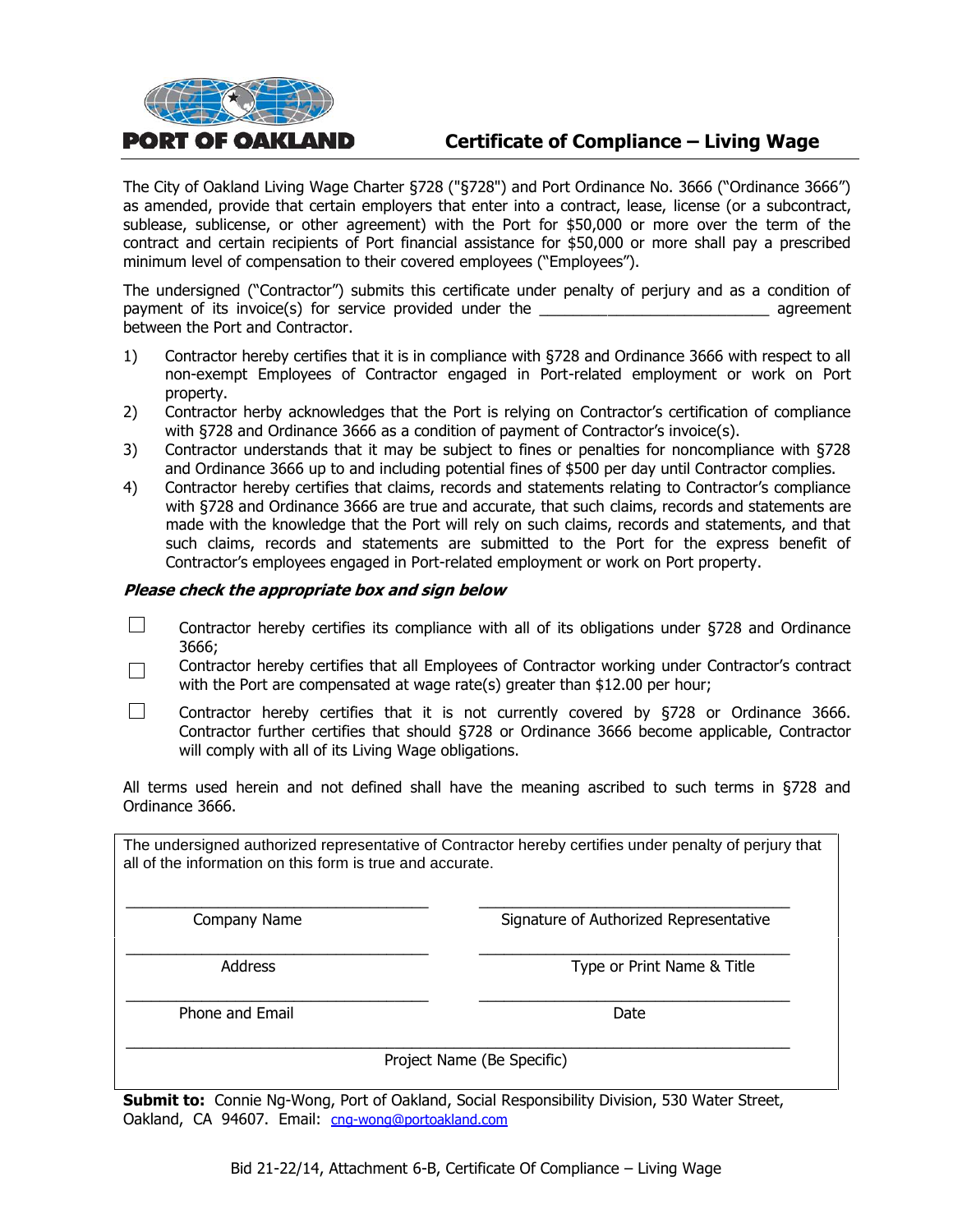# **Certificate of Compliance – Living Wage**

The City of Oakland Living Wage Charter §728 ("§728") and Port Ordinance No. 3666 ("Ordinance 3666") as amended, provide that certain employers that enter into a contract, lease, license (or a subcontract, sublease, sublicense, or other agreement) with the Port for \$50,000 or more over the term of the contract and certain recipients of Port financial assistance for \$50,000 or more shall pay a prescribed minimum level of compensation to their covered employees ("Employees").

The undersigned ("Contractor") submits this certificate under penalty of perjury and as a condition of payment of its invoice(s) for service provided under the \_\_\_\_\_\_\_\_\_\_\_\_\_\_\_\_\_\_\_\_\_\_\_\_\_\_\_ agreement between the Port and Contractor.

- 1) Contractor hereby certifies that it is in compliance with §728 and Ordinance 3666 with respect to all non-exempt Employees of Contractor engaged in Port-related employment or work on Port property.
- 2) Contractor herby acknowledges that the Port is relying on Contractor's certification of compliance with §728 and Ordinance 3666 as a condition of payment of Contractor's invoice(s).
- 3) Contractor understands that it may be subject to fines or penalties for noncompliance with §728 and Ordinance 3666 up to and including potential fines of \$500 per day until Contractor complies.
- 4) Contractor hereby certifies that claims, records and statements relating to Contractor's compliance with §728 and Ordinance 3666 are true and accurate, that such claims, records and statements are made with the knowledge that the Port will rely on such claims, records and statements, and that such claims, records and statements are submitted to the Port for the express benefit of Contractor's employees engaged in Port-related employment or work on Port property.

#### **Please check the appropriate box and sign below**

**PORT OF OAKLAND** 

- $\Box$ Contractor hereby certifies its compliance with all of its obligations under §728 and Ordinance 3666;
- Contractor hereby certifies that all Employees of Contractor working under Contractor's contract  $\Box$ with the Port are compensated at wage rate(s) greater than \$12.00 per hour;
- $\Box$ Contractor hereby certifies that it is not currently covered by §728 or Ordinance 3666. Contractor further certifies that should §728 or Ordinance 3666 become applicable, Contractor will comply with all of its Living Wage obligations.

All terms used herein and not defined shall have the meaning ascribed to such terms in §728 and Ordinance 3666.

The undersigned authorized representative of Contractor hereby certifies under penalty of perjury that all of the information on this form is true and accurate.

\_\_\_\_\_\_\_\_\_\_\_\_\_\_\_\_\_\_\_\_\_\_\_\_\_\_\_\_\_\_\_\_\_\_\_\_ \_\_\_\_\_\_\_\_\_\_\_\_\_\_\_\_\_\_\_\_\_\_\_\_\_\_\_\_\_\_\_\_\_\_\_\_\_

\_\_\_\_\_\_\_\_\_\_\_\_\_\_\_\_\_\_\_\_\_\_\_\_\_\_\_\_\_\_\_\_\_\_\_\_ \_\_\_\_\_\_\_\_\_\_\_\_\_\_\_\_\_\_\_\_\_\_\_\_\_\_\_\_\_\_\_\_\_\_\_\_\_

\_\_\_\_\_\_\_\_\_\_\_\_\_\_\_\_\_\_\_\_\_\_\_\_\_\_\_\_\_\_\_\_\_\_\_\_ \_\_\_\_\_\_\_\_\_\_\_\_\_\_\_\_\_\_\_\_\_\_\_\_\_\_\_\_\_\_\_\_\_\_\_\_\_

\_\_\_\_\_\_\_\_\_\_\_\_\_\_\_\_\_\_\_\_\_\_\_\_\_\_\_\_\_\_\_\_\_\_\_\_\_\_\_\_\_\_\_\_\_\_\_\_\_\_\_\_\_\_\_\_\_\_\_\_\_\_\_\_\_\_\_\_\_\_\_\_\_\_\_\_\_\_\_

Company Name **Signature of Authorized Representative** 

Address **Address** Type or Print Name & Title

Phone and Email Date and Email Date Date and Email Date Date

Project Name (Be Specific)

**Submit to:** Connie Ng-Wong, Port of Oakland, Social Responsibility Division, 530 Water Street, Oakland, CA 94607. Email: [cng-wong@portoakland.com](mailto:cng-wong@portoakland.com)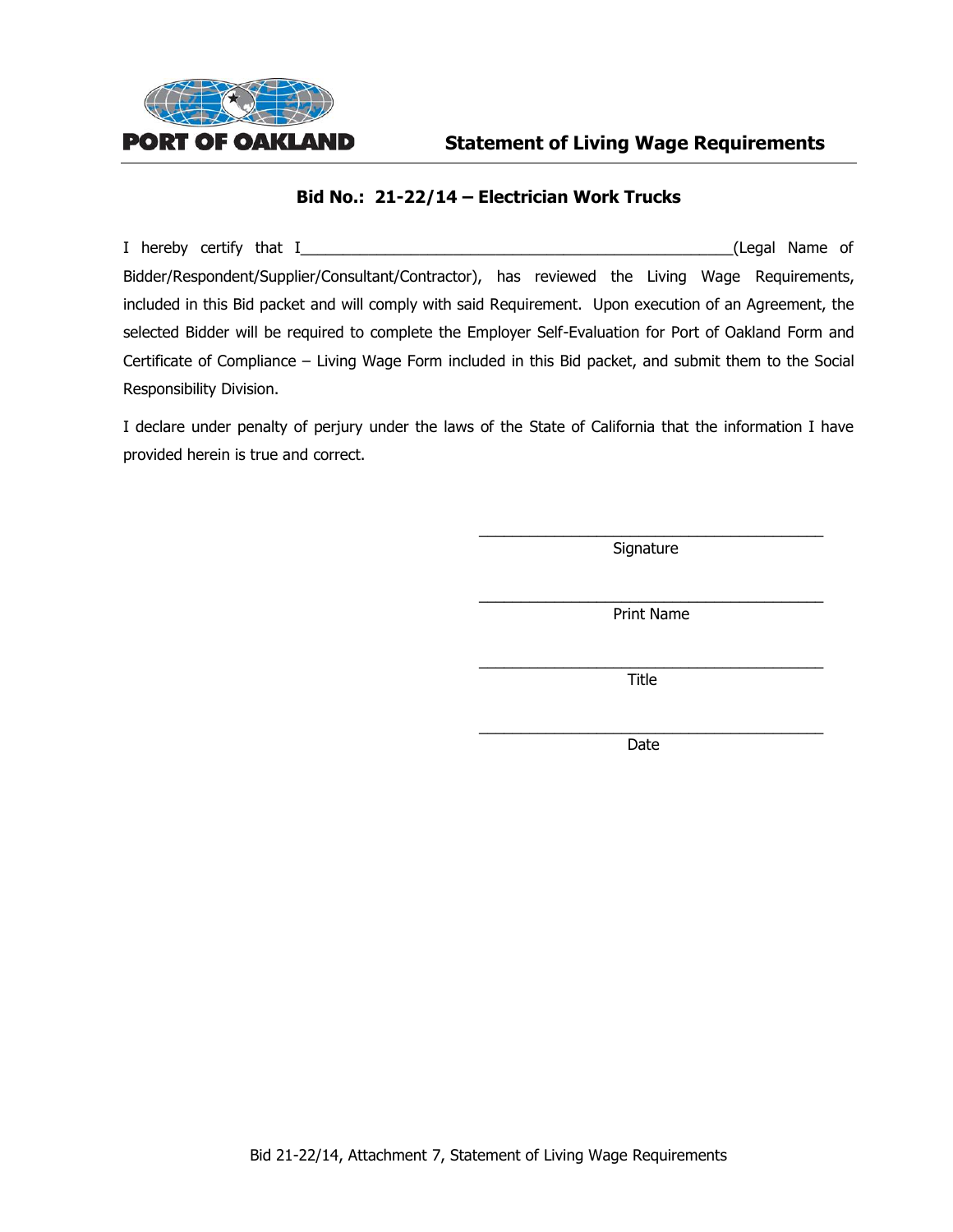

#### **Bid No.: 21-22/14 – Electrician Work Trucks**

I hereby certify that I\_\_\_\_\_\_\_\_\_\_\_\_\_\_\_\_\_\_\_\_\_\_\_\_\_\_\_\_\_\_\_\_\_\_\_\_\_\_\_\_\_\_\_\_\_\_\_\_\_\_\_(Legal Name of Bidder/Respondent/Supplier/Consultant/Contractor), has reviewed the Living Wage Requirements, included in this Bid packet and will comply with said Requirement. Upon execution of an Agreement, the selected Bidder will be required to complete the Employer Self-Evaluation for Port of Oakland Form and Certificate of Compliance – Living Wage Form included in this Bid packet, and submit them to the Social Responsibility Division.

I declare under penalty of perjury under the laws of the State of California that the information I have provided herein is true and correct.

> \_\_\_\_\_\_\_\_\_\_\_\_\_\_\_\_\_\_\_\_\_\_\_\_\_\_\_\_\_\_\_\_\_\_\_\_\_\_\_\_\_ Signature

> \_\_\_\_\_\_\_\_\_\_\_\_\_\_\_\_\_\_\_\_\_\_\_\_\_\_\_\_\_\_\_\_\_\_\_\_\_\_\_\_\_ Print Name

> \_\_\_\_\_\_\_\_\_\_\_\_\_\_\_\_\_\_\_\_\_\_\_\_\_\_\_\_\_\_\_\_\_\_\_\_\_\_\_\_\_ Title

> \_\_\_\_\_\_\_\_\_\_\_\_\_\_\_\_\_\_\_\_\_\_\_\_\_\_\_\_\_\_\_\_\_\_\_\_\_\_\_\_\_ Date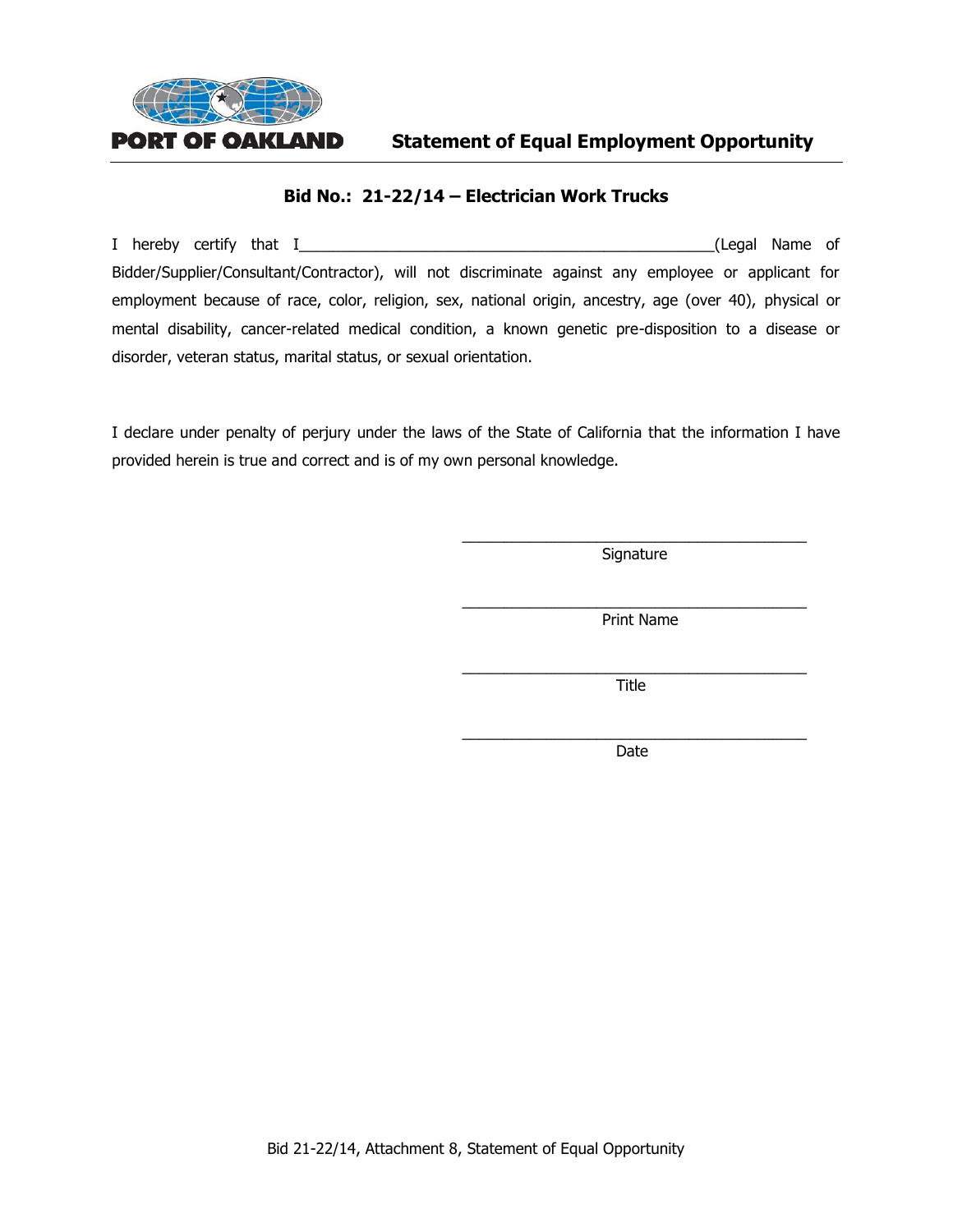

**Statement of Equal Employment Opportunity**

#### **Bid No.: 21-22/14 – Electrician Work Trucks**

I hereby certify that I\_\_\_\_\_\_\_\_\_\_\_\_\_\_\_\_\_\_\_\_\_\_\_\_\_\_\_\_\_\_\_\_\_\_\_\_\_\_\_\_\_\_\_\_\_\_\_\_\_(Legal Name of Bidder/Supplier/Consultant/Contractor), will not discriminate against any employee or applicant for employment because of race, color, religion, sex, national origin, ancestry, age (over 40), physical or mental disability, cancer-related medical condition, a known genetic pre-disposition to a disease or disorder, veteran status, marital status, or sexual orientation.

I declare under penalty of perjury under the laws of the State of California that the information I have provided herein is true and correct and is of my own personal knowledge.

> \_\_\_\_\_\_\_\_\_\_\_\_\_\_\_\_\_\_\_\_\_\_\_\_\_\_\_\_\_\_\_\_\_\_\_\_\_\_\_\_\_ Signature

> \_\_\_\_\_\_\_\_\_\_\_\_\_\_\_\_\_\_\_\_\_\_\_\_\_\_\_\_\_\_\_\_\_\_\_\_\_\_\_\_\_ Print Name

> \_\_\_\_\_\_\_\_\_\_\_\_\_\_\_\_\_\_\_\_\_\_\_\_\_\_\_\_\_\_\_\_\_\_\_\_\_\_\_\_\_ Title

> \_\_\_\_\_\_\_\_\_\_\_\_\_\_\_\_\_\_\_\_\_\_\_\_\_\_\_\_\_\_\_\_\_\_\_\_\_\_\_\_\_ Date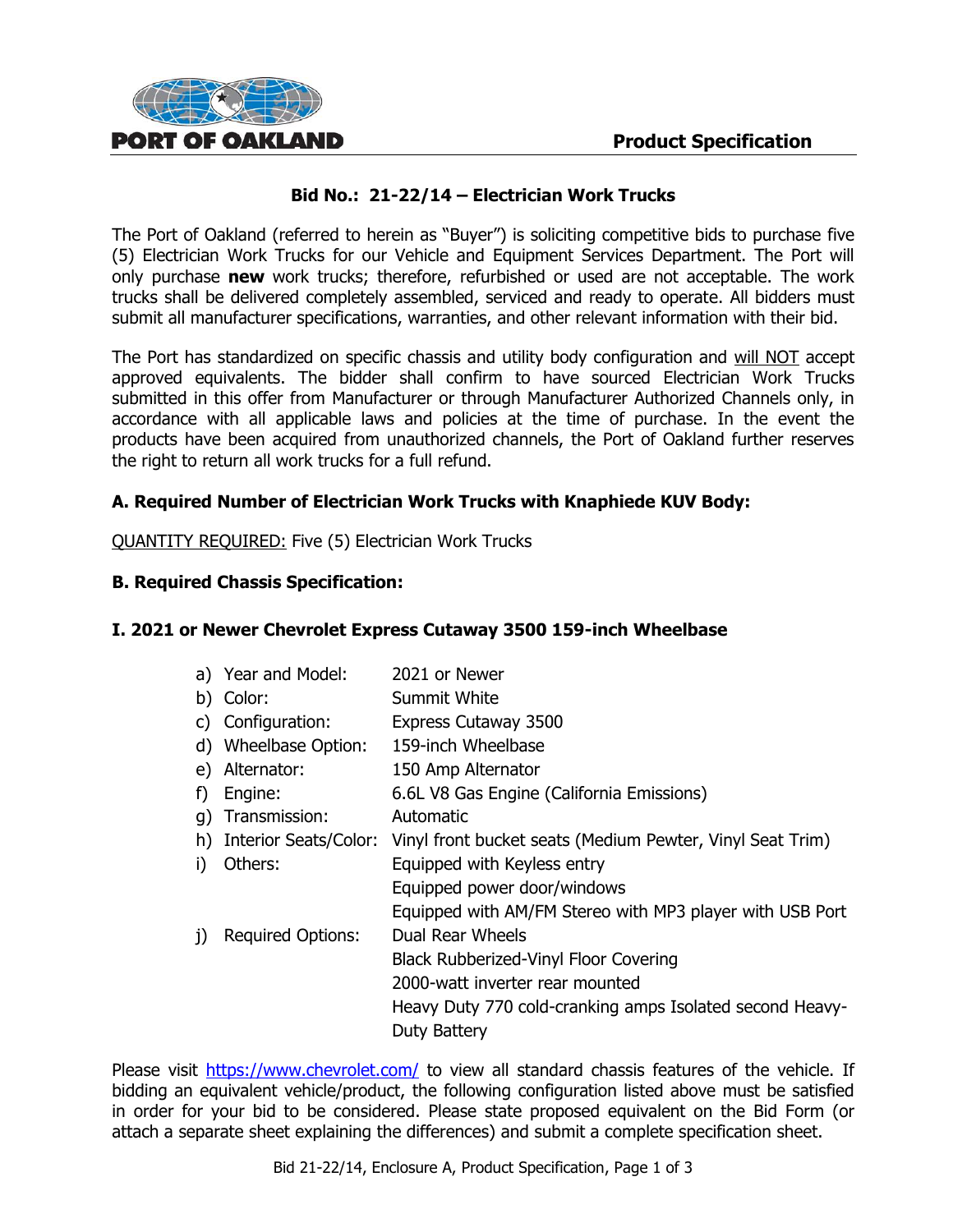

# **Bid No.: 21-22/14 – Electrician Work Trucks**

The Port of Oakland (referred to herein as "Buyer") is soliciting competitive bids to purchase five (5) Electrician Work Trucks for our Vehicle and Equipment Services Department. The Port will only purchase **new** work trucks; therefore, refurbished or used are not acceptable. The work trucks shall be delivered completely assembled, serviced and ready to operate. All bidders must submit all manufacturer specifications, warranties, and other relevant information with their bid.

The Port has standardized on specific chassis and utility body configuration and will NOT accept approved equivalents. The bidder shall confirm to have sourced Electrician Work Trucks submitted in this offer from Manufacturer or through Manufacturer Authorized Channels only, in accordance with all applicable laws and policies at the time of purchase. In the event the products have been acquired from unauthorized channels, the Port of Oakland further reserves the right to return all work trucks for a full refund.

# **A. Required Number of Electrician Work Trucks with Knaphiede KUV Body:**

QUANTITY REQUIRED: Five (5) Electrician Work Trucks

### **B. Required Chassis Specification:**

# **I. 2021 or Newer Chevrolet Express Cutaway 3500 159-inch Wheelbase**

|              | a) Year and Model:<br>b) Color: | 2021 or Newer<br>Summit White                             |
|--------------|---------------------------------|-----------------------------------------------------------|
|              | c) Configuration:               | Express Cutaway 3500                                      |
|              | d) Wheelbase Option:            | 159-inch Wheelbase                                        |
|              | e) Alternator:                  | 150 Amp Alternator                                        |
| f)           | Engine:                         | 6.6L V8 Gas Engine (California Emissions)                 |
|              | q) Transmission:                | Automatic                                                 |
|              | h) Interior Seats/Color:        | Vinyl front bucket seats (Medium Pewter, Vinyl Seat Trim) |
| i).          | Others:                         | Equipped with Keyless entry                               |
|              |                                 | Equipped power door/windows                               |
|              |                                 | Equipped with AM/FM Stereo with MP3 player with USB Port  |
| $\mathbf{j}$ | <b>Required Options:</b>        | Dual Rear Wheels                                          |
|              |                                 | <b>Black Rubberized-Vinyl Floor Covering</b>              |
|              |                                 | 2000-watt inverter rear mounted                           |
|              |                                 | Heavy Duty 770 cold-cranking amps Isolated second Heavy-  |
|              |                                 | Duty Battery                                              |
|              |                                 |                                                           |

Please visit<https://www.chevrolet.com/> to view all standard chassis features of the vehicle. If bidding an equivalent vehicle/product, the following configuration listed above must be satisfied in order for your bid to be considered. Please state proposed equivalent on the Bid Form (or attach a separate sheet explaining the differences) and submit a complete specification sheet.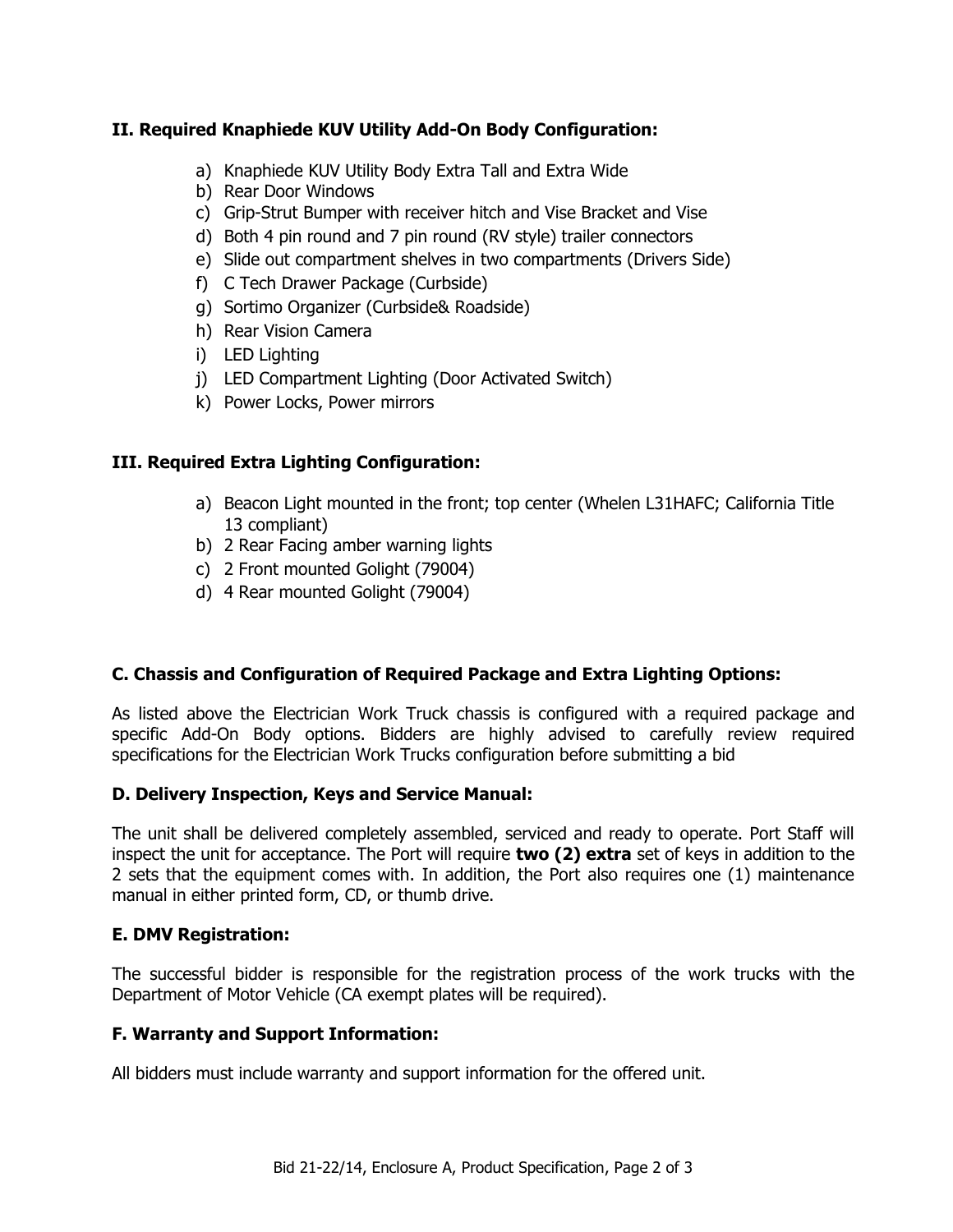# **II. Required Knaphiede KUV Utility Add-On Body Configuration:**

- a) Knaphiede KUV Utility Body Extra Tall and Extra Wide
- b) Rear Door Windows
- c) Grip-Strut Bumper with receiver hitch and Vise Bracket and Vise
- d) Both 4 pin round and 7 pin round (RV style) trailer connectors
- e) Slide out compartment shelves in two compartments (Drivers Side)
- f) C Tech Drawer Package (Curbside)
- g) Sortimo Organizer (Curbside& Roadside)
- h) Rear Vision Camera
- i) LED Lighting
- j) LED Compartment Lighting (Door Activated Switch)
- k) Power Locks, Power mirrors

# **III. Required Extra Lighting Configuration:**

- a) Beacon Light mounted in the front; top center (Whelen L31HAFC; California Title 13 compliant)
- b) 2 Rear Facing amber warning lights
- c) 2 Front mounted Golight (79004)
- d) 4 Rear mounted Golight (79004)

# **C. Chassis and Configuration of Required Package and Extra Lighting Options:**

As listed above the Electrician Work Truck chassis is configured with a required package and specific Add-On Body options. Bidders are highly advised to carefully review required specifications for the Electrician Work Trucks configuration before submitting a bid

# **D. Delivery Inspection, Keys and Service Manual:**

The unit shall be delivered completely assembled, serviced and ready to operate. Port Staff will inspect the unit for acceptance. The Port will require **two (2) extra** set of keys in addition to the 2 sets that the equipment comes with. In addition, the Port also requires one (1) maintenance manual in either printed form, CD, or thumb drive.

# **E. DMV Registration:**

The successful bidder is responsible for the registration process of the work trucks with the Department of Motor Vehicle (CA exempt plates will be required).

# **F. Warranty and Support Information:**

All bidders must include warranty and support information for the offered unit.